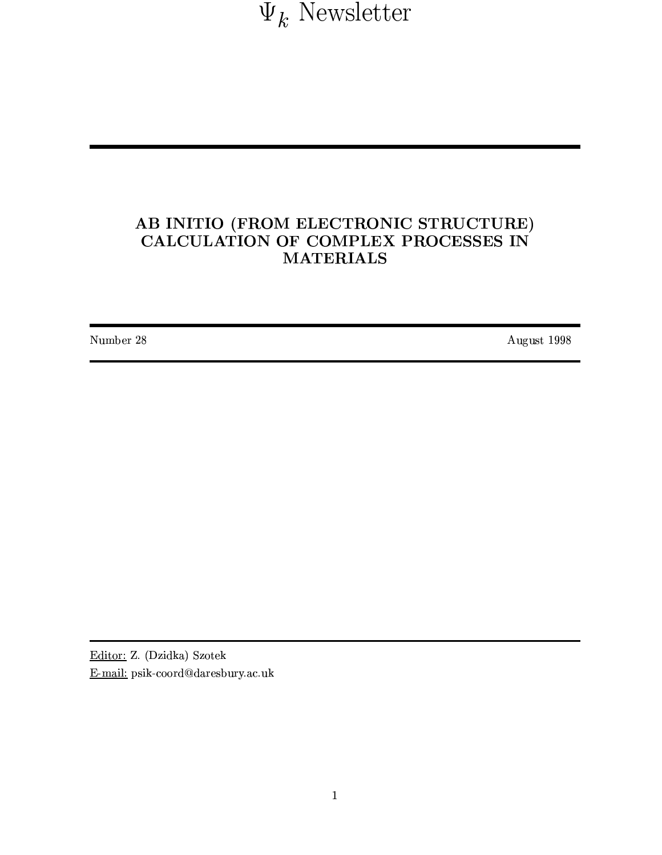$\Psi_k$ Newsletter

# AB INITIO (FROM ELECTRONIC STRUCTURE) CALCULATION OF COMPLEX PROCESSES IN **MATERIALS**

Number 28

August 1998

Editor: Z. (Dzidka) Szotek E-mail: psik-coord@daresbury.ac.uk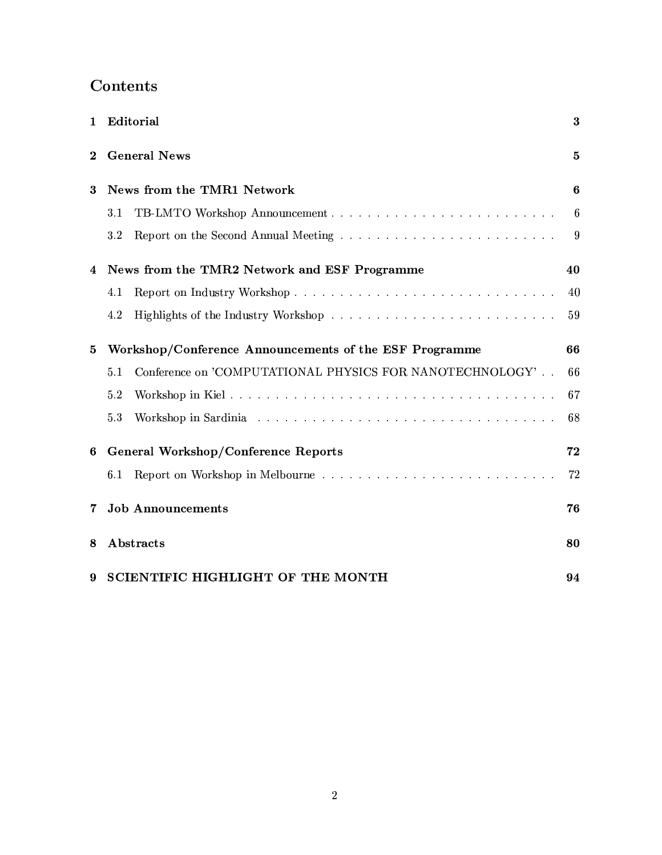# Contents

| 1        | Editorial                                                       | 3            |
|----------|-----------------------------------------------------------------|--------------|
| $\bf{2}$ | <b>General News</b>                                             | $\mathbf{5}$ |
| 3        | News from the TMR1 Network                                      | 6            |
|          | 3.1                                                             | 6            |
|          | $3.2\,$                                                         | 9            |
| 4        | News from the TMR2 Network and ESF Programme                    | 40           |
|          | 4.1                                                             | 40           |
|          | 4.2                                                             | 59           |
| 5        | Workshop/Conference Announcements of the ESF Programme          |              |
|          | Conference on 'COMPUTATIONAL PHYSICS FOR NANOTECHNOLOGY'<br>5.1 | 66           |
|          | 5.2                                                             | 67           |
|          | 5.3                                                             | 68           |
| 6        | General Workshop/Conference Reports                             | 72           |
|          | 6.1                                                             | 72           |
| 7        | <b>Job Announcements</b>                                        | 76           |
| 8        | Abstracts                                                       | 80           |
| 9        | SCIENTIFIC HIGHLIGHT OF THE MONTH                               | 94           |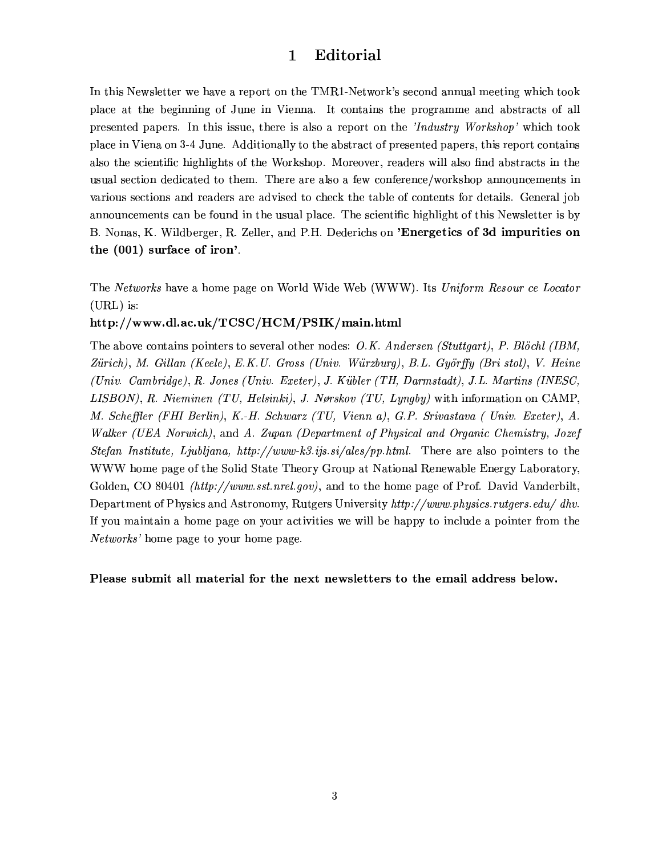#### Editorial  $\mathbf{1}$

In this Newsletter we have a report on the TMR1-Network's second annual meeting which took place at the beginning of June in Vienna. It contains the programme and abstracts of all presented papers. In this issue, there is also a report on the 'Industry Workshop' which took place in Viena on 3-4 June. Additionally to the abstract of presented papers, this report contains also the scientific highlights of the Workshop. Moreover, readers will also find abstracts in the usual section dedicated to them. There are also a few conference/workshop announcements in various sections and readers are advised to check the table of contents for details. General job announcements can be found in the usual place. The scientific highlight of this Newsletter is by B. Nonas, K. Wildberger, R. Zeller, and P.H. Dederichs on 'Energetics of 3d impurities on the (001) surface of iron'.

The Networks have a home page on World Wide Web (WWW). Its Uniform Resour ce Locator  $(URL)$  is:

#### http://www.dl.ac.uk/TCSC/HCM/PSIK/main.html

The above contains pointers to several other nodes: O.K. Andersen (Stuttgart), P. Blöchl (IBM, Zürich), M. Gillan (Keele), E.K.U. Gross (Univ. Würzburg), B.L. Györffy (Bri stol), V. Heine (Univ. Cambridge), R. Jones (Univ. Exeter), J. Kübler (TH, Darmstadt), J.L. Martins (INESC, LISBON), R. Nieminen (TU, Helsinki), J. Nørskov (TU, Lyngby) with information on CAMP, M. Scheffler (FHI Berlin), K.-H. Schwarz (TU, Vienn a), G.P. Srivastava (Univ. Exeter), A. Walker (UEA Norwich), and A. Zupan (Department of Physical and Organic Chemistry, Jozef Stefan Institute, Ljubljana, http://www-k3.ijs.si/ales/pp.html. There are also pointers to the WWW home page of the Solid State Theory Group at National Renewable Energy Laboratory, Golden, CO 80401 *(http://www.sst.nrel.gov)*, and to the home page of Prof. David Vanderbilt, Department of Physics and Astronomy, Rutgers University http://www.physics.rutgers.edu/ dhv. If you maintain a home page on your activities we will be happy to include a pointer from the Networks' home page to your home page.

Please submit all material for the next newsletters to the email address below.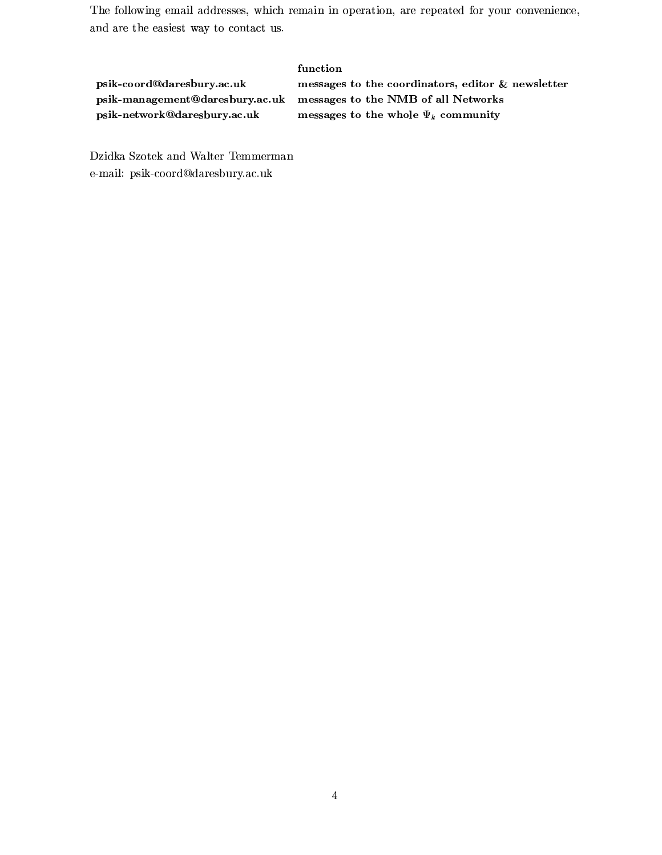The following email addresses, which remain in operation, are repeated for your convenience, and are the easiest way to contact us.

|                                 | function                                          |
|---------------------------------|---------------------------------------------------|
| psik-coord@daresbury.ac.uk      | messages to the coordinators, editor & newsletter |
| psik-management@daresbury.ac.uk | messages to the NMB of all Networks               |
| psik-network@daresbury.ac.uk    | messages to the whole $\Psi_k$ community          |

Dzidka Szotek and Walter Temmerman e-mail: psik-coord@daresbury.ac.uk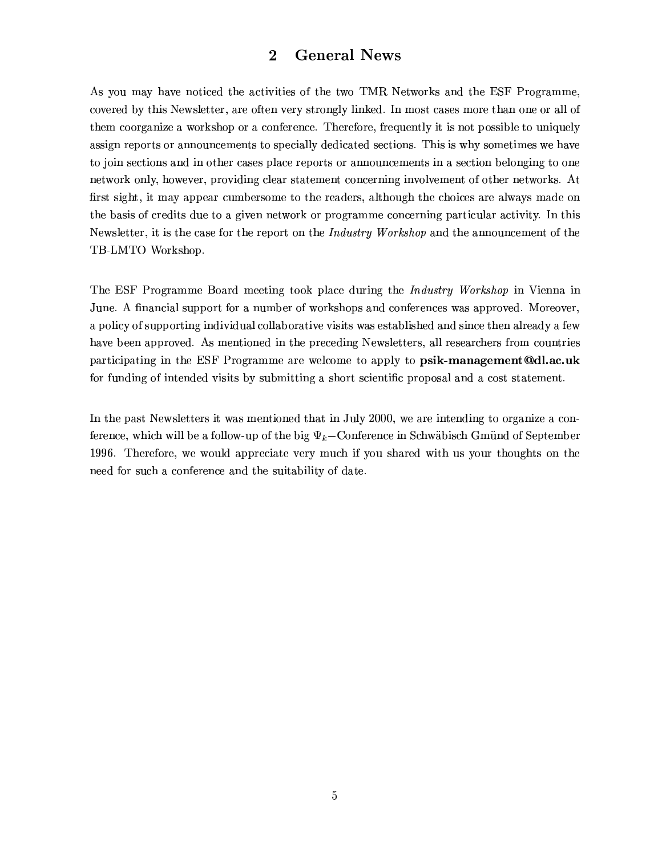#### **General News**  $\overline{2}$

As you may have noticed the activities of the two TMR Networks and the ESF Programme. covered by this Newsletter, are often very strongly linked. In most cases more than one or all of them coorganize a workshop or a conference. Therefore, frequently it is not possible to uniquely assign reports or announcements to specially dedicated sections. This is why sometimes we have to join sections and in other cases place reports or announcements in a section belonging to one network only, however, providing clear statement concerning involvement of other networks. At first sight, it may appear cumbersome to the readers, although the choices are always made on the basis of credits due to a given network or programme concerning particular activity. In this Newsletter, it is the case for the report on the *Industry Workshop* and the announcement of the TB-LMTO Workshop.

The ESF Programme Board meeting took place during the *Industry Workshop* in Vienna in June. A financial support for a number of workshops and conferences was approved. Moreover, a policy of supporting individual collaborative visits was established and since then already a few have been approved. As mentioned in the preceding Newsletters, all researchers from countries participating in the ESF Programme are welcome to apply to psik-management@dl.ac.uk for funding of intended visits by submitting a short scientific proposal and a cost statement.

In the past Newsletters it was mentioned that in July 2000, we are intending to organize a conference, which will be a follow-up of the big  $\Psi_k$ -Conference in Schwäbisch Gmünd of September 1996. Therefore, we would appreciate very much if you shared with us your thoughts on the need for such a conference and the suitability of date.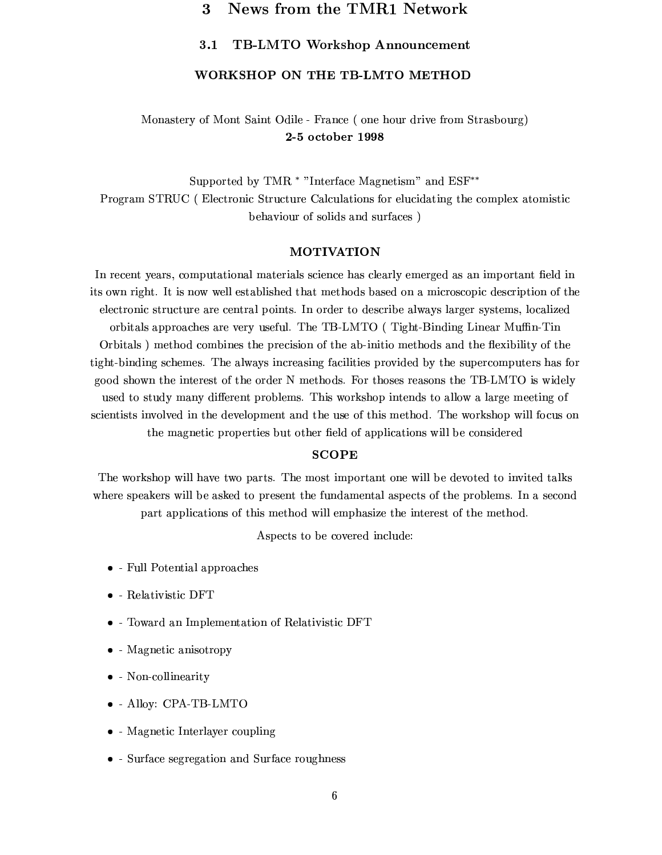#### News from the TMR1 Network 3

#### $3.1$ **TB-LMTO Workshop Announcement**

#### WORKSHOP ON THE TB-LMTO METHOD

### Monastery of Mont Saint Odile - France (one hour drive from Strasbourg) 2-5 october 1998

Supported by TMR \* "Interface Magnetism" and ESF\*\* Program STRUC (Electronic Structure Calculations for elucidating the complex atomistic behaviour of solids and surfaces)

#### **MOTIVATION**

In recent years, computational materials science has clearly emerged as an important field in its own right. It is now well established that methods based on a microscopic description of the electronic structure are central points. In order to describe always larger systems, localized orbitals approaches are very useful. The TB-LMTO (Tight-Binding Linear Muffin-Tin Orbitals) method combines the precision of the ab-initio methods and the flexibility of the tight-binding schemes. The always increasing facilities provided by the supercomputers has for good shown the interest of the order N methods. For thoses reasons the TB-LMTO is widely used to study many different problems. This workshop intends to allow a large meeting of scientists involved in the development and the use of this method. The workshop will focus on the magnetic properties but other field of applications will be considered

#### **SCOPE**

The workshop will have two parts. The most important one will be devoted to invited talks where speakers will be asked to present the fundamental aspects of the problems. In a second part applications of this method will emphasize the interest of the method.

Aspects to be covered include:

- Full Potential approaches
- $\bullet$  Relativistic DFT
- Toward an Implementation of Relativistic DFT
- $\bullet$  Magnetic anisotropy
- Non-collinearity
- $\bullet$  Alloy: CPA-TB-LMTO
- $\bullet$  Magnetic Interlayer coupling
- Surface segregation and Surface roughness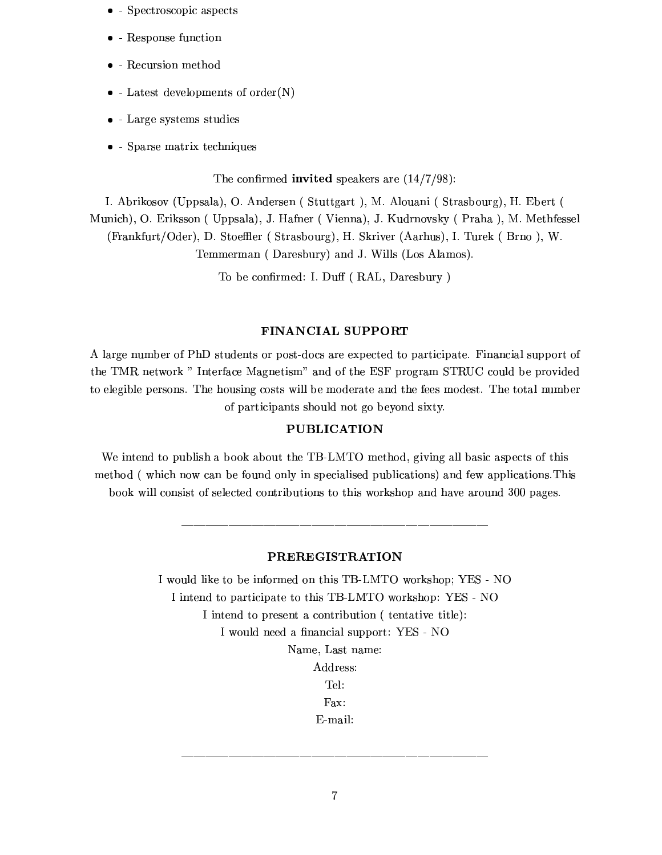- $\bullet$  Spectroscopic aspects
- $\bullet$  Response function
- $\bullet$  Recursion method
- $\bullet$  Latest developments of order(N)
- $\bullet$  Large systems studies
- $\bullet$  Sparse matrix techniques

The confirmed invited speakers are  $(14/7/98)$ :

I. Abrikosov (Uppsala), O. Andersen (Stuttgart), M. Alouani (Strasbourg), H. Ebert (

Munich), O. Eriksson (Uppsala), J. Hafner (Vienna), J. Kudrnovsky (Praha), M. Methfessel (Frankfurt/Oder), D. Stoeffler (Strasbourg), H. Skriver (Aarhus), I. Turek (Brno), W. Temmerman (Daresbury) and J. Wills (Los Alamos).

To be confirmed: I. Duff (RAL, Daresbury)

#### FINANCIAL SUPPORT

A large number of PhD students or post-docs are expected to participate. Financial support of the TMR network " Interface Magnetism" and of the ESF program STRUC could be provided to elegible persons. The housing costs will be moderate and the fees modest. The total number of participants should not go beyond sixty.

#### **PUBLICATION**

We intend to publish a book about the TB-LMTO method, giving all basic aspects of this method (which now can be found only in specialised publications) and few applications. This book will consist of selected contributions to this workshop and have around 300 pages.

#### **PREREGISTRATION**

I would like to be informed on this TB-LMTO workshop; YES - NO I intend to participate to this TB-LMTO workshop: YES - NO I intend to present a contribution (tentative title): I would need a financial support: YES - NO Name, Last name: Address:

Tel:

Fax:

E-mail: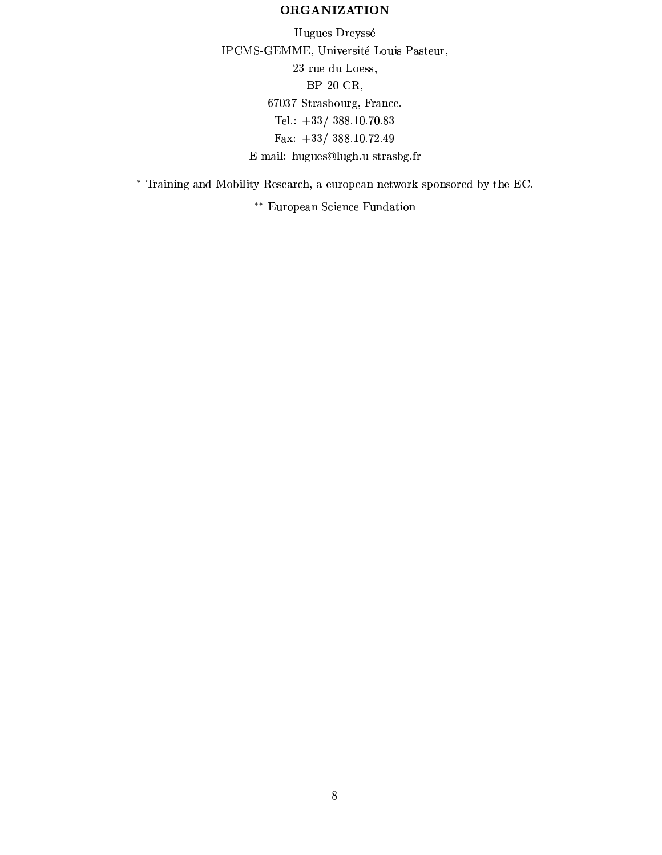### **ORGANIZATION**

Hugues Dreyssé IPCMS-GEMME, Université Louis Pasteur, 23 rue du Loess, BP 20 CR, 67037 Strasbourg, France. Tel.:  $+33/388.10.70.83$ Fax:  $+33/388.10.72.49$ E-mail: hugues@lugh.u-strasbg.fr

\* Training and Mobility Research, a european network sponsored by the EC.

\*\* European Science Fundation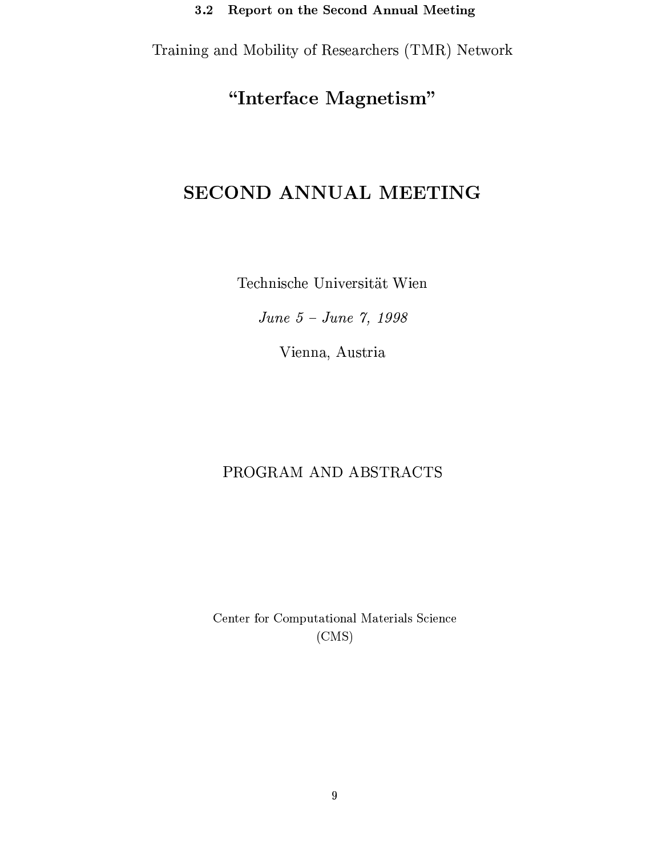Training and Mobility of Researchers (TMR) Network

# "Interface Magnetism"

# SECOND ANNUAL MEETING

Technische Universität Wien

June 5 - June 7, 1998

Vienna, Austria

# PROGRAM AND ABSTRACTS

Center for Computational Materials Science  $(CMS)$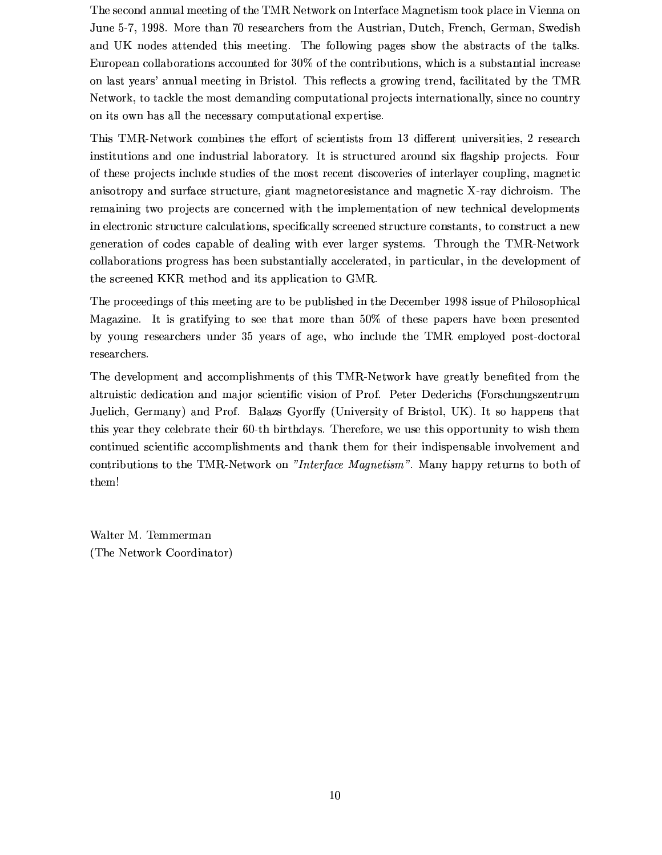The second annual meeting of the TMR Network on Interface Magnetism took place in Vienna on June 5-7, 1998. More than 70 researchers from the Austrian, Dutch, French, German, Swedish and UK nodes attended this meeting. The following pages show the abstracts of the talks. European collaborations accounted for 30% of the contributions, which is a substantial increase on last years' annual meeting in Bristol. This reflects a growing trend, facilitated by the TMR Network, to tackle the most demanding computational projects internationally, since no country on its own has all the necessary computational expertise.

This TMR-Network combines the effort of scientists from 13 different universities, 2 research institutions and one industrial laboratory. It is structured around six flagship projects. Four of these projects include studies of the most recent discoveries of interlayer coupling, magnetic anisotropy and surface structure, giant magnetoresistance and magnetic X-ray dichroism. The remaining two projects are concerned with the implementation of new technical developments in electronic structure calculations, specifically screened structure constants, to construct a new generation of codes capable of dealing with ever larger systems. Through the TMR-Network collaborations progress has been substantially accelerated, in particular, in the development of the screened KKR method and its application to GMR.

The proceedings of this meeting are to be published in the December 1998 issue of Philosophical Magazine. It is gratifying to see that more than 50% of these papers have been presented by young researchers under 35 years of age, who include the TMR employed post-doctoral researchers.

The development and accomplishments of this TMR-Network have greatly benefited from the altruistic dedication and major scientific vision of Prof. Peter Dederichs (Forschungszentrum Juelich, Germany) and Prof. Balazs Gyorffy (University of Bristol, UK). It so happens that this year they celebrate their 60-th birthdays. Therefore, we use this opportunity to wish them continued scientific accomplishments and thank them for their indispensable involvement and contributions to the TMR-Network on "Interface Magnetism". Many happy returns to both of them!

Walter M. Temmerman (The Network Coordinator)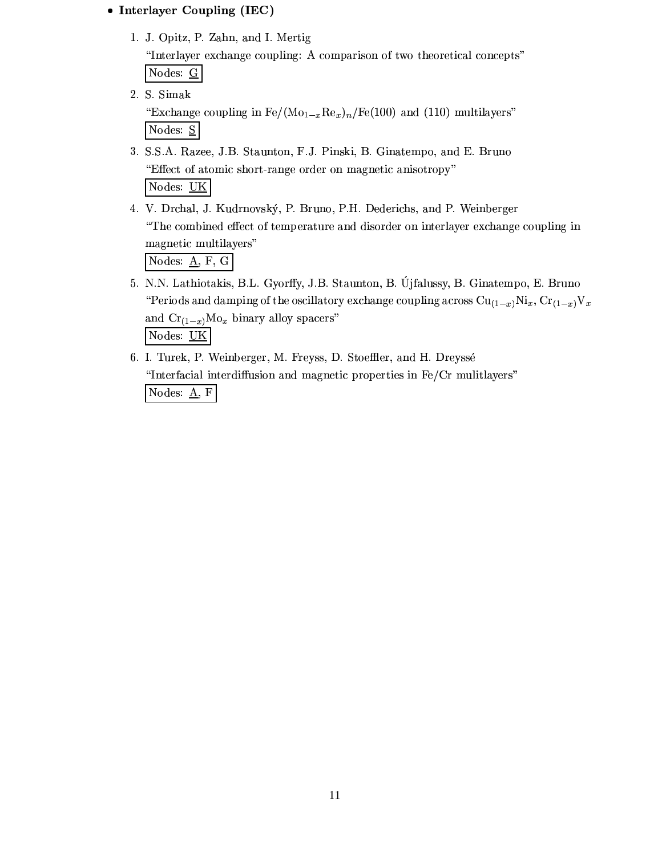### • Interlayer Coupling (IEC)

1. J. Opitz, P. Zahn, and I. Mertig

"Interlayer exchange coupling: A comparison of two theoretical concepts" Nodes:  $\underline{G}$ 

2. S. Simak

"Exchange coupling in  $Fe/(Mo_{1-x}Re_x)_n/Fe(100)$  and (110) multilayers" Nodes: S

- 3. S.S.A. Razee, J.B. Staunton, F.J. Pinski, B. Ginatempo, and E. Bruno "Effect of atomic short-range order on magnetic anisotropy" Nodes: UK
- 4. V. Drchal, J. Kudrnovský, P. Bruno, P.H. Dederichs, and P. Weinberger "The combined effect of temperature and disorder on interlayer exchange coupling in magnetic multilayers" Nodes:  $\underline{A}$ , F, G
- 5. N.N. Lathiotakis, B.L. Gyorffy, J.B. Staunton, B. Újfalussy, B. Ginatempo, E. Bruno "Periods and damping of the oscillatory exchange coupling across  $Cu_{(1-x)}Ni_x$ ,  $Cr_{(1-x)}V_x$ and  $\mathrm{Cr}_{(1-x)}\mathrm{Mo}_{x}$  binary alloy spacers" Nodes: UK
- 6. I. Turek, P. Weinberger, M. Freyss, D. Stoeffler, and H. Dreyssé "Interfacial interdiffusion and magnetic properties in Fe/Cr multilayers" Nodes:  $\underline{A}$ , F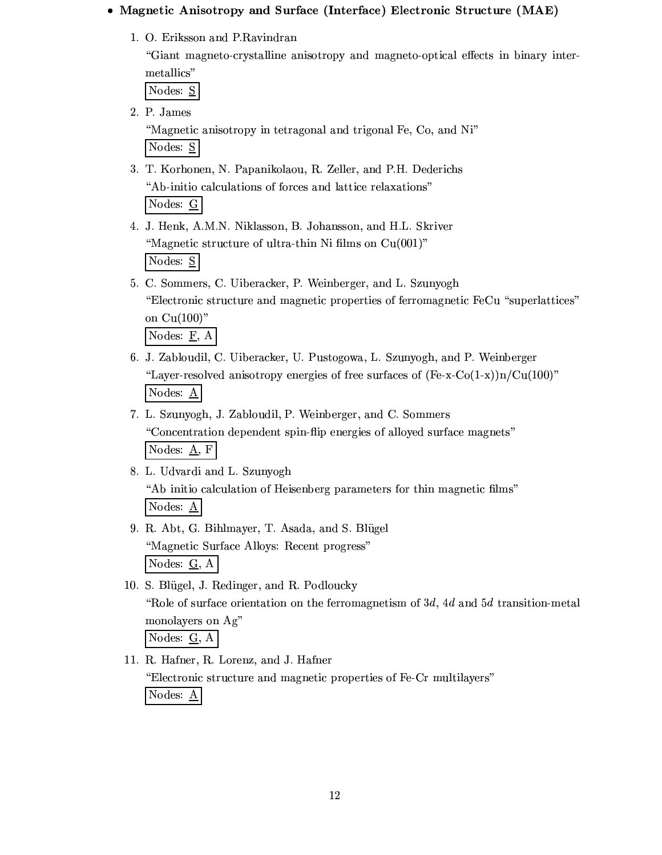#### • Magnetic Anisotropy and Surface (Interface) Electronic Structure (MAE)

1. O. Eriksson and P. Ravindran

"Giant magneto-crystalline anisotropy and magneto-optical effects in binary intermetallics"

Nodes: S

2. P. James

"Magnetic anisotropy in tetragonal and trigonal Fe, Co, and Ni" Nodes: S

- 3. T. Korhonen, N. Papanikolaou, R. Zeller, and P.H. Dederichs "Ab-initio calculations of forces and lattice relaxations" Nodes: G
- 4. J. Henk, A.M.N. Niklasson, B. Johansson, and H.L. Skriver "Magnetic structure of ultra-thin Ni films on Cu(001)" Nodes: S
- 5. C. Sommers, C. Uiberacker, P. Weinberger, and L. Szunyogh "Electronic structure and magnetic properties of ferromagnetic FeCu "superlattices" on  $Cu(100)$ " Nodes:  $E$ , A
- 6. J. Zabloudil, C. Uiberacker, U. Pustogowa, L. Szunyogh, and P. Weinberger "Layer-resolved anisotropy energies of free surfaces of  $(Fe-x-Co(1-x))n/Cu(100)$ " Nodes:  $\underline{A}$
- 7. L. Szunyogh, J. Zabloudil, P. Weinberger, and C. Sommers "Concentration dependent spin-flip energies of alloyed surface magnets" Nodes:  $\underline{A}$ , F
- 8. L. Udvardi and L. Szunyogh "Ab initio calculation of Heisenberg parameters for thin magnetic films" Nodes: A
- 9. R. Abt, G. Bihlmayer, T. Asada, and S. Blügel "Magnetic Surface Alloys: Recent progress" Nodes:  $G$ , A
- 10. S. Blügel, J. Redinger, and R. Podloucky "Role of surface orientation on the ferromagnetism of 3d, 4d and 5d transition-metal monolayers on Ag" Nodes:  $\underline{G}$ , A

11. R. Hafner, R. Lorenz, and J. Hafner "Electronic structure and magnetic properties of Fe-Cr multilayers" Nodes:  $\underline{A}$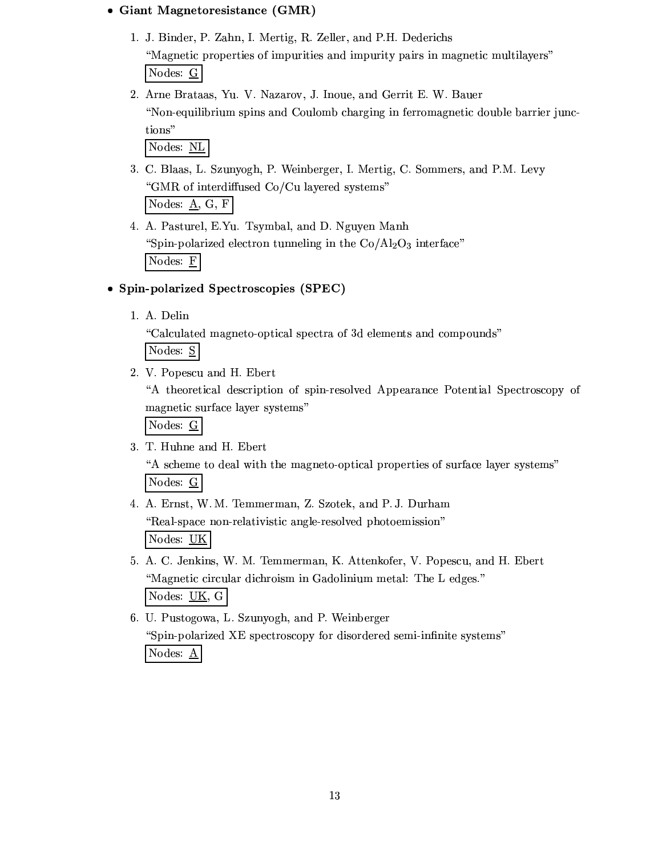#### • Giant Magnetoresistance (GMR)

- 1. J. Binder, P. Zahn, I. Mertig, R. Zeller, and P.H. Dederichs "Magnetic properties of impurities and impurity pairs in magnetic multilayers" Nodes: G
- 2. Arne Brataas, Yu. V. Nazarov, J. Inoue, and Gerrit E. W. Bauer "Non-equilibrium spins and Coulomb charging in ferromagnetic double barrier junctions"

Nodes: NL

3. C. Blaas, L. Szunyogh, P. Weinberger, I. Mertig, C. Sommers, and P.M. Levy "GMR of interdiffused Co/Cu layered systems"

Nodes:  $\underline{A}$ , G, F

4. A. Pasturel, E.Yu. Tsymbal, and D. Nguyen Manh "Spin-polarized electron tunneling in the  $Co/Al_2O_3$  interface" Nodes:  $\underline{F}$ 

### • Spin-polarized Spectroscopies (SPEC)

1. A. Delin

"Calculated magneto-optical spectra of 3d elements and compounds"

Nodes: S

2. V. Popescu and H. Ebert

"A theoretical description of spin-resolved Appearance Potential Spectroscopy of magnetic surface layer systems"

Nodes: G

3. T. Huhne and H. Ebert

"A scheme to deal with the magneto-optical properties of surface layer systems" Nodes: G

- 4. A. Ernst, W. M. Temmerman, Z. Szotek, and P. J. Durham "Real-space non-relativistic angle-resolved photoemission" Nodes: UK
- 5. A. C. Jenkins, W. M. Temmerman, K. Attenkofer, V. Popescu, and H. Ebert "Magnetic circular dichroism in Gadolinium metal: The L edges." Nodes: UK, G
- 6. U. Pustogowa, L. Szunyogh, and P. Weinberger "Spin-polarized XE spectroscopy for disordered semi-infinite systems" Nodes: A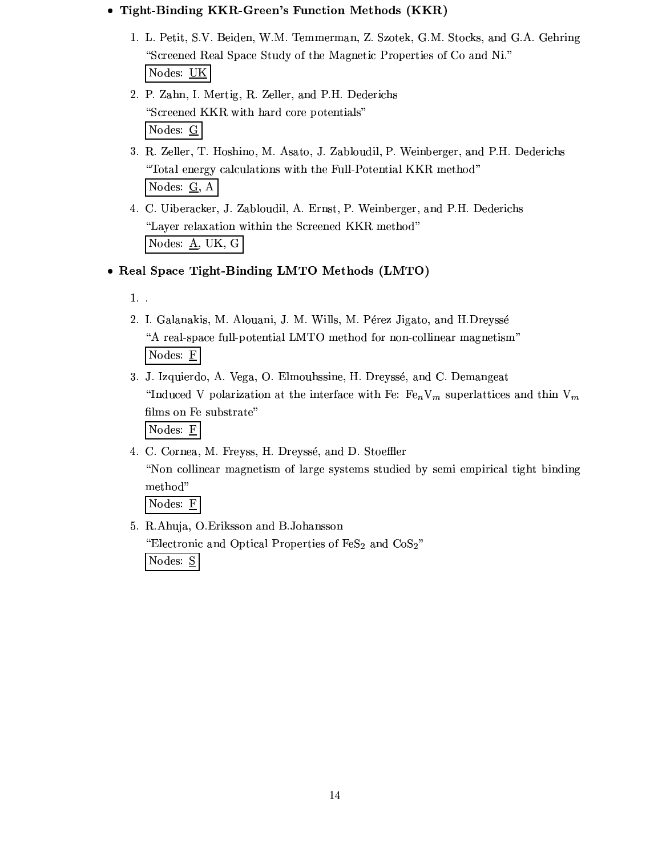### . Tight-Binding KKR-Green's Function Methods (KKR)

- 1. L. Petit, S.V. Beiden, W.M. Temmerman, Z. Szotek, G.M. Stocks, and G.A. Gehring "Screened Real Space Study of the Magnetic Properties of Co and Ni." Nodes: UK
- 2. P. Zahn, I. Mertig, R. Zeller, and P.H. Dederichs "Screened KKR with hard core potentials" Nodes:  $\underline{G}$
- 3. R. Zeller, T. Hoshino, M. Asato, J. Zabloudil, P. Weinberger, and P.H. Dederichs "Total energy calculations with the Full-Potential KKR method" Nodes:  $G$ , A
- 4. C. Uiberacker, J. Zabloudil, A. Ernst, P. Weinberger, and P.H. Dederichs "Layer relaxation within the Screened KKR method" Nodes:  $\underline{A}$ , UK, G
- Real Space Tight-Binding LMTO Methods (LMTO)
	- 1. .
	- 2. I. Galanakis, M. Alouani, J. M. Wills, M. Pérez Jigato, and H.Dreyssé "A real-space full-potential LMTO method for non-collinear magnetism" Nodes:  $F$
	- 3. J. Izquierdo, A. Vega, O. Elmouhssine, H. Dreyssé, and C. Demangeat "Induced V polarization at the interface with Fe:  $Fe_nV_m$  superlattices and thin  $V_m$ films on Fe substrate" Nodes:  $E$
	- 4. C. Cornea, M. Freyss, H. Dreyssé, and D. Stoeffler "Non collinear magnetism of large systems studied by semi empirical tight binding method"

Nodes: E

5. R.Ahuja, O.Eriksson and B.Johansson "Electronic and Optical Properties of  $\text{FeS}_2$  and  $\text{CoS}_2$ " Nodes: S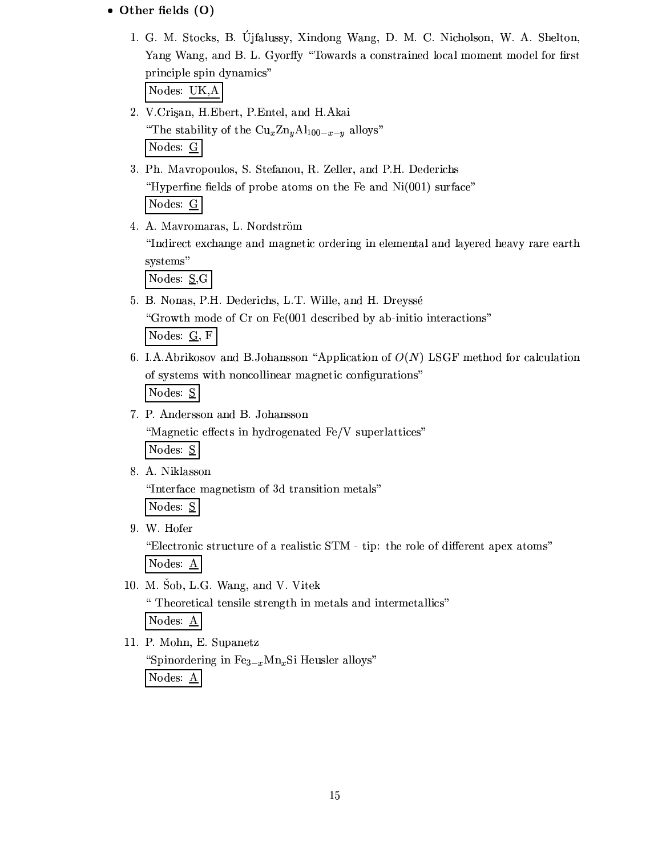### • Other fields (O)

1. G. M. Stocks, B. Ujfalussy, Xindong Wang, D. M. C. Nicholson, W. A. Shelton, Yang Wang, and B. L. Gyorffy "Towards a constrained local moment model for first principle spin dynamics"

Nodes: UK,A

- 2. V.Crigan, H.Ebert, P.Entel, and H.Akai "The stability of the  $\text{Cu}_x \text{Zn}_y \text{Al}_{100-x-y}$  alloys" Nodes:  $\underline{G}$
- 3. Ph. Mavropoulos, S. Stefanou, R. Zeller, and P.H. Dederichs "Hyperfine fields of probe atoms on the Fe and  $Ni(001)$  surface" Nodes: G
- 4. A. Mavromaras, L. Nordström "Indirect exchange and magnetic ordering in elemental and layered heavy rare earth systems"

Nodes:  $S_{\mathcal{S}}$ 

- 5. B. Nonas, P.H. Dederichs, L.T. Wille, and H. Dreyssé "Growth mode of Cr on Fe(001 described by ab-initio interactions" Nodes:  $G$ , F
- 6. I.A.Abrikosov and B.Johansson "Application of  $O(N)$  LSGF method for calculation of systems with noncollinear magnetic configurations" Nodes: S
- 7. P. Andersson and B. Johansson

"Magnetic effects in hydrogenated Fe/V superlattices"

Nodes: S

8. A. Niklasson

"Interface magnetism of 3d transition metals"

Nodes: S

9. W. Hofer

"Electronic structure of a realistic STM - tip: the role of different apex atoms" Nodes: A

10. M. Šob, L.G. Wang, and V. Vitek

" Theoretical tensile strength in metals and intermetallics"

Nodes:  $\underline{A}$ 

11. P. Mohn, E. Supanetz

"Spinordering in  $Fe_{3-x}Mn_xSi$  Heusler alloys" Nodes: A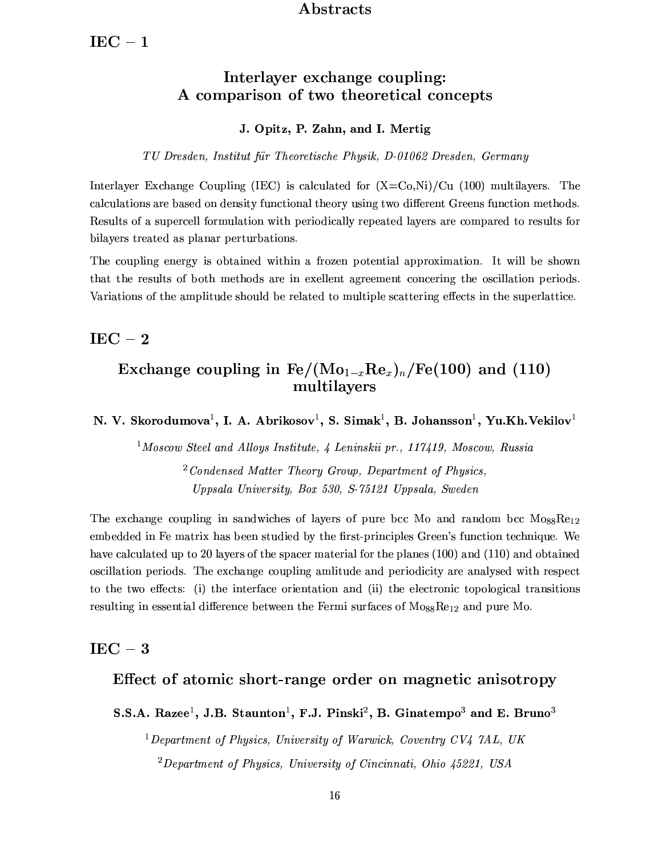### Abstracts

# Interlayer exchange coupling: A comparison of two theoretical concepts

#### J. Opitz, P. Zahn, and I. Mertig

TU Dresden, Institut für Theoretische Physik, D-01062 Dresden, Germany

Interlayer Exchange Coupling (IEC) is calculated for  $(X=C_0,N_i)/C_u$  (100) multilayers. The calculations are based on density functional theory using two different Greens function methods. Results of a supercell formulation with periodically repeated layers are compared to results for bilayers treated as planar perturbations.

The coupling energy is obtained within a frozen potential approximation. It will be shown that the results of both methods are in exellent agreement concering the oscillation periods. Variations of the amplitude should be related to multiple scattering effects in the superlattice.

### $IEC - 2$

# Exchange coupling in  $\text{Fe}/(\text{Mo}_{1-x}\text{Re}_x)_n/\text{Fe}(100)$  and (110) multilayers

N. V. Skorodumova<sup>1</sup>, I. A. Abrikosov<sup>1</sup>, S. Simak<sup>1</sup>, B. Johansson<sup>1</sup>, Yu.Kh.Vekilov<sup>1</sup>

<sup>1</sup>Moscow Steel and Alloys Institute, 4 Leninskii pr., 117419, Moscow, Russia

 $^{2}$ Condensed Matter Theory Group, Department of Physics, Uppsala University, Box 530, S-75121 Uppsala, Sweden

The exchange coupling in sandwiches of layers of pure bcc Mo and random bcc  $M_{0.88}$ Re<sub>12</sub> embedded in Fe matrix has been studied by the first-principles Green's function technique. We have calculated up to 20 layers of the spacer material for the planes (100) and (110) and obtained oscillation periods. The exchange coupling amilitude and periodicity are analysed with respect to the two effects: (i) the interface orientation and (ii) the electronic topological transitions resulting in essential difference between the Fermi surfaces of  $M_{088}$ Re<sub>12</sub> and pure Mo.

# $IEC - 3$

# Effect of atomic short-range order on magnetic anisotropy

S.S.A. Razee<sup>1</sup>, J.B. Staunton<sup>1</sup>, F.J. Pinski<sup>2</sup>, B. Ginatempo<sup>3</sup> and E. Bruno<sup>3</sup>

<sup>1</sup>Department of Physics, University of Warwick, Coventry CV4  $7AL$ , UK  ${}^{2}$ Department of Physics, University of Cincinnati, Ohio 45221, USA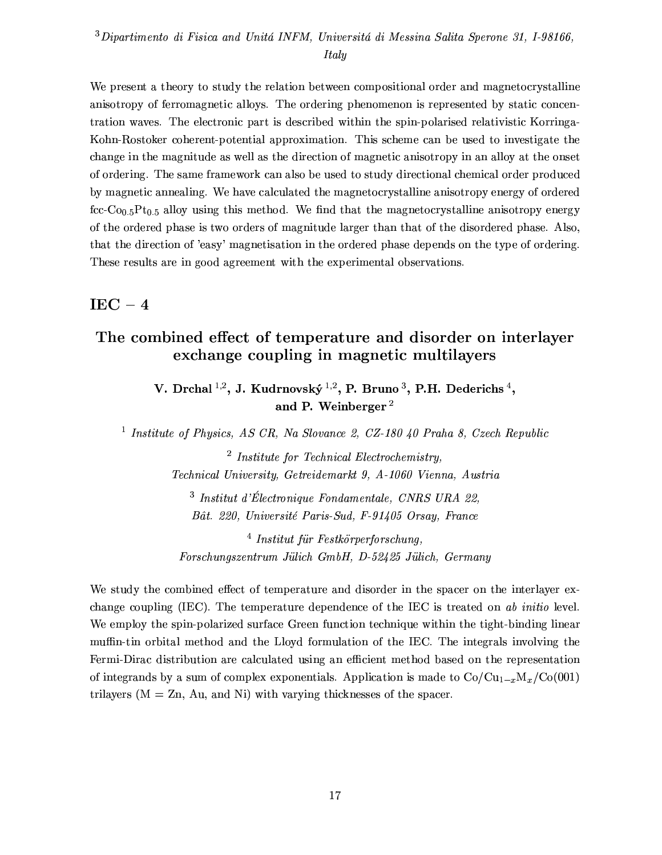### ${}^{3}$ Dipartimento di Fisica and Unitá INFM, Universitá di Messina Salita Sperone 31, I-98166. **Italy**

We present a theory to study the relation between compositional order and magnetocrystalline anisotropy of ferromagnetic alloys. The ordering phenomenon is represented by static concentration waves. The electronic part is described within the spin-polarised relativistic Korringa-Kohn-Rostoker coherent-potential approximation. This scheme can be used to investigate the change in the magnitude as well as the direction of magnetic anisotropy in an alloy at the onset of ordering. The same framework can also be used to study directional chemical order produced by magnetic annealing. We have calculated the magnetocrystalline anisotropy energy of ordered fcc-Co<sub>0.5</sub>Pt<sub>0.5</sub> alloy using this method. We find that the magnetocrystalline anisotropy energy of the ordered phase is two orders of magnitude larger than that of the disordered phase. Also, that the direction of 'easy' magnetisation in the ordered phase depends on the type of ordering. These results are in good agreement with the experimental observations.

### $IEC - 4$

# The combined effect of temperature and disorder on interlayer exchange coupling in magnetic multilayers

V. Drchal<sup>1,2</sup>, J. Kudrnovský<sup>1,2</sup>, P. Bruno<sup>3</sup>, P.H. Dederichs<sup>4</sup>, and P. Weinberger<sup>2</sup>

<sup>1</sup> Institute of Physics, AS CR, Na Slovance 2, CZ-180 40 Praha 8, Czech Republic

 $2$  Institute for Technical Electrochemistry, Technical University, Getreidemarkt 9, A-1060 Vienna, Austria

<sup>3</sup> Institut d'Électronique Fondamentale, CNRS URA 22, Bât. 220, Université Paris-Sud, F-91405 Orsay, France

 $4$  Institut für Festkörperforschung, Forschungszentrum Jülich GmbH, D-52425 Jülich, Germany

We study the combined effect of temperature and disorder in the spacer on the interlayer exchange coupling (IEC). The temperature dependence of the IEC is treated on ab initio level. We employ the spin-polarized surface Green function technique within the tight-binding linear muffin-tin orbital method and the Lloyd formulation of the IEC. The integrals involving the Fermi-Dirac distribution are calculated using an efficient method based on the representation of integrands by a sum of complex exponentials. Application is made to  $Co/Cu_{1-x}M_x/Co(001)$ trilayers ( $M = Zn$ , Au, and Ni) with varying thicknesses of the spacer.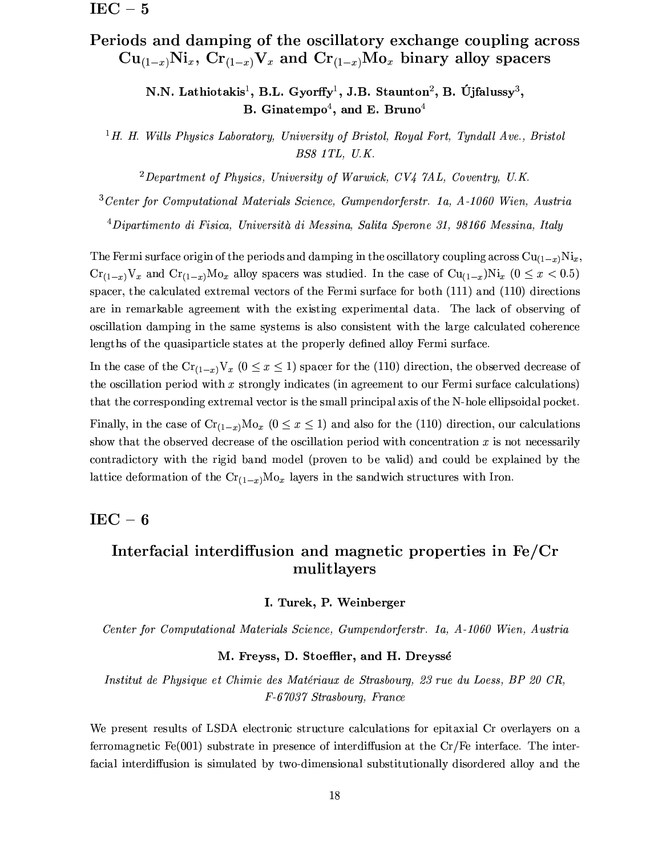# Periods and damping of the oscillatory exchange coupling across  $Cu_{(1-x)}Ni_x$ ,  $Cr_{(1-x)}V_x$  and  $Cr_{(1-x)}Mo_x$  binary alloy spacers

N.N. Lathiotakis<sup>1</sup>, B.L. Gyorffy<sup>1</sup>, J.B. Staunton<sup>2</sup>, B. Újfalussy<sup>3</sup>, B. Ginatempo<sup>4</sup>, and E. Bruno<sup>4</sup>

<sup>1</sup>H. H. Wills Physics Laboratory, University of Bristol, Royal Fort, Tyndall Ave., Bristol BS8 1TL, U.K.

<sup>2</sup>Department of Physics, University of Warwick,  $CV_4$   $7AL$ , Coventry, U.K.

 $3$  Center for Computational Materials Science, Gumpendorferstr. 1a, A-1060 Wien, Austria

<sup>4</sup>Dipartimento di Fisica, Università di Messina, Salita Sperone 31, 98166 Messina, Italy

The Fermi surface origin of the periods and damping in the oscillatory coupling across  $Cu_{(1-x)}Ni_x$ ,  $Cr_{(1-x)}V_x$  and  $Cr_{(1-x)}Mo_x$  alloy spacers was studied. In the case of  $Cu_{(1-x)}Ni_x$  ( $0 \le x < 0.5$ ) spacer, the calculated extremal vectors of the Fermi surface for both  $(111)$  and  $(110)$  directions are in remarkable agreement with the existing experimental data. The lack of observing of oscillation damping in the same systems is also consistent with the large calculated coherence lengths of the quasiparticle states at the properly defined alloy Fermi surface.

In the case of the  $Cr_{(1-x)}V_x$   $(0 \le x \le 1)$  spacer for the (110) direction, the observed decrease of the oscillation period with  $x$  strongly indicates (in agreement to our Fermi surface calculations) that the corresponding extremal vector is the small principal axis of the N-hole ellipsoidal pocket.

Finally, in the case of  $\text{Cr}_{(1-x)}\text{Mo}_x$  ( $0 \le x \le 1$ ) and also for the (110) direction, our calculations show that the observed decrease of the oscillation period with concentration  $x$  is not necessarily contradictory with the rigid band model (proven to be valid) and could be explained by the lattice deformation of the  $\text{Cr}_{(1-x)}\text{Mo}_x$  layers in the sandwich structures with Iron.

 $IEC - 6$ 

# Interfacial interdiffusion and magnetic properties in Fe/Cr mulitlayers

#### I. Turek, P. Weinberger

Center for Computational Materials Science, Gumpendorferstr. 1a, A-1060 Wien, Austria

#### M. Freyss, D. Stoeffler, and H. Dreyssé

Institut de Physique et Chimie des Matériaux de Strasbourg, 23 rue du Loess, BP 20 CR. F-67037 Strasbourg, France

We present results of LSDA electronic structure calculations for epitaxial Cr overlayers on a ferromagnetic Fe(001) substrate in presence of interdiffusion at the  $Cr/Fe$  interface. The interfacial interdiffusion is simulated by two-dimensional substitutionally disordered alloy and the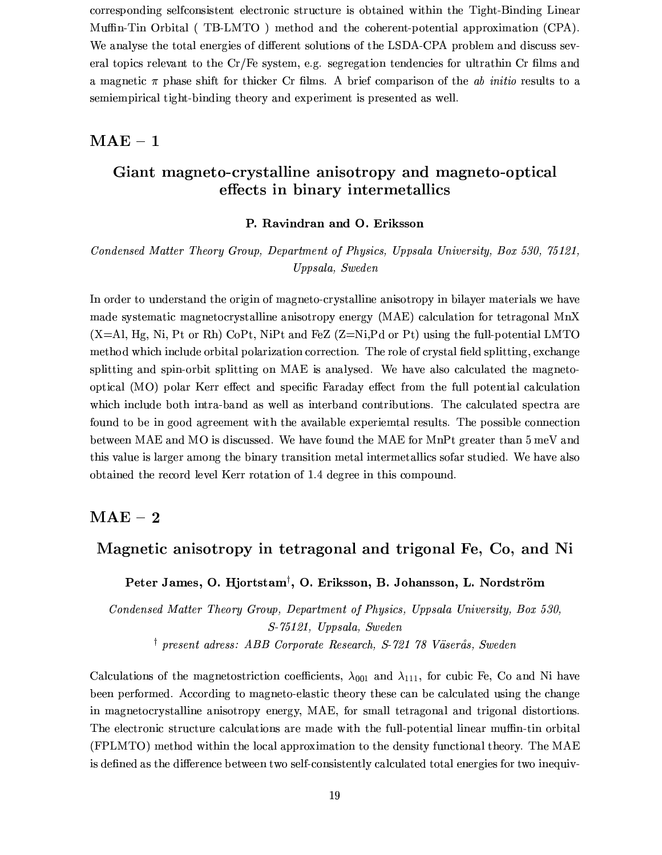corresponding selfconsistent electronic structure is obtained within the Tight-Binding Linear Muffin-Tin Orbital (TB-LMTO) method and the coherent-potential approximation (CPA). We analyse the total energies of different solutions of the LSDA-CPA problem and discuss several topics relevant to the  $Cr/Fe$  system, e.g. segregation tendencies for ultrathin  $Cr$  films and a magnetic  $\pi$  phase shift for thicker Cr films. A brief comparison of the ab initio results to a semiempirical tight-binding theory and experiment is presented as well.

### $\mathbf{MAE} - 1$

# Giant magneto-crystalline anisotropy and magneto-optical effects in binary intermetallics

#### P. Ravindran and O. Eriksson

Condensed Matter Theory Group. Department of Physics. Uppsala University. Box 530, 75121. Uppsala, Sweden

In order to understand the origin of magneto-crystalline anisotropy in bilayer materials we have made systematic magnetocrystalline anisotropy energy (MAE) calculation for tetragonal MnX  $(X=Al, Hg, Ni, Pt or Rh)$  CoPt, NiPt and FeZ  $(Z=Ni, Pd)$  or Pt) using the full-potential LMTO method which include orbital polarization correction. The role of crystal field splitting, exchange splitting and spin-orbit splitting on MAE is analysed. We have also calculated the magnetooptical (MO) polar Kerr effect and specific Faraday effect from the full potential calculation which include both intra-band as well as interband contributions. The calculated spectra are found to be in good agreement with the available experiental results. The possible connection between MAE and MO is discussed. We have found the MAE for MnPt greater than 5 meV and this value is larger among the binary transition metal intermetallics sofar studied. We have also obtained the record level Kerr rotation of 1.4 degree in this compound.

### $\mathbf{MAE}-\mathbf{2}$

# Magnetic anisotropy in tetragonal and trigonal Fe, Co, and Ni

Peter James, O. Hjortstam<sup>†</sup>, O. Eriksson, B. Johansson, L. Nordström

Condensed Matter Theory Group, Department of Physics, Uppsala University, Box 530, S-75121, Uppsala, Sweden <sup>†</sup> present adress: ABB Corporate Research, S-721 78 Väserås, Sweden

Calculations of the magnetostriction coefficients,  $\lambda_{001}$  and  $\lambda_{111}$ , for cubic Fe, Co and Ni have been performed. According to magneto-elastic theory these can be calculated using the change in magnetocrystalline anisotropy energy, MAE, for small tetragonal and trigonal distortions. The electronic structure calculations are made with the full-potential linear muffin-tin orbital (FPLMTO) method within the local approximation to the density functional theory. The MAE is defined as the difference between two self-consistently calculated total energies for two inequiv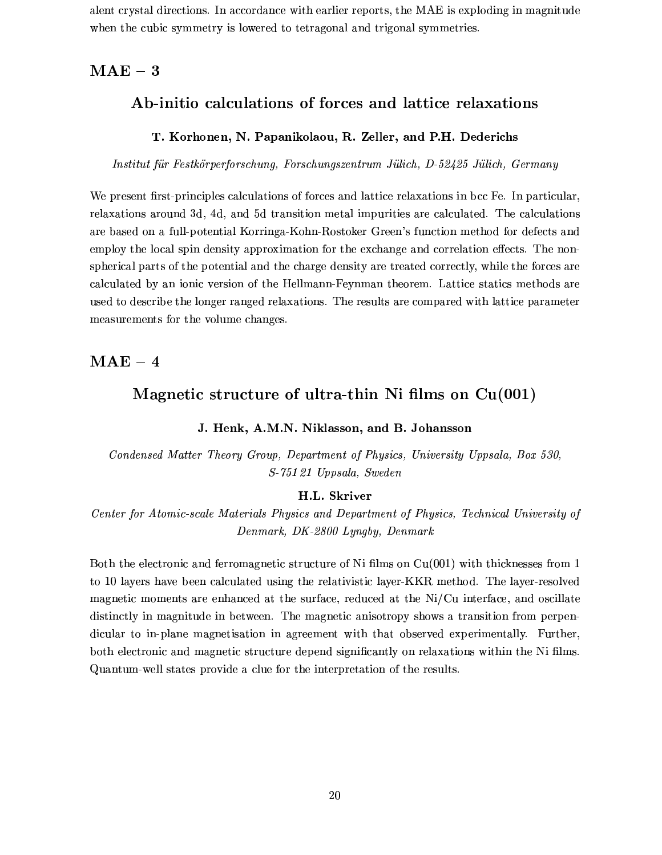alent crystal directions. In accordance with earlier reports, the MAE is exploding in magnitude when the cubic symmetry is lowered to tetragonal and trigonal symmetries.

### $MAE - 3$

### Ab-initio calculations of forces and lattice relaxations

#### T. Korhonen, N. Papanikolaou, R. Zeller, and P.H. Dederichs

Institut für Festkörperforschung, Forschungszentrum Jülich, D-52425 Jülich, Germany

We present first-principles calculations of forces and lattice relaxations in bcc Fe. In particular, relaxations around 3d, 4d, and 5d transition metal impurities are calculated. The calculations are based on a full-potential Korringa-Kohn-Rostoker Green's function method for defects and employ the local spin density approximation for the exchange and correlation effects. The nonspherical parts of the potential and the charge density are treated correctly, while the forces are calculated by an ionic version of the Hellmann-Feynman theorem. Lattice statics methods are used to describe the longer ranged relaxations. The results are compared with lattice parameter measurements for the volume changes.

#### $\mathrm{MAE}-4$

### Magnetic structure of ultra-thin Ni films on  $Cu(001)$

#### J. Henk, A.M.N. Niklasson, and B. Johansson

Condensed Matter Theory Group, Department of Physics, University Uppsala, Box 530, S-75121 Uppsala, Sweden

#### H.L. Skriver

Center for Atomic-scale Materials Physics and Department of Physics, Technical University of Denmark, DK-2800 Lyngby, Denmark

Both the electronic and ferromagnetic structure of Ni films on  $Cu(001)$  with thicknesses from 1 to 10 layers have been calculated using the relativistic layer-KKR method. The layer-resolved magnetic moments are enhanced at the surface, reduced at the Ni/Cu interface, and oscillate distinctly in magnitude in between. The magnetic anisotropy shows a transition from perpendicular to in-plane magnetisation in agreement with that observed experimentally. Further, both electronic and magnetic structure depend significantly on relaxations within the Ni films. Quantum-well states provide a clue for the interpretation of the results.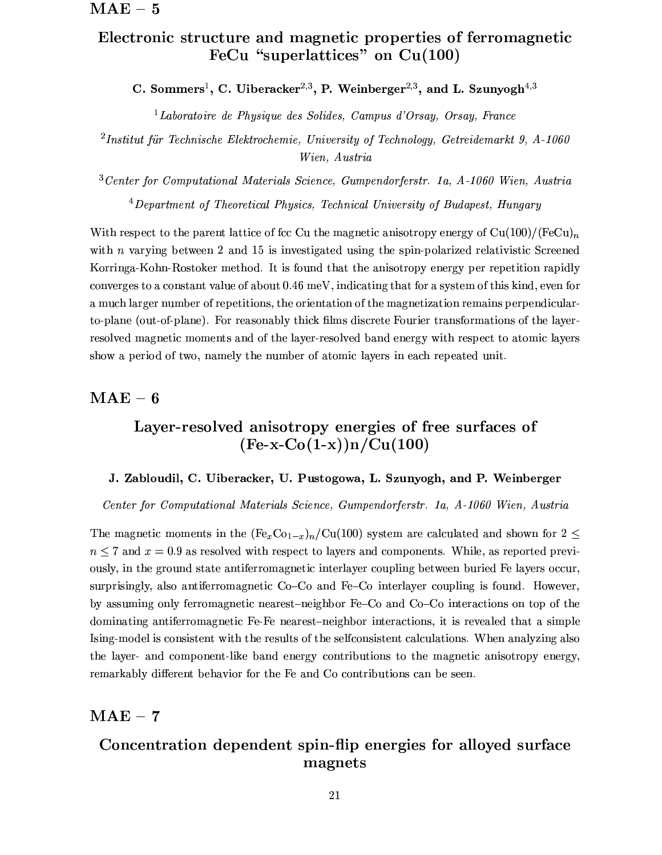# Electronic structure and magnetic properties of ferromagnetic FeCu "superlattices" on  $Cu(100)$

C. Sommers<sup>1</sup>, C. Uiberacker<sup>2,3</sup>, P. Weinberger<sup>2,3</sup>, and L. Szunyogh<sup>4,3</sup>

<sup>1</sup>Laboratoire de Physique des Solides, Campus d'Orsay, Orsay, France

<sup>2</sup>Institut für Technische Elektrochemie, University of Technology, Getreidemarkt 9, A-1060 Wien, Austria

 $3$  Center for Computational Materials Science, Gumpendorferstr. 1a, A-1060 Wien, Austria  $4$  Department of Theoretical Physics, Technical University of Budapest, Hungary

With respect to the parent lattice of fcc Cu the magnetic anisotropy energy of  $Cu(100)/(FeCu)<sub>n</sub>$ with  $n$  varying between 2 and 15 is investigated using the spin-polarized relativistic Screened Korringa-Kohn-Rostoker method. It is found that the anisotropy energy per repetition rapidly converges to a constant value of about 0.46 meV, indicating that for a system of this kind, even for a much larger number of repetitions, the orientation of the magnetization remains perpendicularto-plane (out-of-plane). For reasonably thick films discrete Fourier transformations of the layerresolved magnetic moments and of the layer-resolved band energy with respect to atomic layers show a period of two, namely the number of atomic layers in each repeated unit.

### $MAE - 6$

# Layer-resolved anisotropy energies of free surfaces of  $(Fe-x-Co(1-x))n/Cu(100)$

#### J. Zabloudil, C. Uiberacker, U. Pustogowa, L. Szunyogh, and P. Weinberger

Center for Computational Materials Science, Gumpendorferstr. 1a, A-1060 Wien, Austria

The magnetic moments in the  $(Fe<sub>x</sub>Co<sub>1-x</sub>)<sub>n</sub>/Cu(100)$  system are calculated and shown for  $2 \le$  $n \leq 7$  and  $x = 0.9$  as resolved with respect to layers and components. While, as reported previously, in the ground state antiferromagnetic interlayer coupling between buried Fe layers occur, surprisingly, also antiferromagnetic Co–Co and Fe–Co interlayer coupling is found. However, by assuming only ferromagnetic nearest-neighbor Fe-Co and Co-Co interactions on top of the dominating antiferromagnetic Fe-Fe nearest-neighbor interactions, it is revealed that a simple Ising-model is consistent with the results of the selfconsistent calculations. When analyzing also the layer- and component-like band energy contributions to the magnetic anisotropy energy, remarkably different behavior for the Fe and Co contributions can be seen.

#### $\mathrm{\mathbf{MAE}}-7$

# Concentration dependent spin-flip energies for alloyed surface magnets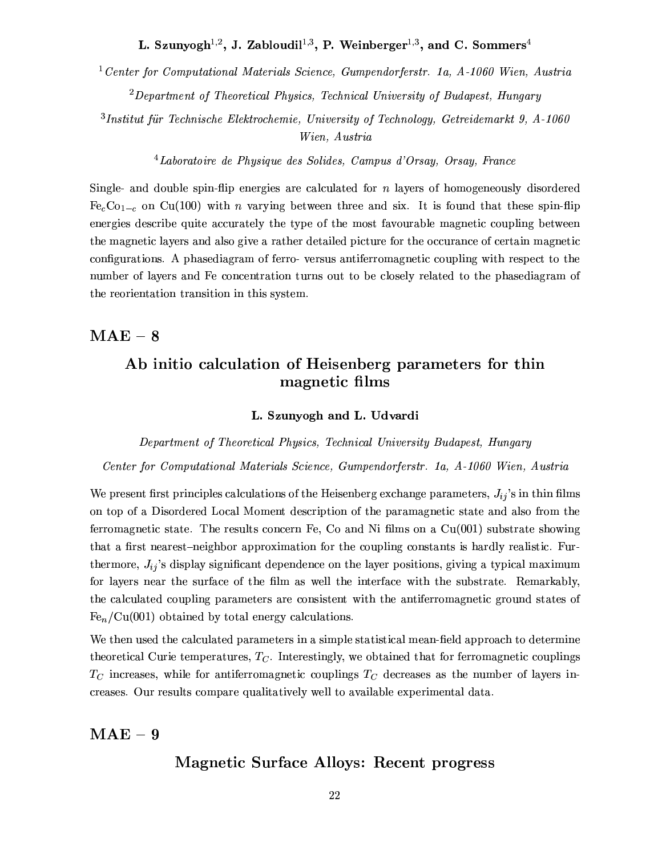L. Szunyogh<sup>1,2</sup>, J. Zabloudil<sup>1,3</sup>, P. Weinberger<sup>1,3</sup>, and C. Sommers<sup>4</sup>

<sup>1</sup> Center for Computational Materials Science, Gumpendorferstr. 1a,  $A-1060$  Wien, Austria

 ${}^{2}$ Department of Theoretical Physics, Technical University of Budapest, Hungary

 $3$ Institut für Technische Elektrochemie, University of Technology, Getreidemarkt 9, A-1060 Wien, Austria

 ${}^{4}$ Laboratoire de Physique des Solides, Campus d'Orsay, Orsay, France

Single- and double spin-flip energies are calculated for  $n$  layers of homogeneously disordered  $Fe<sub>c</sub>Co<sub>1-c</sub>$  on Cu(100) with *n* varying between three and six. It is found that these spin-flip energies describe quite accurately the type of the most favourable magnetic coupling between the magnetic layers and also give a rather detailed picture for the occurance of certain magnetic configurations. A phase diagram of ferro-versus antiferromagnetic coupling with respect to the number of layers and Fe concentration turns out to be closely related to the phase diagram of the reorientation transition in this system.

### $MAE - 8$

# Ab initio calculation of Heisenberg parameters for thin magnetic films

#### L. Szunyogh and L. Udvardi

#### Department of Theoretical Physics, Technical University Budapest, Hungary

Center for Computational Materials Science, Gumpendorferstr. 1a, A-1060 Wien, Austria

We present first principles calculations of the Heisenberg exchange parameters,  $J_{ij}$ 's in thin films on top of a Disordered Local Moment description of the paramagnetic state and also from the ferromagnetic state. The results concern Fe, Co and Ni films on a  $Cu(001)$  substrate showing that a first nearest-neighbor approximation for the coupling constants is hardly realistic. Furthermore,  $J_{ij}$ 's display significant dependence on the layer positions, giving a typical maximum for layers near the surface of the film as well the interface with the substrate. Remarkably, the calculated coupling parameters are consistent with the antiferromagnetic ground states of  $Fe_n/Cu(001)$  obtained by total energy calculations.

We then used the calculated parameters in a simple statistical mean-field approach to determine theoretical Curie temperatures,  $T_C$ . Interestingly, we obtained that for ferromagnetic couplings  $T_C$  increases, while for antiferromagnetic couplings  $T_C$  decreases as the number of layers increases. Our results compare qualitatively well to available experimental data.

### $MAE - 9$

### **Magnetic Surface Alloys: Recent progress**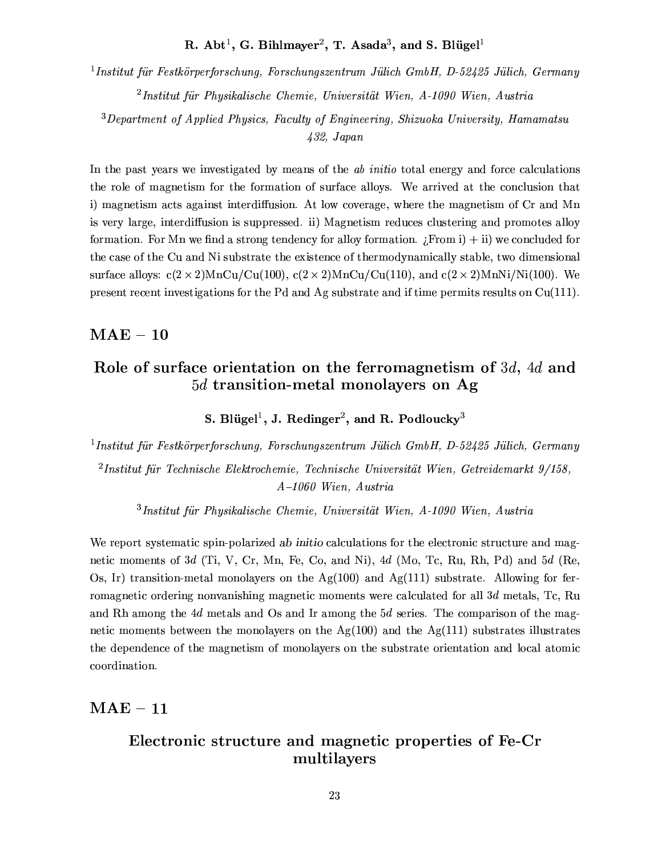# R. Abt<sup>1</sup>, G. Bihlmayer<sup>2</sup>, T. Asada<sup>3</sup>, and S. Blügel<sup>1</sup>

<sup>1</sup>Institut für Festkörperforschung, Forschungszentrum Jülich GmbH, D-52425 Jülich, Germany  $^{2}$ Institut für Physikalische Chemie, Universität Wien, A-1090 Wien, Austria

<sup>3</sup>Department of Applied Physics, Faculty of Engineering, Shizuoka University, Hamamatsu  $432, Japan$ 

In the past years we investigated by means of the ab initial total energy and force calculations the role of magnetism for the formation of surface alloys. We arrived at the conclusion that i) magnetism acts against interdiffusion. At low coverage, where the magnetism of Cr and Mn is very large, interdiffusion is suppressed. ii) Magnetism reduces clustering and promotes alloy formation. For Mn we find a strong tendency for alloy formation.  $F_{\text{F}}(m_i)$  i) we concluded for the case of the Cu and Ni substrate the existence of thermodynamically stable, two dimensional surface alloys:  $c(2 \times 2)$ MnCu/Cu(100),  $c(2 \times 2)$ MnCu/Cu(110), and  $c(2 \times 2)$ MnNi/Ni(100). We present recent investigations for the Pd and Ag substrate and if time permits results on  $Cu(111)$ .

### $\mathrm{MAE}-10$

# Role of surface orientation on the ferromagnetism of 3d, 4d and  $5d$  transition-metal monolayers on Ag

S. Blügel<sup>1</sup>, J. Redinger<sup>2</sup>, and R. Podloucky<sup>3</sup>

<sup>1</sup>Institut für Festkörperforschung, Forschungszentrum Jülich GmbH, D-52425 Jülich, Germany  ${}^{2}$ Institut für Technische Elektrochemie, Technische Universität Wien, Getreidemarkt 9/158,  $A-1060$  Wien, Austria

 $3$ Institut für Physikalische Chemie, Universität Wien, A-1090 Wien, Austria

We report systematic spin-polarized ab initio calculations for the electronic structure and magnetic moments of 3d (Ti, V, Cr, Mn, Fe, Co, and Ni), 4d (Mo, Tc, Ru, Rh, Pd) and 5d (Re, Os, Ir) transition-metal monolayers on the  $Ag(100)$  and  $Ag(111)$  substrate. Allowing for ferromagnetic ordering nonvanishing magnetic moments were calculated for all  $3d$  metals, Tc, Ru and Rh among the 4d metals and Os and Ir among the 5d series. The comparison of the magnetic moments between the monolayers on the Ag(100) and the Ag(111) substrates illustrates the dependence of the magnetism of monolayers on the substrate orientation and local atomic coordination.

 $\mathrm{MAE}-11$ 

# Electronic structure and magnetic properties of Fe-Cr multilayers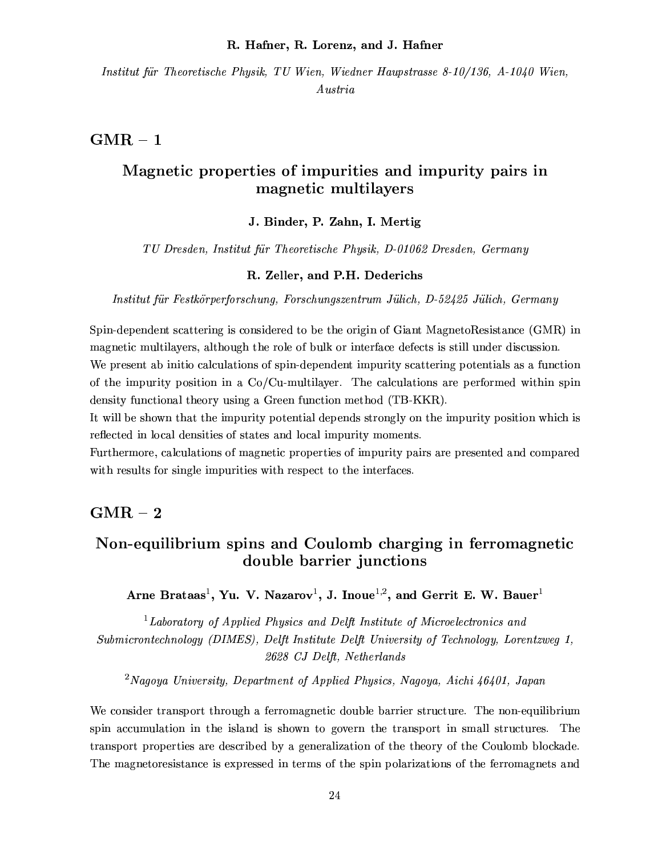#### R. Hafner, R. Lorenz, and J. Hafner

Institut für Theoretische Physik, TU Wien, Wiedner Haupstrasse 8-10/136, A-1040 Wien,  $A$ ustria

### $GMR - 1$

# Magnetic properties of impurities and impurity pairs in magnetic multilayers

#### J. Binder, P. Zahn, I. Mertig

TU Dresden, Institut für Theoretische Physik, D-01062 Dresden, Germany

#### R. Zeller, and P.H. Dederichs

Institut für Festkörperforschung, Forschungszentrum Jülich, D-52425 Jülich, Germany

Spin-dependent scattering is considered to be the origin of Giant MagnetoResistance (GMR) in magnetic multilayers, although the role of bulk or interface defects is still under discussion. We present ab initio calculations of spin-dependent impurity scattering potentials as a function of the impurity position in a  $Co/Cu$ -multilayer. The calculations are performed within spin density functional theory using a Green function method (TB-KKR).

It will be shown that the impurity potential depends strongly on the impurity position which is reflected in local densities of states and local impurity moments.

Furthermore, calculations of magnetic properties of impurity pairs are presented and compared with results for single impurities with respect to the interfaces.

### $GMR - 2$

# Non-equilibrium spins and Coulomb charging in ferromagnetic double barrier junctions

Arne Brataas<sup>1</sup>, Yu. V. Nazarov<sup>1</sup>, J. Inoue<sup>1,2</sup>, and Gerrit E. W. Bauer<sup>1</sup>

<sup>1</sup>Laboratory of Applied Physics and Delft Institute of Microelectronics and Submicrontechnology (DIMES), Delft Institute Delft University of Technology, Lorentzweg 1, 2628 CJ Delft, Netherlands

<sup>2</sup>Nagoya University, Department of Applied Physics, Nagoya, Aichi 46401, Japan

We consider transport through a ferromagnetic double barrier structure. The non-equilibrium spin accumulation in the island is shown to govern the transport in small structures. The transport properties are described by a generalization of the theory of the Coulomb blockade. The magnetoresistance is expressed in terms of the spin polarizations of the ferromagnets and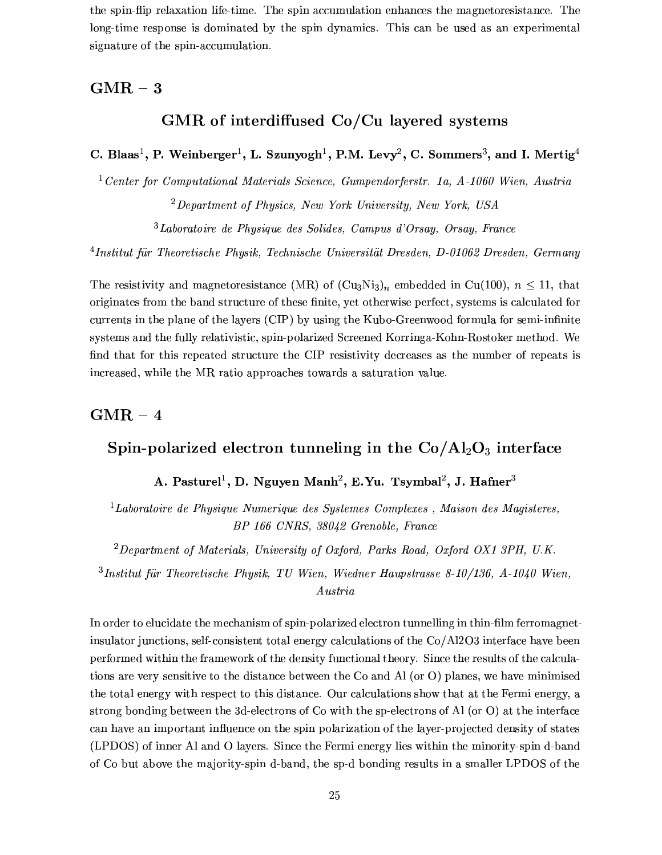the spin-flip relaxation life-time. The spin accumulation enhances the magnetoresistance. The long-time response is dominated by the spin dynamics. This can be used as an experimental signature of the spin-accumulation.

### $GMR-3$

# GMR of interdiffused Co/Cu layered systems

C. Blaas<sup>1</sup>, P. Weinberger<sup>1</sup>, L. Szunyogh<sup>1</sup>, P.M. Levy<sup>2</sup>, C. Sommers<sup>3</sup>, and I. Mertig<sup>4</sup>

<sup>1</sup> Center for Computational Materials Science, Gumpendorferstr. 1a,  $A$ -1060 Wien, Austria  ${}^{2}$ Department of Physics, New York University, New York, USA

 $3$ Laboratoire de Physique des Solides. Campus d'Orsay. Orsay. France

<sup>4</sup>Institut für Theoretische Physik, Technische Universität Dresden, D-01062 Dresden, Germany

The resistivity and magnetoresistance (MR) of  $(Cu_3Ni_3)_n$  embedded in Cu(100),  $n \le 11$ , that originates from the band structure of these finite, yet otherwise perfect, systems is calculated for currents in the plane of the layers (CIP) by using the Kubo-Greenwood formula for semi-infinite systems and the fully relativistic, spin-polarized Screened Korringa-Kohn-Rostoker method. We find that for this repeated structure the CIP resistivity decreases as the number of repeats is increased, while the MR ratio approaches towards a saturation value.

### $GMR - 4$

# Spin-polarized electron tunneling in the  $Co/Al_2O_3$  interface

# A. Pasturel<sup>1</sup>, D. Nguyen Manh<sup>2</sup>, E.Yu. Tsymbal<sup>2</sup>, J. Hafner<sup>3</sup>

<sup>1</sup>Laboratoire de Physique Numerique des Systemes Complexes, Maison des Magisteres, BP 166 CNRS, 38042 Grenoble, France

 ${}^{2}Department$  of Materials, University of Oxford, Parks Road, Oxford OX1 3PH, U.K.

 $3$ Institut für Theoretische Physik, TU Wien, Wiedner Haupstrasse 8-10/136, A-1040 Wien, Austria

In order to elucidate the mechanism of spin-polarized electron tunnelling in thin-film ferromagnetinsulator junctions, self-consistent total energy calculations of the Co/Al2O3 interface have been performed within the framework of the density functional theory. Since the results of the calculations are very sensitive to the distance between the Co and Al (or O) planes, we have minimised the total energy with respect to this distance. Our calculations show that at the Fermi energy, a strong bonding between the 3d-electrons of Co with the sp-electrons of Al (or O) at the interface can have an important influence on the spin polarization of the layer-projected density of states (LPDOS) of inner Al and O layers. Since the Fermi energy lies within the minority-spin d-band of Co but above the majority-spin d-band, the sp-d bonding results in a smaller LPDOS of the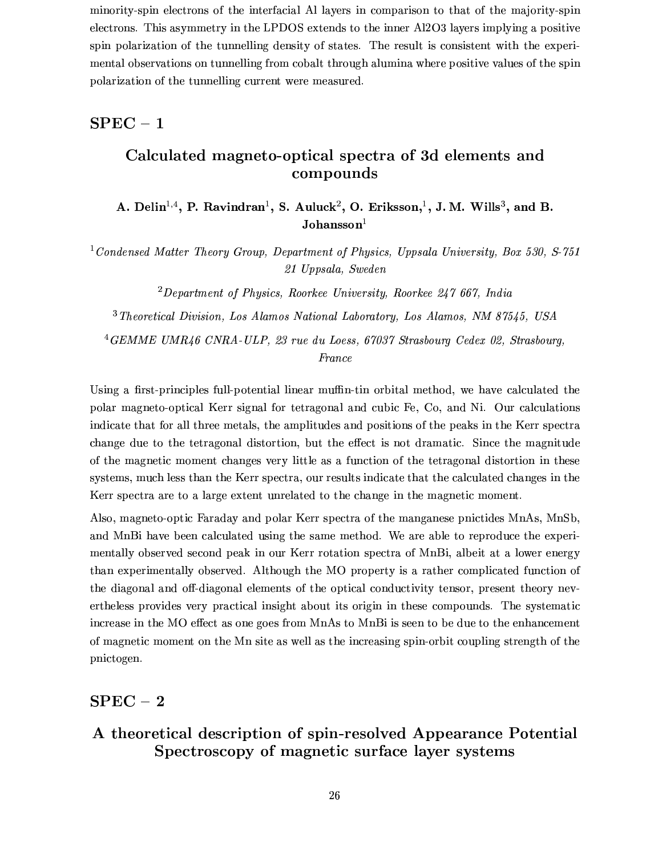minority-spin electrons of the interfacial Al layers in comparison to that of the majority-spin electrons. This asymmetry in the LPDOS extends to the inner Al2O3 layers implying a positive spin polarization of the tunnelling density of states. The result is consistent with the experimental observations on tunnelling from cobalt through alumina where positive values of the spin polarization of the tunnelling current were measured.

### $SPEC - 1$

# Calculated magneto-optical spectra of 3d elements and compounds

A. Delin<sup>1,4</sup>, P. Ravindran<sup>1</sup>, S. Auluck<sup>2</sup>, O. Eriksson,<sup>1</sup>, J. M. Wills<sup>3</sup>, and B.  $\mathbf{Johansson}^{1}$ 

<sup>1</sup> Condensed Matter Theory Group, Department of Physics, Uppsala University, Box 530, S-751 21 Uppsala, Sweden

 ${}^{2}$ Department of Physics, Roorkee University, Roorkee 247 667, India

<sup>3</sup> Theoretical Division, Los Alamos National Laboratory, Los Alamos, NM 87545, USA

<sup>4</sup>GEMME UMR46 CNRA-ULP, 23 rue du Loess, 67037 Strasbourg Cedex 02, Strasbourg, France

Using a first-principles full-potential linear muffin-tin orbital method, we have calculated the polar magneto-optical Kerr signal for tetragonal and cubic Fe, Co, and Ni. Our calculations indicate that for all three metals, the amplitudes and positions of the peaks in the Kerr spectra change due to the tetragonal distortion, but the effect is not dramatic. Since the magnitude of the magnetic moment changes very little as a function of the tetragonal distortion in these systems, much less than the Kerr spectra, our results indicate that the calculated changes in the Kerr spectra are to a large extent unrelated to the change in the magnetic moment.

Also, magneto-optic Faraday and polar Kerr spectra of the manganese pnictides MnAs, MnSb, and MnBi have been calculated using the same method. We are able to reproduce the experimentally observed second peak in our Kerr rotation spectra of MnBi, albeit at a lower energy than experimentally observed. Although the MO property is a rather complicated function of the diagonal and off-diagonal elements of the optical conductivity tensor, present theory nevertheless provides very practical insight about its origin in these compounds. The systematic increase in the MO effect as one goes from MnAs to MnBi is seen to be due to the enhancement of magnetic moment on the Mn site as well as the increasing spin-orbit coupling strength of the pnictogen.

### $SPEC-2$

# A theoretical description of spin-resolved Appearance Potential Spectroscopy of magnetic surface layer systems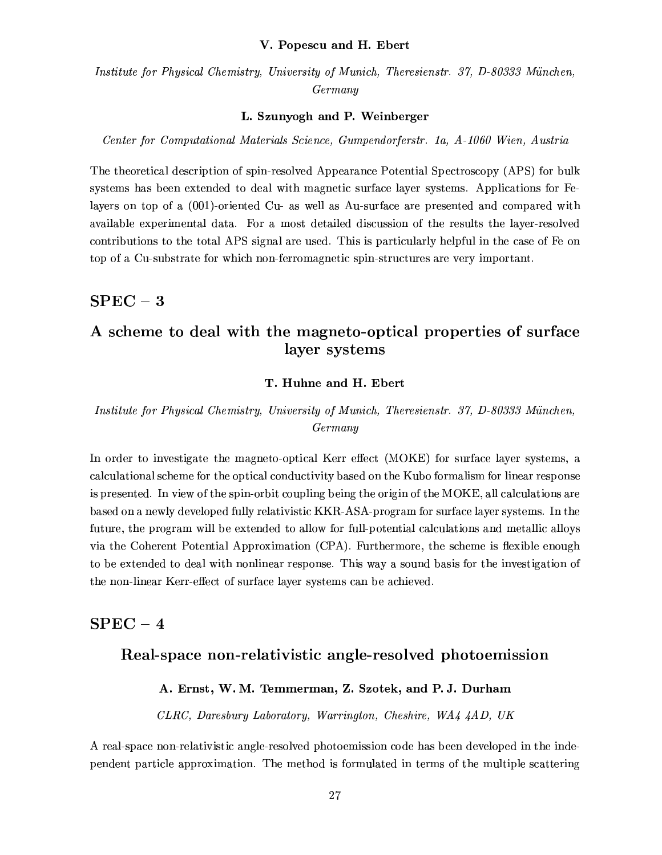#### V. Popescu and H. Ebert

Institute for Physical Chemistry, University of Munich, Theresienstr. 37, D-80333 München, Germany

#### L. Szunyogh and P. Weinberger

Center for Computational Materials Science, Gumpendorferstr. 1a, A-1060 Wien, Austria

The theoretical description of spin-resolved Appearance Potential Spectroscopy (APS) for bulk systems has been extended to deal with magnetic surface layer systems. Applications for Felayers on top of a (001)-oriented Cu- as well as Au-surface are presented and compared with available experimental data. For a most detailed discussion of the results the layer-resolved contributions to the total APS signal are used. This is particularly helpful in the case of Fe on top of a Cu-substrate for which non-ferromagnetic spin-structures are very important.

# $SPEC - 3$

# A scheme to deal with the magneto-optical properties of surface layer systems

#### T. Huhne and H. Ebert

### Institute for Physical Chemistry, University of Munich, Theresienstr. 37, D-80333 München, Germany

In order to investigate the magneto-optical Kerr effect (MOKE) for surface layer systems, a calculational scheme for the optical conductivity based on the Kubo formalism for linear response is presented. In view of the spin-orbit coupling being the origin of the MOKE, all calculations are based on a newly developed fully relativistic KKR-ASA-program for surface layer systems. In the future, the program will be extended to allow for full-potential calculations and metallic alloys via the Coherent Potential Approximation (CPA). Furthermore, the scheme is flexible enough to be extended to deal with nonlinear response. This way a sound basis for the investigation of the non-linear Kerr-effect of surface layer systems can be achieved.

### $SPEC - 4$

### Real-space non-relativistic angle-resolved photoemission

#### A. Ernst, W. M. Temmerman, Z. Szotek, and P. J. Durham

CLRC, Daresbury Laboratory, Warrington, Cheshire, WA4 4AD, UK

A real-space non-relativistic angle-resolved photoemission code has been developed in the independent particle approximation. The method is formulated in terms of the multiple scattering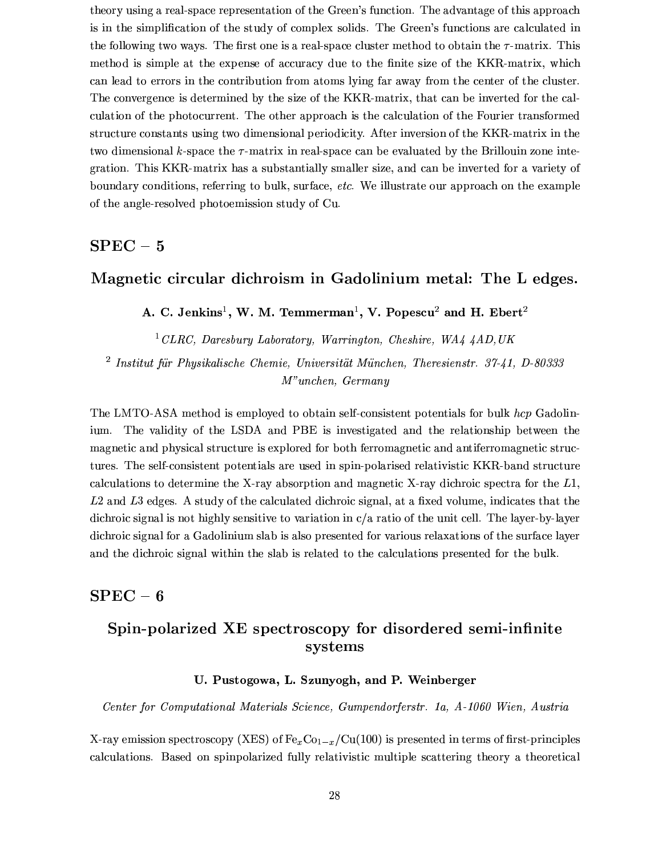theory using a real-space representation of the Green's function. The advantage of this approach is in the simplification of the study of complex solids. The Green's functions are calculated in the following two ways. The first one is a real-space cluster method to obtain the  $\tau$ -matrix. This method is simple at the expense of accuracy due to the finite size of the KKR-matrix, which can lead to errors in the contribution from atoms lying far away from the center of the cluster. The convergence is determined by the size of the KKR-matrix, that can be inverted for the calculation of the photocurrent. The other approach is the calculation of the Fourier transformed structure constants using two dimensional periodicity. After inversion of the KKR-matrix in the two dimensional k-space the  $\tau$ -matrix in real-space can be evaluated by the Brillouin zone integration. This KKR-matrix has a substantially smaller size, and can be inverted for a variety of boundary conditions, referring to bulk, surface, etc. We illustrate our approach on the example of the angle-resolved photoemission study of Cu.

# $SPEC-5$

### Magnetic circular dichroism in Gadolinium metal: The L edges.

A. C. Jenkins<sup>1</sup>, W. M. Temmerman<sup>1</sup>, V. Popescu<sup>2</sup> and H. Ebert<sup>2</sup>

<sup>1</sup> CLRC, Daresbury Laboratory, Warrington, Cheshire, WA4  $4AD, UK$ 

 $2$  Institut für Physikalische Chemie, Universität München, Theresienstr. 37-41, D-80333  $M<sup>n</sup>unchen, *Germany*$ 

The LMTO-ASA method is employed to obtain self-consistent potentials for bulk hcp Gadolin-The validity of the LSDA and PBE is investigated and the relationship between the ium. magnetic and physical structure is explored for both ferromagnetic and antiferromagnetic structures. The self-consistent potentials are used in spin-polarised relativistic KKR-band structure calculations to determine the X-ray absorption and magnetic X-ray dichroic spectra for the  $L1$ , L2 and L3 edges. A study of the calculated dichroic signal, at a fixed volume, indicates that the dichroic signal is not highly sensitive to variation in  $c/a$  ratio of the unit cell. The layer-by-layer dichroic signal for a Gadolinium slab is also presented for various relaxations of the surface layer and the dichroic signal within the slab is related to the calculations presented for the bulk.

### ${\bf SPEC-6}$

# Spin-polarized XE spectroscopy for disordered semi-infinite systems

#### U. Pustogowa, L. Szunyogh, and P. Weinberger

Center for Computational Materials Science, Gumpendorferstr. 1a, A-1060 Wien, Austria

X-ray emission spectroscopy (XES) of  $Fe_xCo_{1-x}/Cu(100)$  is presented in terms of first-principles calculations. Based on spinpolarized fully relativistic multiple scattering theory a theoretical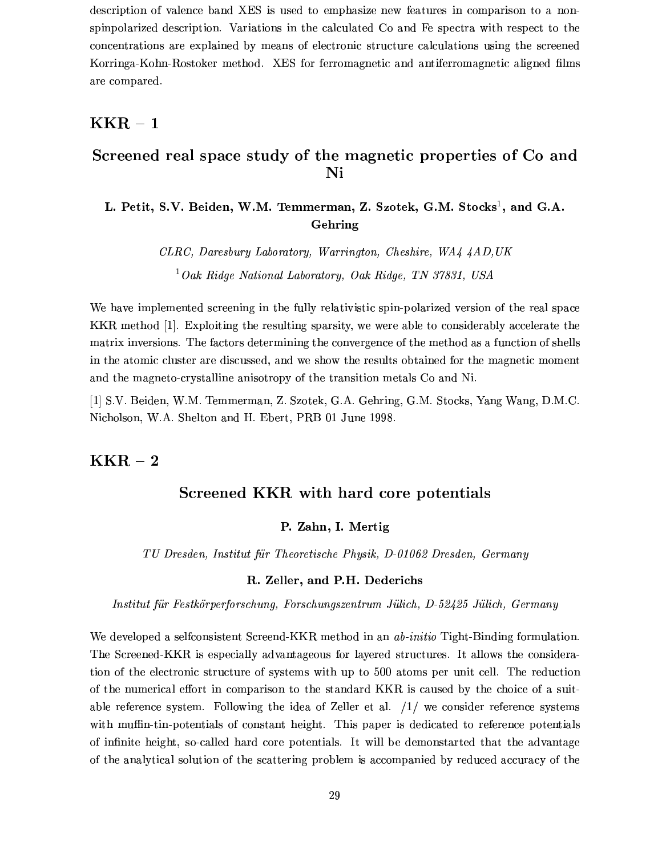description of valence band XES is used to emphasize new features in comparison to a nonspin-polarized description. Variations in the calculated Co and Fe spectra with respect to the concentrations are explained by means of electronic structure calculations using the screened Korringa-Kohn-Rostoker method. XES for ferromagnetic and antiferromagnetic aligned films are compared.

### $KKR - 1$

## Screened real space study of the magnetic properties of Co and Ni

### L. Petit, S.V. Beiden, W.M. Temmerman, Z. Szotek, G.M. Stocks<sup>1</sup>, and G.A. Gehring

CLRC, Daresbury Laboratory, Warrington, Cheshire, WA4 4AD, UK  ${}^{1}Qak$  Ridge National Laboratory, Oak Ridge, TN 37831, USA

We have implemented screening in the fully relativistic spin-polarized version of the real space KKR method [1]. Exploiting the resulting sparsity, we were able to considerably accelerate the matrix inversions. The factors determining the convergence of the method as a function of shells in the atomic cluster are discussed, and we show the results obtained for the magnetic moment and the magneto-crystalline anisotropy of the transition metals Co and Ni.

[1] S.V. Beiden, W.M. Temmerman, Z. Szotek, G.A. Gehring, G.M. Stocks, Yang Wang, D.M.C. Nicholson, W.A. Shelton and H. Ebert, PRB 01 June 1998.

# $KKR - 2$

### Screened KKR with hard core potentials

#### P. Zahn, I. Mertig

TU Dresden, Institut für Theoretische Physik, D-01062 Dresden, Germany

#### R. Zeller, and P.H. Dederichs

Institut für Festkörperforschung, Forschungszentrum Jülich, D-52425 Jülich, Germany

We developed a selfconsistent Screend-KKR method in an *ab-initio* Tight-Binding formulation. The Screened-KKR is especially advantageous for layered structures. It allows the consideration of the electronic structure of systems with up to 500 atoms per unit cell. The reduction of the numerical effort in comparison to the standard KKR is caused by the choice of a suitable reference system. Following the idea of Zeller et al.  $/1/$  we consider reference systems with muffin-tin-potentials of constant height. This paper is dedicated to reference potentials of infinite height, so-called hard core potentials. It will be demonstarted that the advantage of the analytical solution of the scattering problem is accompanied by reduced accuracy of the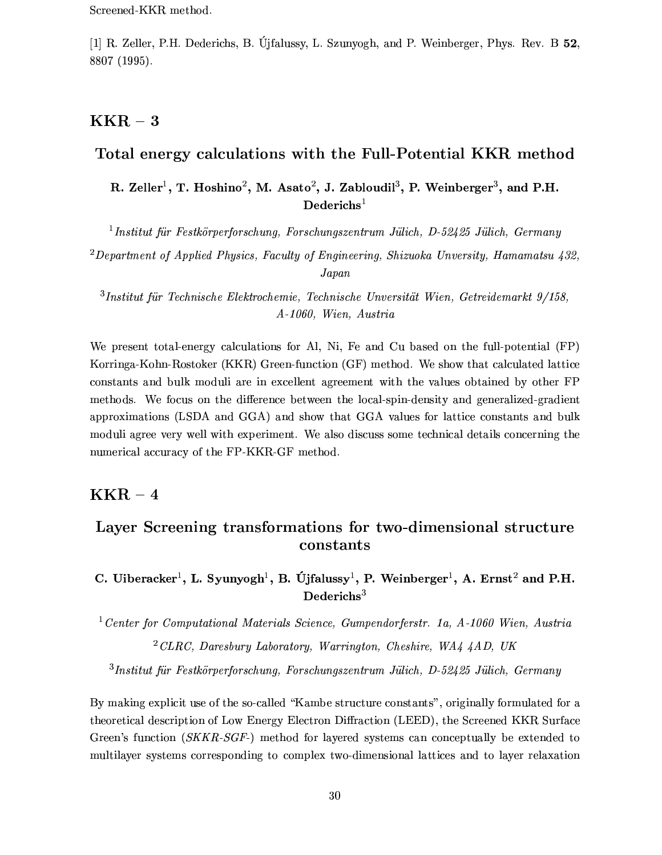[1] R. Zeller, P.H. Dederichs, B. Ulfalussy, L. Szunyogh, and P. Weinberger, Phys. Rev. B 52. 8807 (1995).

# $KKR - 3$

# Total energy calculations with the Full-Potential KKR method

R. Zeller<sup>1</sup>, T. Hoshino<sup>2</sup>, M. Asato<sup>2</sup>, J. Zabloudil<sup>3</sup>, P. Weinberger<sup>3</sup>, and P.H.  $Dederichs<sup>1</sup>$ 

 $1$ Institut für Festkörperforschung, Forschungszentrum Jülich, D-52425 Jülich, Germany

<sup>2</sup>Department of Applied Physics, Faculty of Engineering, Shizuoka Unversity, Hamamatsu  $432$ ,  $Japan$ 

 $3$ Institut für Technische Elektrochemie, Technische Unversität Wien, Getreidemarkt  $9/158$ , A-1060, Wien, Austria

We present total-energy calculations for Al, Ni, Fe and Cu based on the full-potential (FP) Korringa-Kohn-Rostoker (KKR) Green-function (GF) method. We show that calculated lattice constants and bulk moduli are in excellent agreement with the values obtained by other FP methods. We focus on the difference between the local-spin-density and generalized-gradient approximations (LSDA and GGA) and show that GGA values for lattice constants and bulk moduli agree very well with experiment. We also discuss some technical details concerning the numerical accuracy of the FP-KKR-GF method.

### $\text{KKR}-4$

# Layer Screening transformations for two-dimensional structure constants

C. Uiberacker<sup>1</sup>, L. Syunyogh<sup>1</sup>, B. Újfalussy<sup>1</sup>, P. Weinberger<sup>1</sup>, A. Ernst<sup>2</sup> and P.H.  $Dederichs<sup>3</sup>$ 

<sup>1</sup> Center for Computational Materials Science, Gumpendorferstr. 1a,  $A-1060$  Wien, Austria  $^{2}$ CLRC, Daresbury Laboratory, Warrington, Cheshire, WA4 4AD, UK

 $3$ Institut für Festkörperforschung, Forschungszentrum Jülich, D-52425 Jülich, Germany

By making explicit use of the so-called "Kambe structure constants", originally formulated for a theoretical description of Low Energy Electron Diffraction (LEED), the Screened KKR Surface Green's function  $(SKKR-SGF)$  method for layered systems can conceptually be extended to multilayer systems corresponding to complex two-dimensional lattices and to layer relaxation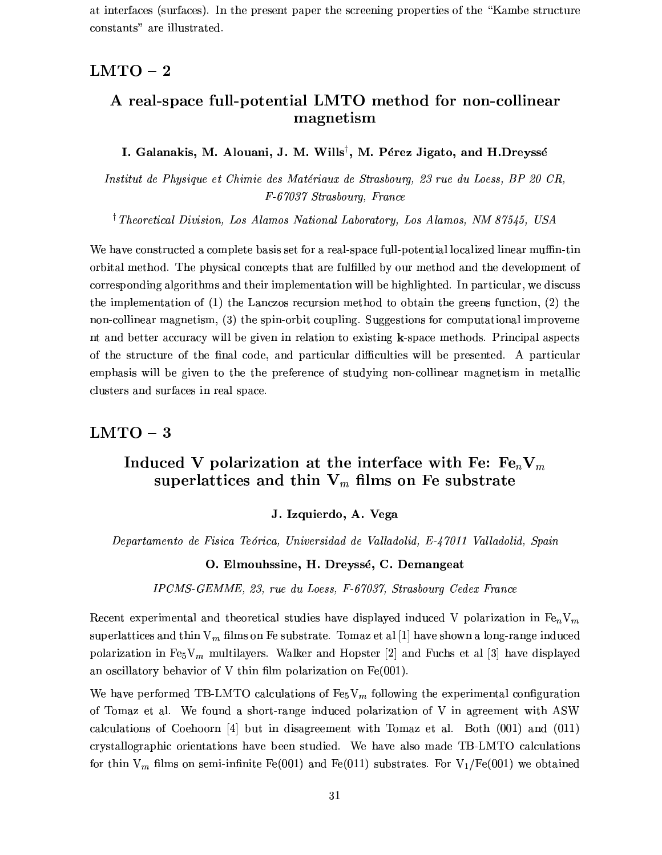at interfaces (surfaces). In the present paper the screening properties of the "Kambe structure" constants" are illustrated.

### $LMTO-2$

# A real-space full-potential LMTO method for non-collinear magnetism

#### I. Galanakis, M. Alouani, J. M. Wills<sup>†</sup>, M. Pérez Jigato, and H.Dreyssé

Institut de Physique et Chimie des Matériaux de Strasbourg, 23 rue du Loess, BP 20 CR, F-67037 Strasbourg, France

<sup>†</sup> Theoretical Division, Los Alamos National Laboratory, Los Alamos, NM 87545, USA

We have constructed a complete basis set for a real-space full-potential localized linear muffin-tin orbital method. The physical concepts that are fulfilled by our method and the development of corresponding algorithms and their implementation will be highlighted. In particular, we discuss the implementation of  $(1)$  the Lanczos recursion method to obtain the greens function,  $(2)$  the non-collinear magnetism, (3) the spin-orbit coupling. Suggestions for computational improveme nt and better accuracy will be given in relation to existing k-space methods. Principal aspects of the structure of the final code, and particular difficulties will be presented. A particular emphasis will be given to the the preference of studying non-collinear magnetism in metallic clusters and surfaces in real space.

#### $LMTO-3$

# Induced V polarization at the interface with Fe:  $Fe_nV_m$ superlattices and thin  $V_m$  films on Fe substrate

#### J. Izquierdo, A. Vega

Departamento de Fisica Teórica, Universidad de Valladolid, E-47011 Valladolid, Spain

#### O. Elmouhssine, H. Dreyssé, C. Demangeat

IPCMS-GEMME, 23, rue du Loess, F-67037, Strasbourg Cedex France

Recent experimental and theoretical studies have displayed induced V polarization in  $Fe_nV_m$ superlattices and thin  $V_m$  films on Fe substrate. Tomaz et al [1] have shown a long-range induced polarization in Fe<sub>5</sub>V<sub>m</sub> multilayers. Walker and Hopster [2] and Fuchs et al [3] have displayed an oscillatory behavior of V thin film polarization on  $Fe(001)$ .

We have performed TB-LMTO calculations of  $Fe<sub>5</sub>V<sub>m</sub>$  following the experimental configuration of Tomaz et al. We found a short-range induced polarization of V in agreement with ASW calculations of Coehoorn [4] but in disagreement with Tomaz et al. Both  $(001)$  and  $(011)$ crystallographic orientations have been studied. We have also made TB-LMTO calculations for thin  $V_m$  films on semi-infinite Fe(001) and Fe(011) substrates. For  $V_1/Fe(001)$  we obtained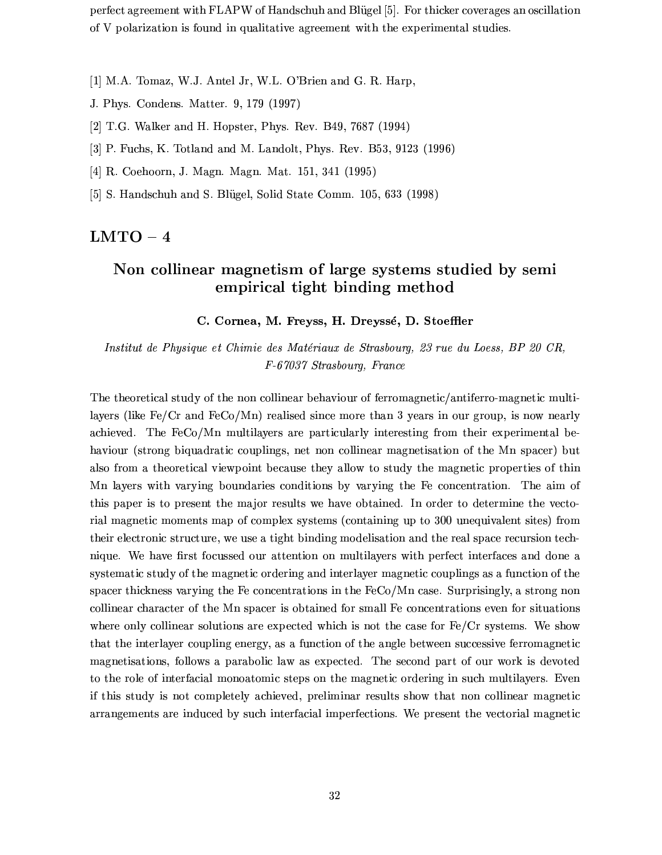perfect agreement with FLAPW of Handschuh and Blügel [5]. For thicker coverages an oscillation of V polarization is found in qualitative agreement with the experimental studies.

- [1] M.A. Tomaz, W.J. Antel Jr, W.L. O'Brien and G. R. Harp,
- J. Phys. Condens. Matter. 9, 179 (1997)
- [2] T.G. Walker and H. Hopster, Phys. Rev. B49, 7687 (1994)
- [3] P. Fuchs, K. Totland and M. Landolt, Phys. Rev. B53, 9123 (1996)
- [4] R. Coehoorn, J. Magn. Magn. Mat. 151, 341 (1995)
- [5] S. Handschuh and S. Blügel, Solid State Comm. 105, 633 (1998)

### $LMTO-4$

# Non collinear magnetism of large systems studied by semi empirical tight binding method

#### C. Cornea, M. Freyss, H. Dreyssé, D. Stoeffler

Institut de Physique et Chimie des Matériaux de Strasbourg, 23 rue du Loess, BP 20 CR. F-67037 Strasbourg, France

The theoretical study of the non collinear behaviour of ferromagnetic/antiferro-magnetic multilayers (like  $Fe/Cr$  and  $FeCo/Mn$ ) realised since more than 3 years in our group, is now nearly achieved. The FeCo/Mn multilayers are particularly interesting from their experimental behaviour (strong biquadratic couplings, net non collinear magnetisation of the Mn spacer) but also from a theoretical viewpoint because they allow to study the magnetic properties of thin Mn layers with varying boundaries conditions by varying the Fe concentration. The aim of this paper is to present the major results we have obtained. In order to determine the vectorial magnetic moments map of complex systems (containing up to 300 unequivalent sites) from their electronic structure, we use a tight binding modelisation and the real space recursion technique. We have first focussed our attention on multilayers with perfect interfaces and done a systematic study of the magnetic ordering and interlayer magnetic couplings as a function of the spacer thickness varying the Fe concentrations in the FeCo/Mn case. Surprisingly, a strong non collinear character of the Mn spacer is obtained for small Fe concentrations even for situations where only collinear solutions are expected which is not the case for  $Fe/Cr$  systems. We show that the interlayer coupling energy, as a function of the angle between successive ferromagnetic magnetisations, follows a parabolic law as expected. The second part of our work is devoted to the role of interfacial monoatomic steps on the magnetic ordering in such multilayers. Even if this study is not completely achieved, preliminar results show that non collinear magnetic arrangements are induced by such interfacial imperfections. We present the vectorial magnetic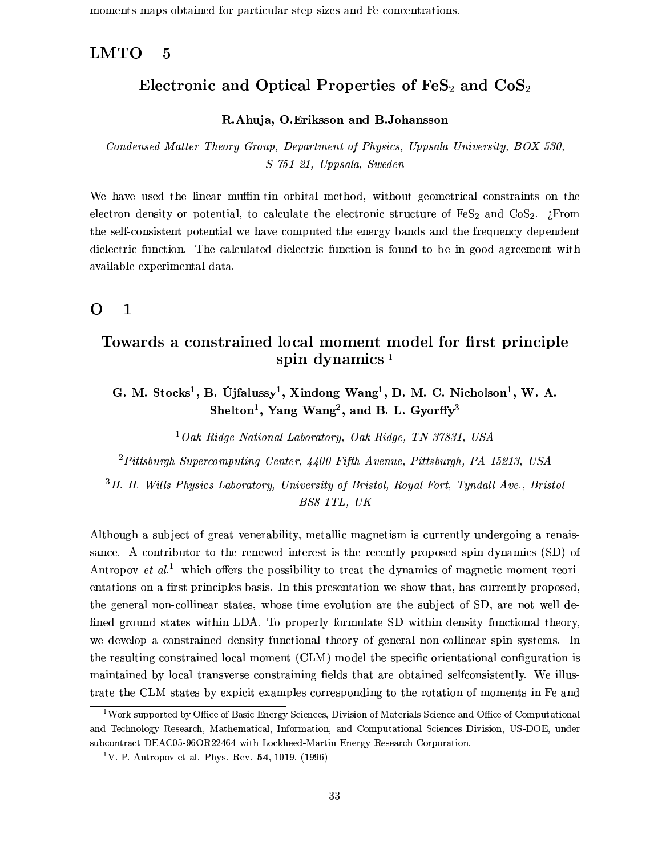moments maps obtained for particular step sizes and Fe concentrations.

### $LMTO-5$

# Electronic and Optical Properties of  $\text{FeS}_2$  and  $\text{CoS}_2$

#### R.Ahuja, O.Eriksson and B.Johansson

Condensed Matter Theory Group, Department of Physics, Uppsala University, BOX 530, S-751 21, Uppsala, Sweden

We have used the linear muffin-tin orbital method, without geometrical constraints on the electron density or potential, to calculate the electronic structure of  $FeS<sub>2</sub>$  and  $CoS<sub>2</sub>$ . ¿From the self-consistent potential we have computed the energy bands and the frequency dependent dielectric function. The calculated dielectric function is found to be in good agreement with available experimental data.

### $O - 1$

# Towards a constrained local moment model for first principle spin dynamics  $1$

G. M. Stocks<sup>1</sup>, B. Újfalussy<sup>1</sup>, Xindong Wang<sup>1</sup>, D. M. C. Nicholson<sup>1</sup>, W. A. Shelton<sup>1</sup>, Yang Wang<sup>2</sup>, and B. L. Gyorffy<sup>3</sup>

<sup>1</sup>Oak Ridge National Laboratory, Oak Ridge, TN 37831, USA

 ${}^{2}Pittsburgh$  Supercomputing Center, 4400 Fifth Avenue, Pittsburgh, PA 15213, USA

<sup>3</sup>H. H. Wills Physics Laboratory, University of Bristol, Royal Fort, Tyndall Ave., Bristol BS8 1TL, UK

Although a subject of great venerability, metallic magnetism is currently undergoing a renaissance. A contributor to the renewed interest is the recently proposed spin dynamics (SD) of Antropov *et al.*<sup>1</sup> which offers the possibility to treat the dynamics of magnetic moment reorientations on a first principles basis. In this presentation we show that, has currently proposed, the general non-collinear states, whose time evolution are the subject of SD, are not well defined ground states within LDA. To properly formulate SD within density functional theory, we develop a constrained density functional theory of general non-collinear spin systems. In the resulting constrained local moment (CLM) model the specific orientational configuration is maintained by local transverse constraining fields that are obtained selfconsistently. We illustrate the CLM states by expicit examples corresponding to the rotation of moments in Fe and

<sup>&</sup>lt;sup>1</sup>Work supported by Office of Basic Energy Sciences, Division of Materials Science and Office of Computational and Technology Research, Mathematical, Information, and Computational Sciences Division, US-DOE, under subcontract DEAC05-96OR22464 with Lockheed-Martin Energy Research Corporation.

<sup>&</sup>lt;sup>1</sup>V. P. Antropov et al. Phys. Rev. 54, 1019, (1996)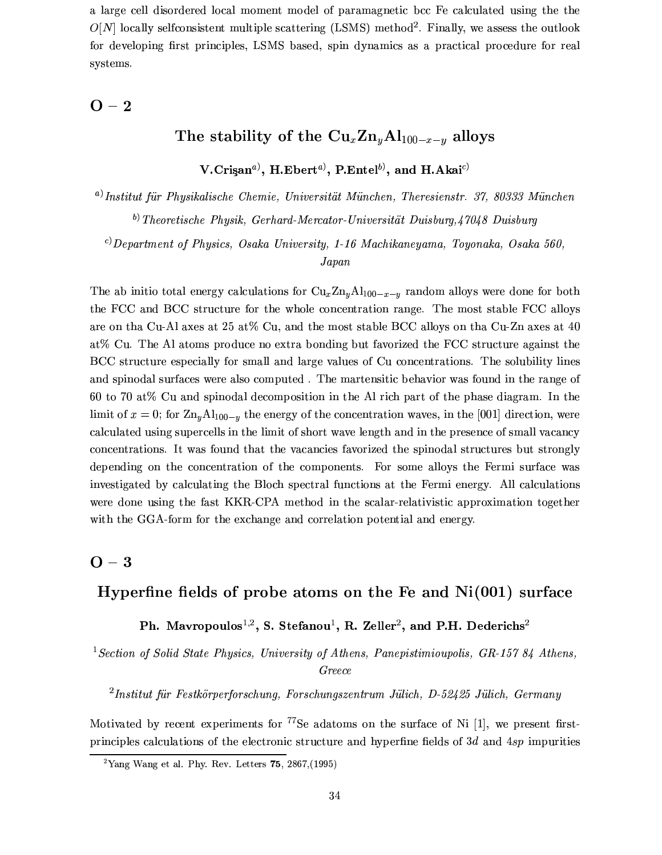a large cell disordered local moment model of paramagnetic bcc Fe calculated using the the  $O[N]$  locally selfconsistent multiple scattering (LSMS) method<sup>2</sup>. Finally, we assess the outlook for developing first principles, LSMS based, spin dynamics as a practical procedure for real systems.

#### $O - 2$

# The stability of the  $\text{Cu}_x\text{Zn}_y\text{Al}_{100-x-y}$  alloys

V.Crisan<sup>a</sup>), H.Ebert<sup>a</sup>), P.Entel<sup>b</sup>), and H.Akai<sup>c)</sup>

 $^{a)}$ Institut für Physikalische Chemie, Universität München, Theresienstr. 37, 80333 München  $^{b)}$  Theoretische Physik, Gerhard-Mercator-Universität Duisburg, 47048 Duisburg

 $c)$ Department of Physics, Osaka University, 1-16 Machikaneyama, Toyonaka, Osaka 560,

 $Japan$ 

The ab initio total energy calculations for  $Cu_x Zn_y A l_{100-x-y}$  random alloys were done for both the FCC and BCC structure for the whole concentration range. The most stable FCC alloys are on tha Cu-Al axes at 25 at% Cu, and the most stable BCC alloys on tha Cu-Zn axes at 40 at % Cu. The Al atoms produce no extra bonding but favorized the FCC structure against the BCC structure especially for small and large values of Cu concentrations. The solubility lines and spinodal surfaces were also computed. The martensitic behavior was found in the range of 60 to 70 at% Cu and spinodal decomposition in the Al rich part of the phase diagram. In the limit of  $x = 0$ ; for  $\text{Zn}_y \text{Al}_{100-y}$  the energy of the concentration waves, in the [001] direction, were calculated using supercells in the limit of short wave length and in the presence of small vacancy concentrations. It was found that the vacancies favorized the spinodal structures but strongly depending on the concentration of the components. For some alloys the Fermi surface was investigated by calculating the Bloch spectral functions at the Fermi energy. All calculations were done using the fast KKR-CPA method in the scalar-relativistic approximation together with the GGA-form for the exchange and correlation potential and energy.

### $O - 3$

### Hyperfine fields of probe atoms on the Fe and  $Ni(001)$  surface

Ph. Mavropoulos<sup>1,2</sup>, S. Stefanou<sup>1</sup>, R. Zeller<sup>2</sup>, and P.H. Dederichs<sup>2</sup>

<sup>1</sup> Section of Solid State Physics, University of Athens, Panepistimioupolis, GR-157 84 Athens,

Greece

 ${}^{2}$ Institut für Festkörperforschung, Forschungszentrum Jülich, D-52425 Jülich, Germany

Motivated by recent experiments for  $^{77}$ Se adatoms on the surface of Ni [1], we present firstprinciples calculations of the electronic structure and hyperfine fields of  $3d$  and  $4sp$  impurities

<sup>&</sup>lt;sup>2</sup>Yang Wang et al. Phy. Rev. Letters **75**, 2867, (1995)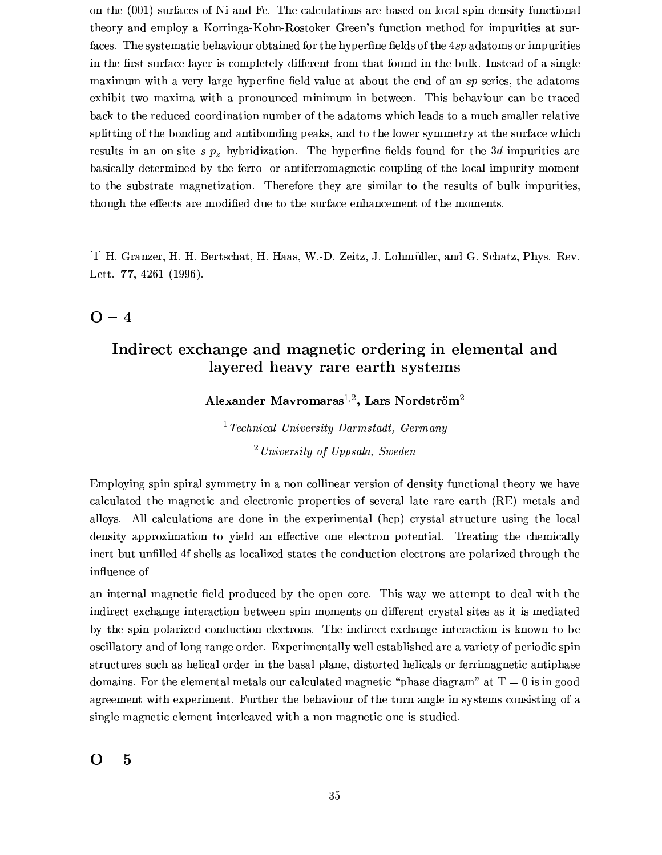on the (001) surfaces of Ni and Fe. The calculations are based on local-spin-density-functional theory and employ a Korringa-Kohn-Rostoker Green's function method for impurities at surfaces. The systematic behaviour obtained for the hyperfine fields of the 4sp adatoms or impurities in the first surface layer is completely different from that found in the bulk. Instead of a single maximum with a very large hyperfine-field value at about the end of an sp series, the adatoms exhibit two maxima with a pronounced minimum in between. This behaviour can be traced back to the reduced coordination number of the adatoms which leads to a much smaller relative splitting of the bonding and antibonding peaks, and to the lower symmetry at the surface which results in an on-site  $s-p_z$  hybridization. The hyperfine fields found for the 3d-impurities are basically determined by the ferro- or antiferromagnetic coupling of the local impurity moment to the substrate magnetization. Therefore they are similar to the results of bulk impurities, though the effects are modified due to the surface enhancement of the moments.

[1] H. Granzer, H. H. Bertschat, H. Haas, W.-D. Zeitz, J. Lohmüller, and G. Schatz, Phys. Rev. Lett.  $77, 4261$  (1996).

# $O - 4$

# Indirect exchange and magnetic ordering in elemental and layered heavy rare earth systems

Alexander Mavromaras<sup>1,2</sup>, Lars Nordström<sup>2</sup>

 $1$  Technical University Darmstadt, Germany  $^{2}$ University of Uppsala, Sweden

Employing spin spiral symmetry in a non collinear version of density functional theory we have calculated the magnetic and electronic properties of several late rare earth (RE) metals and alloys. All calculations are done in the experimental (hcp) crystal structure using the local density approximation to yield an effective one electron potential. Treating the chemically inert but unfilled 4f shells as localized states the conduction electrons are polarized through the influence of

an internal magnetic field produced by the open core. This way we attempt to deal with the indirect exchange interaction between spin moments on different crystal sites as it is mediated by the spin polarized conduction electrons. The indirect exchange interaction is known to be oscillatory and of long range order. Experimentally well established are a variety of periodic spin structures such as helical order in the basal plane, distorted helicals or ferrimagnetic antiphase domains. For the elemental metals our calculated magnetic "phase diagram" at  $T = 0$  is in good agreement with experiment. Further the behaviour of the turn angle in systems consisting of a single magnetic element interleaved with a non magnetic one is studied.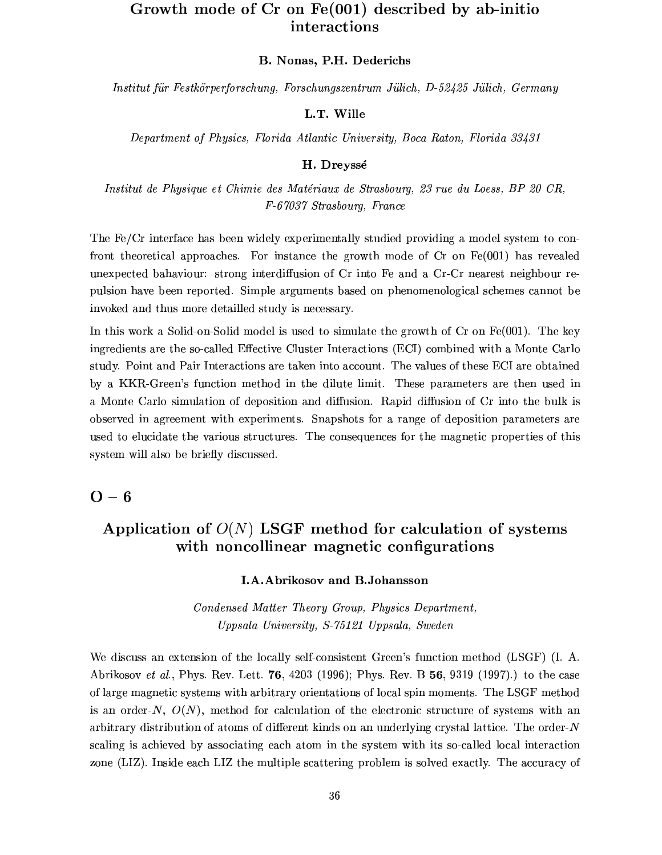# Growth mode of Cr on Fe(001) described by ab-initio interactions

#### B. Nonas, P.H. Dederichs

Institut für Festkörperforschung, Forschungszentrum Jülich, D-52425 Jülich, Germany

#### L.T. Wille

Department of Physics, Florida Atlantic University, Boca Raton, Florida 33431

#### H. Dreyssé

Institut de Physique et Chimie des Matériaux de Strasbourg. 23 rue du Loess. BP 20 CR. F-67037 Strasbourg, France

The Fe/Cr interface has been widely experimentally studied providing a model system to confront theoretical approaches. For instance the growth mode of  $Cr$  on  $Fe(001)$  has revealed unexpected bahaviour: strong interdiffusion of Cr into Fe and a Cr-Cr nearest neighbour repulsion have been reported. Simple arguments based on phenomenological schemes cannot be invoked and thus more detailled study is necessary.

In this work a Solid-on-Solid model is used to simulate the growth of  $Cr$  on  $Fe(001)$ . The key ingredients are the so-called Effective Cluster Interactions (ECI) combined with a Monte Carlo study. Point and Pair Interactions are taken into account. The values of these ECI are obtained by a KKR-Green's function method in the dilute limit. These parameters are then used in a Monte Carlo simulation of deposition and diffusion. Rapid diffusion of Cr into the bulk is observed in agreement with experiments. Snapshots for a range of deposition parameters are used to elucidate the various structures. The consequences for the magnetic properties of this system will also be briefly discussed.

 $O - 6$ 

# Application of  $O(N)$  LSGF method for calculation of systems with noncollinear magnetic configurations

#### **I.A.Abrikosov and B.Johansson**

Condensed Matter Theory Group, Physics Department, Uppsala University, S-75121 Uppsala, Sweden

We discuss an extension of the locally self-consistent Green's function method (LSGF) (I. A. Abrikosov *et al.*, Phys. Rev. Lett. **76**, 4203 (1996); Phys. Rev. B 56, 9319 (1997).) to the case of large magnetic systems with arbitrary orientations of local spin moments. The LSGF method is an order-N,  $O(N)$ , method for calculation of the electronic structure of systems with an arbitrary distribution of atoms of different kinds on an underlying crystal lattice. The order- $N$ scaling is achieved by associating each atom in the system with its so-called local interaction zone (LIZ). Inside each LIZ the multiple scattering problem is solved exactly. The accuracy of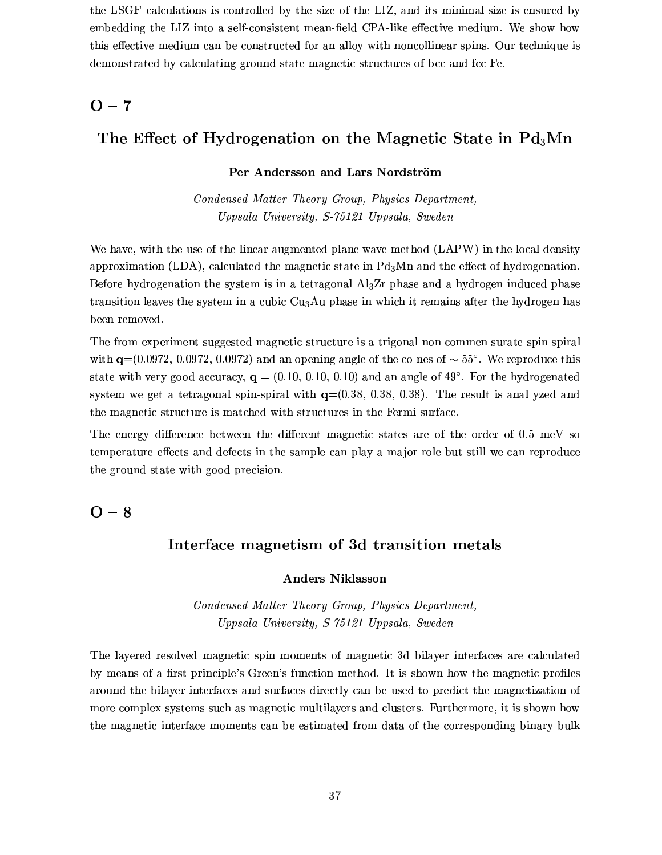the LSGF calculations is controlled by the size of the LIZ, and its minimal size is ensured by embedding the LIZ into a self-consistent mean-field CPA-like effective medium. We show how this effective medium can be constructed for an alloy with noncollinear spins. Our technique is demonstrated by calculating ground state magnetic structures of bcc and fcc Fe.

### $O - 7$

### The Effect of Hydrogenation on the Magnetic State in  $Pd_3Mn$

#### Per Andersson and Lars Nordström

Condensed Matter Theory Group, Physics Department, Uppsala University, S-75121 Uppsala, Sweden

We have, with the use of the linear augmented plane wave method (LAPW) in the local density approximation (LDA), calculated the magnetic state in  $Pd_3Mn$  and the effect of hydrogenation. Before hydrogenation the system is in a tetragonal  $A<sub>13</sub>Zr$  phase and a hydrogen induced phase transition leaves the system in a cubic Cu<sub>3</sub>Au phase in which it remains after the hydrogen has been removed.

The from experiment suggested magnetic structure is a trigonal non-commen-surate spin-spiral with  $q=(0.0972, 0.0972, 0.0972)$  and an opening angle of the co nes of  $\sim 55^{\circ}$ . We reproduce this state with very good accuracy,  $\mathbf{q} = (0.10, 0.10, 0.10)$  and an angle of 49°. For the hydrogenated system we get a tetragonal spin-spiral with  $q=(0.38, 0.38, 0.38)$ . The result is anal yzed and the magnetic structure is matched with structures in the Fermi surface.

The energy difference between the different magnetic states are of the order of 0.5 meV so temperature effects and defects in the sample can play a major role but still we can reproduce the ground state with good precision.

 $O - 8$ 

### Interface magnetism of 3d transition metals

#### **Anders Niklasson**

Condensed Matter Theory Group, Physics Department, Uppsala University, S-75121 Uppsala, Sweden

The layered resolved magnetic spin moments of magnetic 3d bilayer interfaces are calculated by means of a first principle's Green's function method. It is shown how the magnetic profiles around the bilayer interfaces and surfaces directly can be used to predict the magnetization of more complex systems such as magnetic multilayers and clusters. Furthermore, it is shown how the magnetic interface moments can be estimated from data of the corresponding binary bulk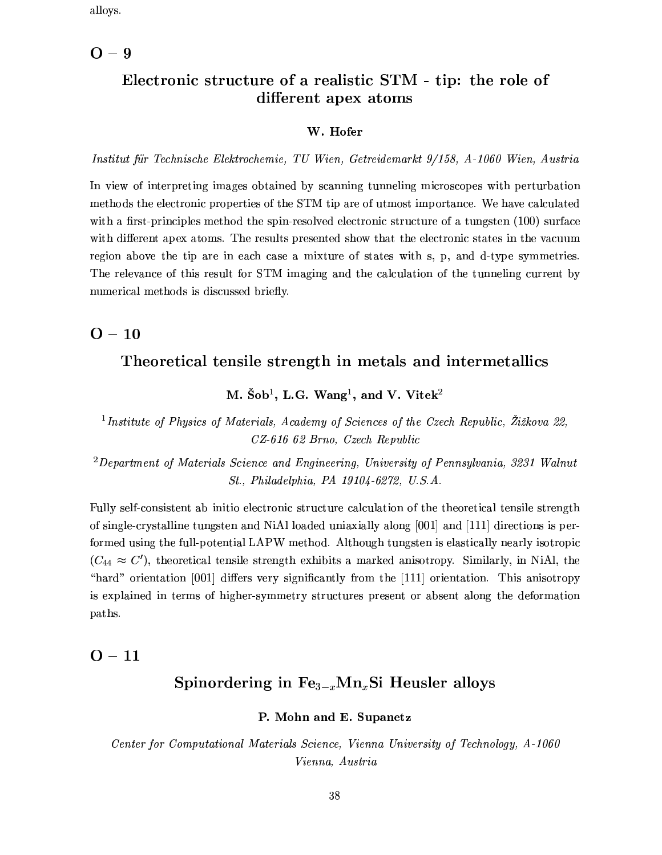alloys.

### $O - 9$

## Electronic structure of a realistic STM - tip: the role of different apex atoms

#### W. Hofer

Institut für Technische Elektrochemie, TU Wien, Getreidemarkt 9/158, A-1060 Wien, Austria

In view of interpreting images obtained by scanning tunneling microscopes with perturbation methods the electronic properties of the STM tip are of utmost importance. We have calculated with a first-principles method the spin-resolved electronic structure of a tungsten (100) surface with different apex atoms. The results presented show that the electronic states in the vacuum region above the tip are in each case a mixture of states with s, p, and d-type symmetries. The relevance of this result for STM imaging and the calculation of the tunneling current by numerical methods is discussed briefly.

 $O - 10$ 

### Theoretical tensile strength in metals and intermetallics

M. Šob<sup>1</sup>, L.G. Wang<sup>1</sup>, and V. Vitek<sup>2</sup>

<sup>1</sup>Institute of Physics of Materials, Academy of Sciences of the Czech Republic, Žižkova 22, CZ-616 62 Brno, Czech Republic

 ${}^{2}$ Department of Materials Science and Engineering, University of Pennsylvania, 3231 Walnut St., Philadelphia, PA 19104-6272, U.S.A.

Fully self-consistent ab initio electronic structure calculation of the theoretical tensile strength of single-crystalline tungsten and NiAl loaded uniaxially along [001] and [111] directions is performed using the full-potential LAPW method. Although tungsten is elastically nearly isotropic  $(C_{44} \approx C')$ , theoretical tensile strength exhibits a marked anisotropy. Similarly, in NiAl, the "hard" orientation [001] differs very significantly from the [111] orientation. This anisotropy is explained in terms of higher-symmetry structures present or absent along the deformation paths.

### $O - 11$

### Spinordering in  $Fe_{3-r}Mn_rSi$  Heusler alloys

#### P. Mohn and E. Supanetz

Center for Computational Materials Science, Vienna University of Technology, A-1060 Vienna, Austria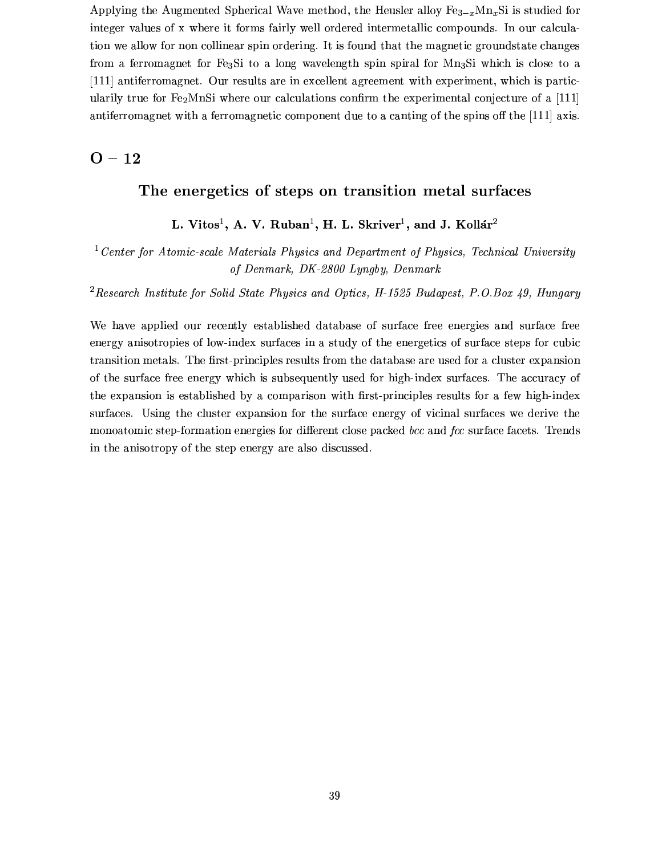Applying the Augmented Spherical Wave method, the Heusler alloy  $Fe_{3-x}Mn_xSi$  is studied for integer values of x where it forms fairly well ordered intermetallic compounds. In our calculation we allow for non collinear spin ordering. It is found that the magnetic groundstate changes from a ferromagnet for Fe<sub>3</sub>Si to a long wavelength spin spiral for Mn<sub>3</sub>Si which is close to a [111] antiferromagnet. Our results are in excellent agreement with experiment, which is particularily true for Fe<sub>2</sub>MnSi where our calculations confirm the experimental conjecture of a [111] antiferromagnet with a ferromagnetic component due to a canting of the spins off the [111] axis.

### $O - 12$

### The energetics of steps on transition metal surfaces

### L. Vitos<sup>1</sup>, A. V. Ruban<sup>1</sup>, H. L. Skriver<sup>1</sup>, and J. Kollár<sup>2</sup>

<sup>1</sup> Center for Atomic-scale Materials Physics and Department of Physics, Technical University of Denmark, DK-2800 Lyngby, Denmark

<sup>2</sup> Research Institute for Solid State Physics and Optics, H-1525 Budapest, P.O.Box 49, Hungary

We have applied our recently established database of surface free energies and surface free energy anisotropies of low-index surfaces in a study of the energetics of surface steps for cubic transition metals. The first-principles results from the database are used for a cluster expansion of the surface free energy which is subsequently used for high-index surfaces. The accuracy of the expansion is established by a comparison with first-principles results for a few high-index surfaces. Using the cluster expansion for the surface energy of vicinal surfaces we derive the monoatomic step-formation energies for different close packed bcc and fcc surface facets. Trends in the anisotropy of the step energy are also discussed.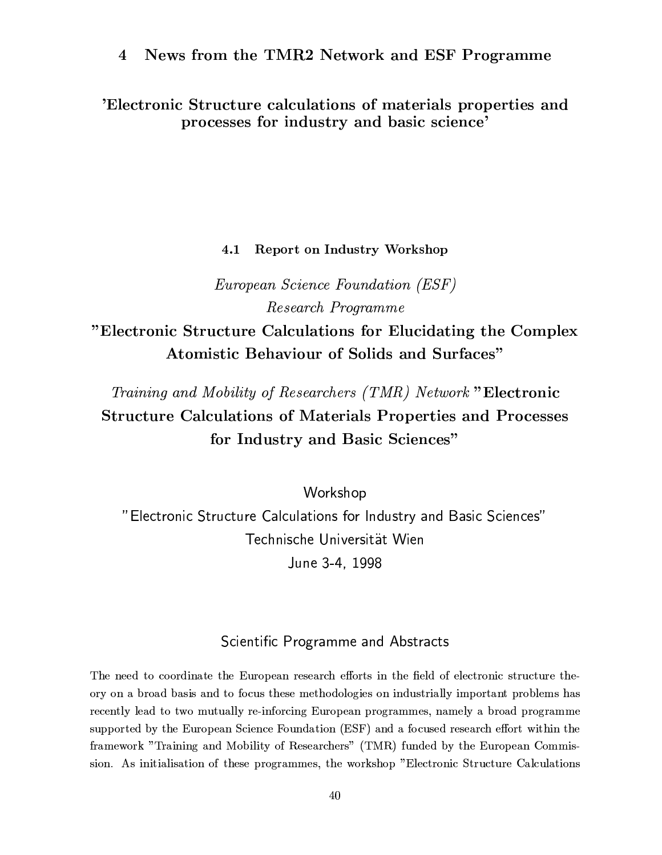News from the TMR2 Network and ESF Programme  $\overline{4}$ 

'Electronic Structure calculations of materials properties and processes for industry and basic science'

#### Report on Industry Workshop  $4.1$

*European Science Foundation (ESF)* Research Programme "Electronic Structure Calculations for Elucidating the Complex

**Atomistic Behaviour of Solids and Surfaces"** 

Training and Mobility of Researchers (TMR) Network "Electronic **Structure Calculations of Materials Properties and Processes** for Industry and Basic Sciences"

Workshop "Electronic Structure Calculations for Industry and Basic Sciences" Technische Universität Wien June 3-4, 1998

### Scientific Programme and Abstracts

The need to coordinate the European research efforts in the field of electronic structure theory on a broad basis and to focus these methodologies on industrially important problems has recently lead to two mutually re-inforcing European programmes, namely a broad programme supported by the European Science Foundation (ESF) and a focused research effort within the framework "Training and Mobility of Researchers" (TMR) funded by the European Commission. As initialisation of these programmes, the workshop "Electronic Structure Calculations"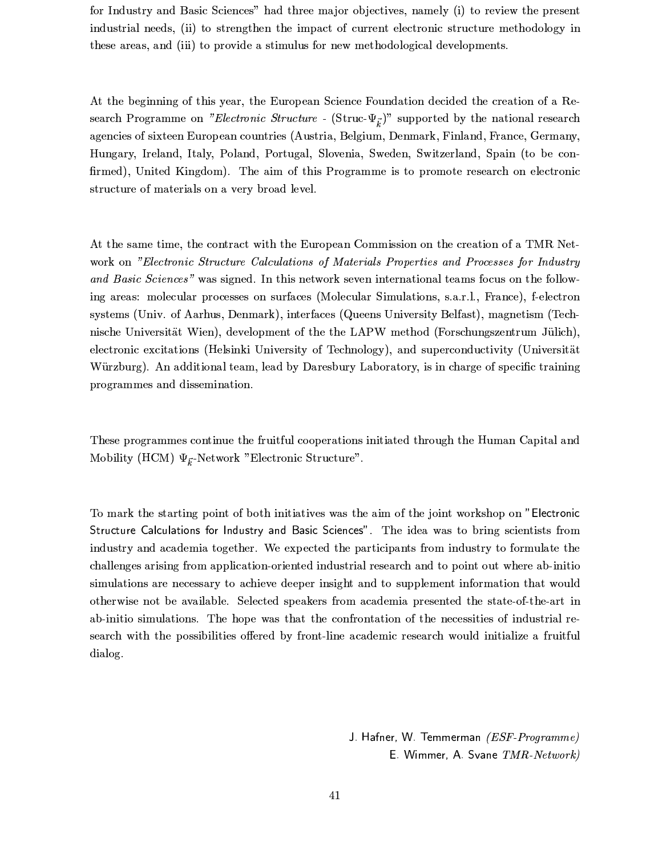for Industry and Basic Sciences" had three major objectives, namely (i) to review the present industrial needs, (ii) to strengthen the impact of current electronic structure methodology in these areas, and (iii) to provide a stimulus for new methodological developments.

At the beginning of this year, the European Science Foundation decided the creation of a Research Programme on "Electronic Structure - (Struc- $\Psi_{\vec{k}}$ )" supported by the national research agencies of sixteen European countries (Austria, Belgium, Denmark, Finland, France, Germany, Hungary, Ireland, Italy, Poland, Portugal, Slovenia, Sweden, Switzerland, Spain (to be confirmed), United Kingdom). The aim of this Programme is to promote research on electronic structure of materials on a very broad level.

At the same time, the contract with the European Commission on the creation of a TMR Network on "Electronic Structure Calculations of Materials Properties and Processes for Industry and Basic Sciences" was signed. In this network seven international teams focus on the following areas: molecular processes on surfaces (Molecular Simulations, s.a.r.l., France), f-electron systems (Univ. of Aarhus, Denmark), interfaces (Queens University Belfast), magnetism (Technische Universität Wien), development of the the LAPW method (Forschungszentrum Jülich), electronic excitations (Helsinki University of Technology), and superconductivity (Universität Würzburg). An additional team, lead by Daresbury Laboratory, is in charge of specific training programmes and dissemination.

These programmes continue the fruitful cooperations initiated through the Human Capital and Mobility (HCM)  $\Psi_{\vec{k}}$ -Network "Electronic Structure".

To mark the starting point of both initiatives was the aim of the joint workshop on "Electronic Structure Calculations for Industry and Basic Sciences". The idea was to bring scientists from industry and academia together. We expected the participants from industry to formulate the challenges arising from application-oriented industrial research and to point out where ab-initio simulations are necessary to achieve deeper insight and to supplement information that would otherwise not be available. Selected speakers from academia presented the state-of-the-art in ab-initio simulations. The hope was that the confrontation of the necessities of industrial research with the possibilities offered by front-line academic research would initialize a fruitful dialog.

> J. Hafner, W. Temmerman (ESF-Programme) E. Wimmer, A. Svane TMR-Network)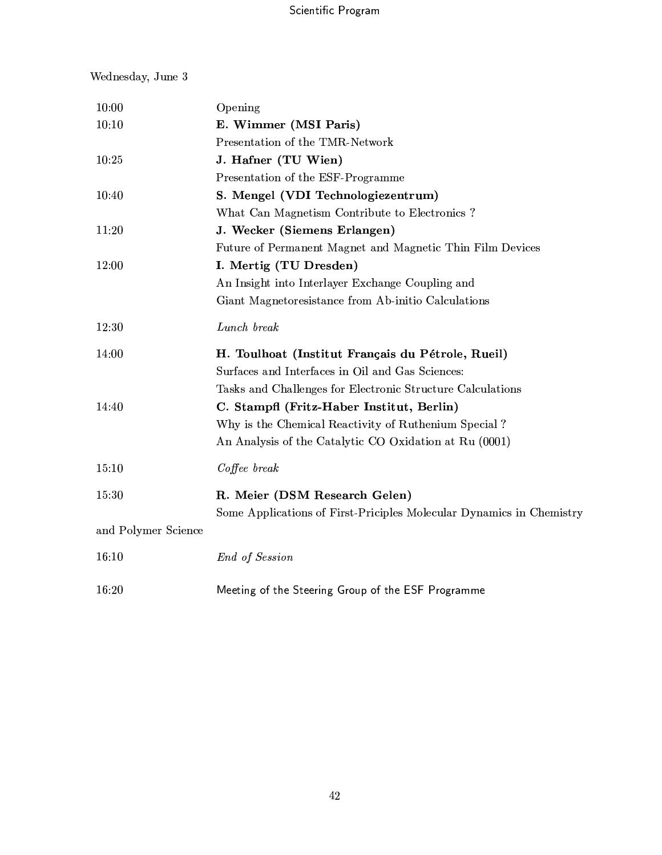### Wednesday, June 3

| 10:00               | Opening                                                              |
|---------------------|----------------------------------------------------------------------|
| 10:10               | E. Wimmer (MSI Paris)                                                |
|                     | Presentation of the TMR-Network                                      |
| 10:25               | J. Hafner (TU Wien)                                                  |
|                     | Presentation of the ESF-Programme                                    |
| 10:40               | S. Mengel (VDI Technologiezentrum)                                   |
|                     | What Can Magnetism Contribute to Electronics?                        |
| 11:20               | J. Wecker (Siemens Erlangen)                                         |
|                     | Future of Permanent Magnet and Magnetic Thin Film Devices            |
| 12:00               | I. Mertig (TU Dresden)                                               |
|                     | An Insight into Interlayer Exchange Coupling and                     |
|                     | Giant Magnetoresistance from Ab-initio Calculations                  |
| 12:30               | Lunch break                                                          |
| 14:00               | H. Toulhoat (Institut Français du Pétrole, Rueil)                    |
|                     | Surfaces and Interfaces in Oil and Gas Sciences:                     |
|                     | Tasks and Challenges for Electronic Structure Calculations           |
| 14:40               | C. Stampfl (Fritz-Haber Institut, Berlin)                            |
|                     | Why is the Chemical Reactivity of Ruthenium Special?                 |
|                     | An Analysis of the Catalytic CO Oxidation at Ru (0001)               |
| 15:10               | Coffee break                                                         |
| 15:30               | R. Meier (DSM Research Gelen)                                        |
|                     | Some Applications of First-Priciples Molecular Dynamics in Chemistry |
| and Polymer Science |                                                                      |
| 16:10               | End of Session                                                       |
| 16:20               | Meeting of the Steering Group of the ESF Programme                   |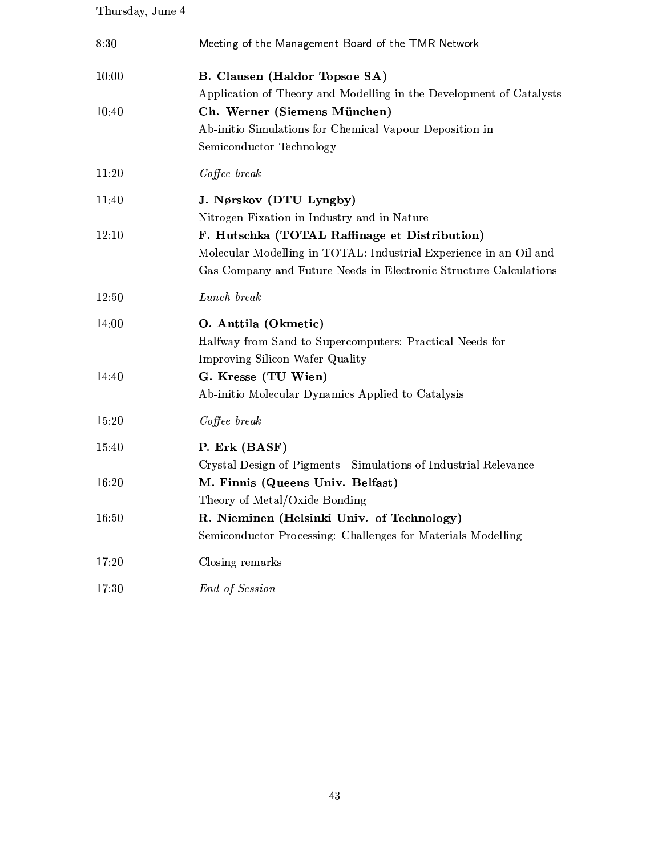## Thursday, June  $4$

| 8:30  | Meeting of the Management Board of the TMR Network                  |
|-------|---------------------------------------------------------------------|
| 10:00 | B. Clausen (Haldor Topsoe SA)                                       |
|       | Application of Theory and Modelling in the Development of Catalysts |
| 10:40 | Ch. Werner (Siemens München)                                        |
|       | Ab-initio Simulations for Chemical Vapour Deposition in             |
|       | Semiconductor Technology                                            |
| 11:20 | Coffee break                                                        |
| 11:40 | J. Nørskov (DTU Lyngby)                                             |
|       | Nitrogen Fixation in Industry and in Nature                         |
| 12:10 | F. Hutschka (TOTAL Raffinage et Distribution)                       |
|       | Molecular Modelling in TOTAL: Industrial Experience in an Oil and   |
|       | Gas Company and Future Needs in Electronic Structure Calculations   |
| 12:50 | Lunch break                                                         |
| 14:00 | O. Anttila (Okmetic)                                                |
|       | Halfway from Sand to Supercomputers: Practical Needs for            |
|       | Improving Silicon Wafer Quality                                     |
| 14:40 | G. Kresse (TU Wien)                                                 |
|       | Ab-initio Molecular Dynamics Applied to Catalysis                   |
| 15:20 | Coffee break                                                        |
| 15:40 | P. Erk (BASF)                                                       |
|       | Crystal Design of Pigments - Simulations of Industrial Relevance    |
| 16:20 | M. Finnis (Queens Univ. Belfast)                                    |
|       | Theory of Metal/Oxide Bonding                                       |
| 16:50 | R. Nieminen (Helsinki Univ. of Technology)                          |
|       | Semiconductor Processing: Challenges for Materials Modelling        |
| 17:20 | Closing remarks                                                     |
| 17:30 | End of Session                                                      |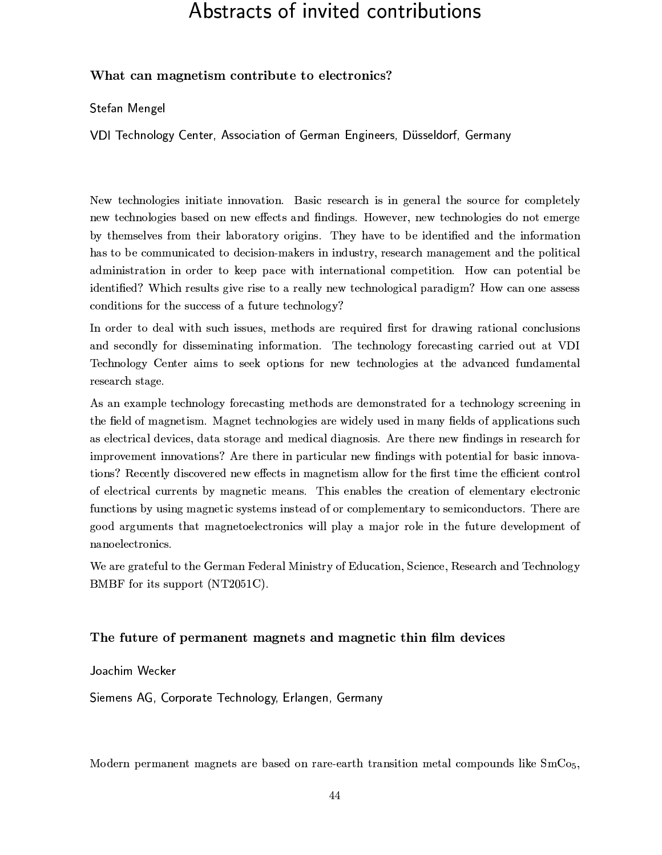# Abstracts of invited contributions

#### What can magnetism contribute to electronics?

Stefan Mengel

VDI Technology Center, Association of German Engineers, Düsseldorf, Germany

New technologies initiate innovation. Basic research is in general the source for completely new technologies based on new effects and findings. However, new technologies do not emerge by themselves from their laboratory origins. They have to be identified and the information has to be communicated to decision-makers in industry, research management and the political administration in order to keep pace with international competition. How can potential be identified? Which results give rise to a really new technological paradigm? How can one assess conditions for the success of a future technology?

In order to deal with such issues, methods are required first for drawing rational conclusions and secondly for disseminating information. The technology forecasting carried out at VDI Technology Center aims to seek options for new technologies at the advanced fundamental research stage.

As an example technology forecasting methods are demonstrated for a technology screening in the field of magnetism. Magnet technologies are widely used in many fields of applications such as electrical devices, data storage and medical diagnosis. Are there new findings in research for improvement innovations? Are there in particular new findings with potential for basic innovations? Recently discovered new effects in magnetism allow for the first time the efficient control of electrical currents by magnetic means. This enables the creation of elementary electronic functions by using magnetic systems instead of or complementary to semiconductors. There are good arguments that magnetoelectronics will play a major role in the future development of nanoelectronics.

We are grateful to the German Federal Ministry of Education, Science, Research and Technology BMBF for its support (NT2051C).

#### The future of permanent magnets and magnetic thin film devices

Joachim Wecker

Siemens AG, Corporate Technology, Erlangen, Germany

Modern permanent magnets are based on rare-earth transition metal compounds like  $SmCo<sub>5</sub>$ ,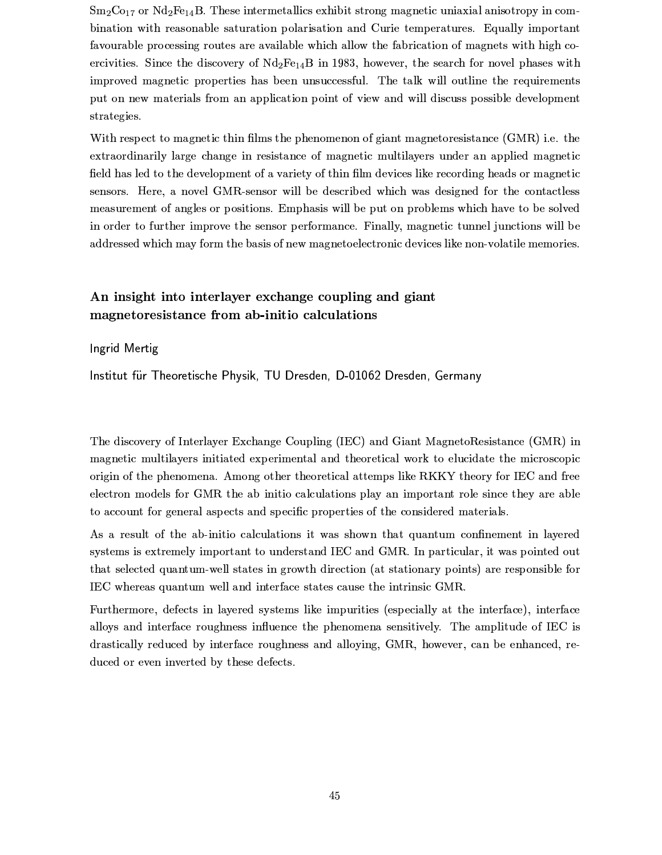$Sm<sub>2</sub>Co<sub>17</sub>$  or  $Nd<sub>2</sub>Fe<sub>14</sub>B$ . These intermetallics exhibit strong magnetic uniaxial anisotropy in combination with reasonable saturation polarisation and Curie temperatures. Equally important favourable processing routes are available which allow the fabrication of magnets with high coercivities. Since the discovery of  $Nd_2Fe_{14}B$  in 1983, however, the search for novel phases with improved magnetic properties has been unsuccessful. The talk will outline the requirements put on new materials from an application point of view and will discuss possible development strategies.

With respect to magnetic thin films the phenomenon of giant magnetoresistance (GMR) i.e. the extraordinarily large change in resistance of magnetic multilayers under an applied magnetic field has led to the development of a variety of thin film devices like recording heads or magnetic sensors. Here, a novel GMR-sensor will be described which was designed for the contactless measurement of angles or positions. Emphasis will be put on problems which have to be solved in order to further improve the sensor performance. Finally, magnetic tunnel junctions will be addressed which may form the basis of new magnetoelectronic devices like non-volatile memories.

### An insight into interlayer exchange coupling and giant magnetoresistance from ab-initio calculations

#### Ingrid Mertig

Institut für Theoretische Physik, TU Dresden, D-01062 Dresden, Germany

The discovery of Interlayer Exchange Coupling (IEC) and Giant MagnetoResistance (GMR) in magnetic multilayers initiated experimental and theoretical work to elucidate the microscopic origin of the phenomena. Among other theoretical attemps like RKKY theory for IEC and free electron models for GMR the ab initio calculations play an important role since they are able to account for general aspects and specific properties of the considered materials.

As a result of the ab-initio calculations it was shown that quantum confinement in layered systems is extremely important to understand IEC and GMR. In particular, it was pointed out that selected quantum-well states in growth direction (at stationary points) are responsible for IEC whereas quantum well and interface states cause the intrinsic GMR.

Furthermore, defects in layered systems like impurities (especially at the interface), interface alloys and interface roughness influence the phenomena sensitively. The amplitude of IEC is drastically reduced by interface roughness and alloying, GMR, however, can be enhanced, reduced or even inverted by these defects.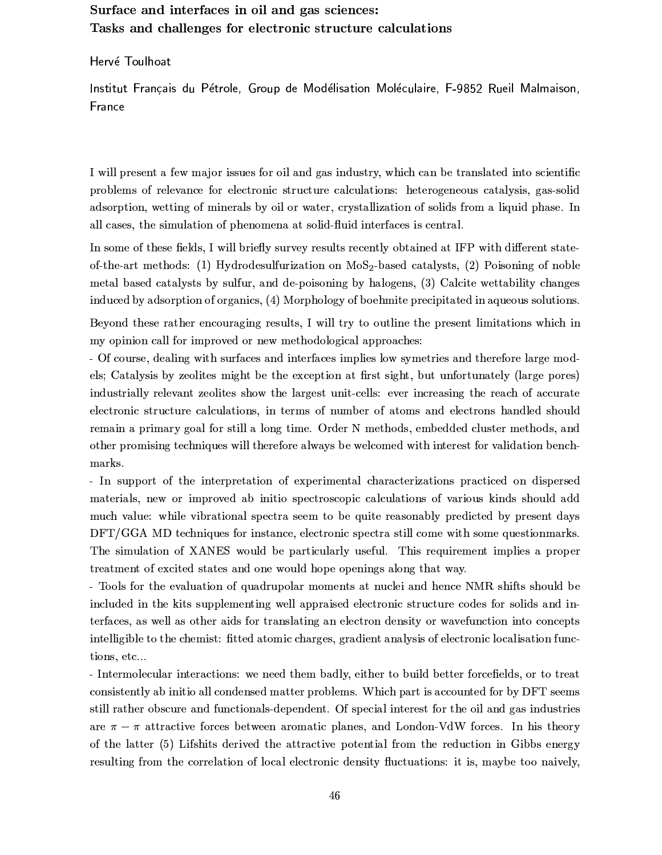### Surface and interfaces in oil and gas sciences: Tasks and challenges for electronic structure calculations

Hervé Toulhoat

Institut Français du Pétrole, Group de Modélisation Moléculaire, F-9852 Rueil Malmaison, France

I will present a few major issues for oil and gas industry, which can be translated into scientific problems of relevance for electronic structure calculations: heterogeneous catalysis, gas-solid adsorption, wetting of minerals by oil or water, crystallization of solids from a liquid phase. In all cases, the simulation of phenomena at solid-fluid interfaces is central.

In some of these fields, I will briefly survey results recently obtained at IFP with different stateof-the-art methods: (1) Hydrodesulfurization on MoS<sub>2</sub>-based catalysts, (2) Poisoning of noble metal based catalysts by sulfur, and de-poisoning by halogens, (3) Calcite wettability changes induced by adsorption of organics, (4) Morphology of boehmite precipitated in aqueous solutions.

Beyond these rather encouraging results, I will try to outline the present limitations which in my opinion call for improved or new methodological approaches:

- Of course, dealing with surfaces and interfaces implies low symetries and therefore large models; Catalysis by zeolites might be the exception at first sight, but unfortunately (large pores) industrially relevant zeolites show the largest unit-cells: ever increasing the reach of accurate electronic structure calculations, in terms of number of atoms and electrons handled should remain a primary goal for still a long time. Order N methods, embedded cluster methods, and other promising techniques will therefore always be welcomed with interest for validation benchmarks.

- In support of the interpretation of experimental characterizations practiced on dispersed materials, new or improved ab initio spectroscopic calculations of various kinds should add much value: while vibrational spectra seem to be quite reasonably predicted by present days DFT/GGA MD techniques for instance, electronic spectra still come with some questionmarks. The simulation of XANES would be particularly useful. This requirement implies a proper treatment of excited states and one would hope openings along that way.

- Tools for the evaluation of quadrupolar moments at nuclei and hence NMR shifts should be included in the kits supplementing well appraised electronic structure codes for solids and interfaces, as well as other aids for translating an electron density or wavefunction into concepts intelligible to the chemist: fitted atomic charges, gradient analysis of electronic localisation functions, etc...

- Intermolecular interactions: we need them badly, either to build better forcefields, or to treat consistently ab initio all condensed matter problems. Which part is accounted for by DFT seems still rather obscure and functionals-dependent. Of special interest for the oil and gas industries are  $\pi - \pi$  attractive forces between aromatic planes, and London-VdW forces. In his theory of the latter (5) Lifshits derived the attractive potential from the reduction in Gibbs energy resulting from the correlation of local electronic density fluctuations: it is, maybe too naively,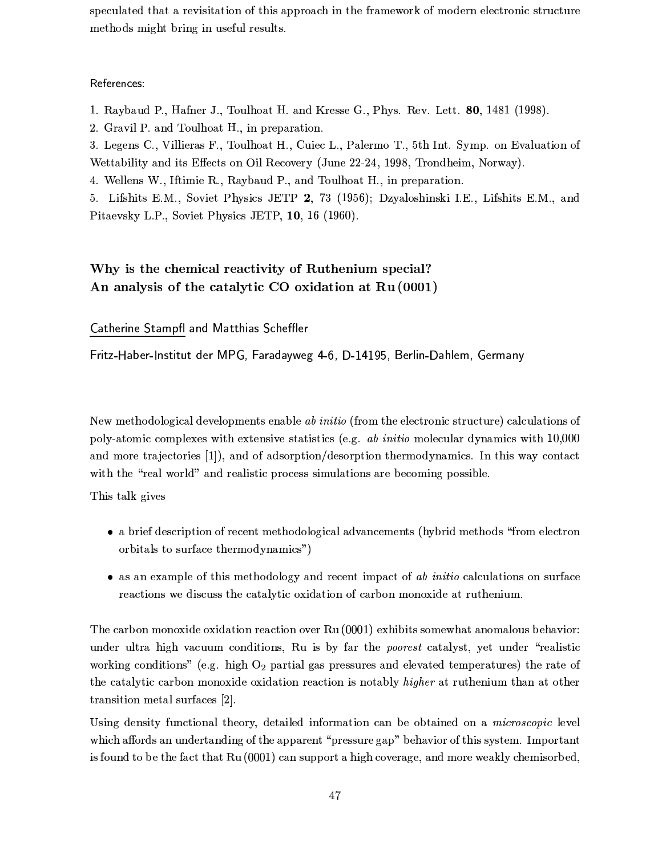speculated that a revisitation of this approach in the framework of modern electronic structure methods might bring in useful results.

References:

1. Raybaud P., Hafner J., Toulhoat H. and Kresse G., Phys. Rev. Lett. 80, 1481 (1998).

2. Gravil P. and Toulhoat H., in preparation.

3. Legens C., Villieras F., Toulhoat H., Cuiec L., Palermo T., 5th Int. Symp. on Evaluation of Wettability and its Effects on Oil Recovery (June 22-24, 1998, Trondheim, Norway).

4. Wellens W., Iftimie R., Raybaud P., and Toulhoat H., in preparation.

5. Lifshits E.M., Soviet Physics JETP 2, 73 (1956); Dzyaloshinski I.E., Lifshits E.M., and Pitaevsky L.P., Soviet Physics JETP, 10, 16 (1960).

## Why is the chemical reactivity of Ruthenium special? An analysis of the catalytic CO oxidation at Ru (0001)

Catherine Stampfl and Matthias Scheffler

Fritz-Haber-Institut der MPG, Faradayweg 4-6, D-14195, Berlin-Dahlem, Germany

New methodological developments enable ab initio (from the electronic structure) calculations of poly-atomic complexes with extensive statistics (e.g. *ab initio* molecular dynamics with 10,000 and more trajectories [1]), and of adsorption/desorption thermodynamics. In this way contact with the "real world" and realistic process simulations are becoming possible.

This talk gives

- a brief description of recent methodological advancements (hybrid methods "from electron" orbitals to surface thermodynamics")
- as an example of this methodology and recent impact of  $ab$  initio calculations on surface reactions we discuss the catalytic oxidation of carbon monoxide at ruthenium.

The carbon monoxide oxidation reaction over Ru (0001) exhibits somewhat anomalous behavior: under ultra high vacuum conditions, Ru is by far the *poorest* catalyst, yet under "realistic working conditions" (e.g. high  $O_2$  partial gas pressures and elevated temperatures) the rate of the catalytic carbon monoxide oxidation reaction is notably *higher* at ruthenium than at other transition metal surfaces [2].

Using density functional theory, detailed information can be obtained on a *microscopic* level which affords an undertanding of the apparent "pressure gap" behavior of this system. Important is found to be the fact that Ru (0001) can support a high coverage, and more weakly chemisorbed,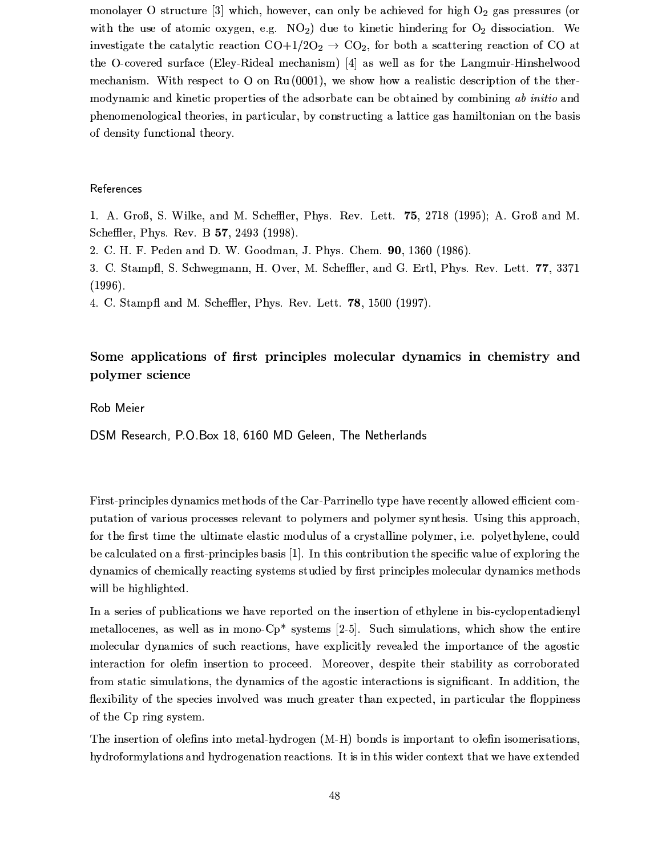monolayer O structure [3] which, however, can only be achieved for high  $O_2$  gas pressures (or with the use of atomic oxygen, e.g.  $NO<sub>2</sub>$ ) due to kinetic hindering for  $O<sub>2</sub>$  dissociation. We investigate the catalytic reaction  $CO+1/2O_2 \rightarrow CO_2$ , for both a scattering reaction of CO at the O-covered surface (Eley-Rideal mechanism) [4] as well as for the Langmuir-Hinshelwood mechanism. With respect to O on Ru  $(0001)$ , we show how a realistic description of the thermodynamic and kinetic properties of the adsorbate can be obtained by combining ab initio and phenomenological theories, in particular, by constructing a lattice gas hamiltonian on the basis of density functional theory.

#### References

1. A. Groß, S. Wilke, and M. Scheffler, Phys. Rev. Lett. 75, 2718 (1995); A. Groß and M. Scheffler, Phys. Rev. B 57, 2493 (1998).

2. C. H. F. Peden and D. W. Goodman, J. Phys. Chem. 90, 1360 (1986).

3. C. Stampfl, S. Schwegmann, H. Over, M. Scheffler, and G. Ertl, Phys. Rev. Lett. 77, 3371  $(1996).$ 

4. C. Stampfl and M. Scheffler, Phys. Rev. Lett. 78, 1500 (1997).

### Some applications of first principles molecular dynamics in chemistry and polymer science

Rob Meier

DSM Research, P.O.Box 18, 6160 MD Geleen, The Netherlands

First-principles dynamics methods of the Car-Parrinello type have recently allowed efficient computation of various processes relevant to polymers and polymer synthesis. Using this approach, for the first time the ultimate elastic modulus of a crystalline polymer, i.e. polyethylene, could be calculated on a first-principles basis [1]. In this contribution the specific value of exploring the dynamics of chemically reacting systems studied by first principles molecular dynamics methods will be highlighted.

In a series of publications we have reported on the insertion of ethylene in bis-cyclopentadienyl metallocenes, as well as in mono- $Cp^*$  systems [2-5]. Such simulations, which show the entire molecular dynamics of such reactions, have explicitly revealed the importance of the agostic interaction for olefin insertion to proceed. Moreover, despite their stability as corroborated from static simulations, the dynamics of the agostic interactions is significant. In addition, the flexibility of the species involved was much greater than expected, in particular the floppiness of the Cp ring system.

The insertion of olefins into metal-hydrogen (M-H) bonds is important to olefin isomerisations, hydroformylations and hydrogenation reactions. It is in this wider context that we have extended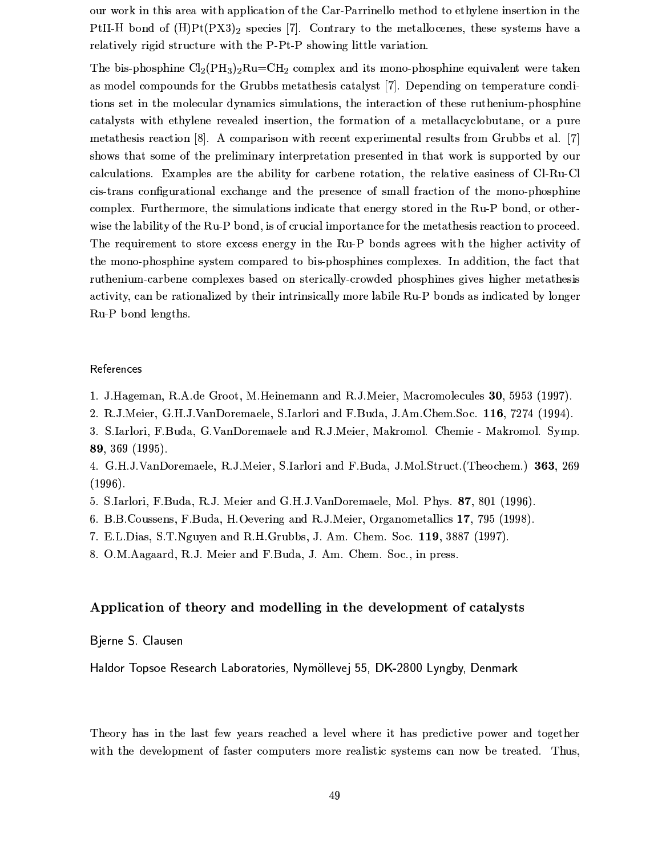our work in this area with application of the Car-Parrinello method to ethylene insertion in the PtII-H bond of  $(H)P<sup>t</sup>(PX3)<sub>2</sub>$  species [7]. Contrary to the metallocenes, these systems have a relatively rigid structure with the P-Pt-P showing little variation.

The bis-phosphine  $Cl_2(PH_3)_2Ru=CH_2$  complex and its mono-phosphine equivalent were taken as model compounds for the Grubbs metathesis catalyst [7]. Depending on temperature conditions set in the molecular dynamics simulations, the interaction of these ruthenium-phosphine catalysts with ethylene revealed insertion, the formation of a metallacyclobutane, or a pure metathesis reaction [8]. A comparison with recent experimental results from Grubbs et al. [7] shows that some of the preliminary interpretation presented in that work is supported by our calculations. Examples are the ability for carbene rotation, the relative easiness of Cl-Ru-Cl cis-trans configurational exchange and the presence of small fraction of the mono-phosphine complex. Furthermore, the simulations indicate that energy stored in the Ru-P bond, or otherwise the lability of the Ru-P bond, is of crucial importance for the metathesis reaction to proceed. The requirement to store excess energy in the Ru-P bonds agrees with the higher activity of the mono-phosphine system compared to bis-phosphines complexes. In addition, the fact that ruthenium-carbene complexes based on sterically-crowded phosphines gives higher metathesis activity, can be rationalized by their intrinsically more labile Ru-P bonds as indicated by longer Ru-P bond lengths.

#### References

- 1. J.Hageman, R.A.de Groot, M.Heinemann and R.J.Meier, Macromolecules 30, 5953 (1997).
- 2. R.J.Meier, G.H.J.VanDoremaele, S.Iarlori and F.Buda, J.Am.Chem.Soc. 116, 7274 (1994).
- 3. S.Iarlori, F.Buda, G.VanDoremaele and R.J.Meier, Makromol. Chemie Makromol. Symp. 89, 369 (1995).
- 4. G.H.J.VanDoremaele, R.J.Meier, S.Iarlori and F.Buda, J.Mol.Struct. (Theochem.) 363, 269  $(1996).$
- 5. S.Iarlori, F.Buda, R.J. Meier and G.H.J.VanDoremaele, Mol. Phys. 87, 801 (1996).
- 6. B.B.Coussens, F.Buda, H.Oevering and R.J.Meier, Organometallics 17, 795 (1998).
- 7. E.L.Dias, S.T.Nguyen and R.H.Grubbs, J. Am. Chem. Soc. 119, 3887 (1997).
- 8. O.M. Aagaard, R.J. Meier and F. Buda, J. Am. Chem. Soc., in press.

#### Application of theory and modelling in the development of catalysts

Bjerne S. Clausen

Haldor Topsoe Research Laboratories, Nymöllevej 55, DK-2800 Lyngby, Denmark

Theory has in the last few years reached a level where it has predictive power and together with the development of faster computers more realistic systems can now be treated. Thus,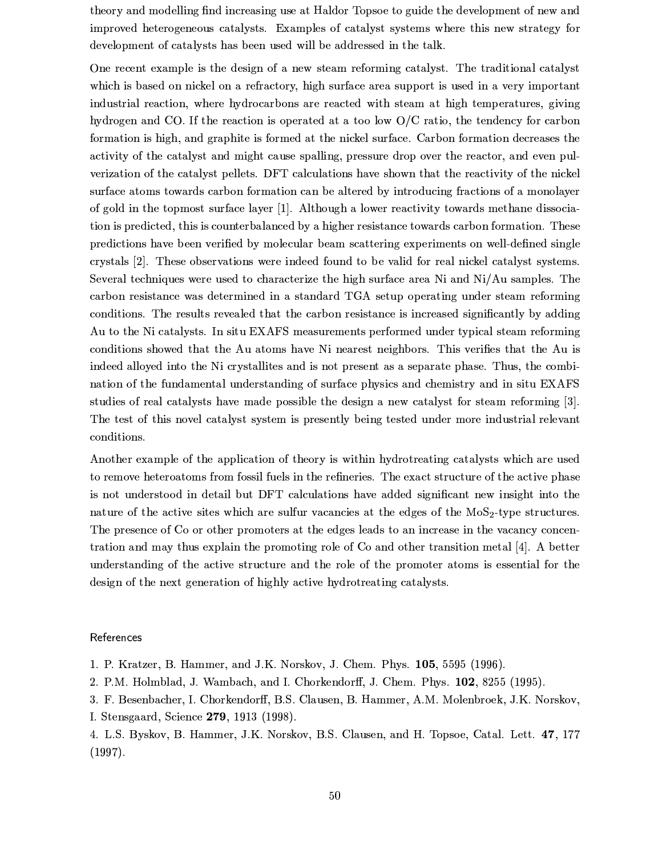theory and modelling find increasing use at Haldor Topsoe to guide the development of new and improved heterogeneous catalysts. Examples of catalyst systems where this new strategy for development of catalysts has been used will be addressed in the talk.

One recent example is the design of a new steam reforming catalyst. The traditional catalyst which is based on nickel on a refractory, high surface area support is used in a very important industrial reaction, where hydrocarbons are reacted with steam at high temperatures, giving hydrogen and CO. If the reaction is operated at a too low  $O/C$  ratio, the tendency for carbon formation is high, and graphite is formed at the nickel surface. Carbon formation decreases the activity of the catalyst and might cause spalling, pressure drop over the reactor, and even pulverization of the catalyst pellets. DFT calculations have shown that the reactivity of the nickel surface atoms towards carbon formation can be altered by introducing fractions of a monolayer of gold in the topmost surface layer [1]. Although a lower reactivity towards methane dissociation is predicted, this is counterbalanced by a higher resistance towards carbon formation. These predictions have been verified by molecular beam scattering experiments on well-defined single crystals [2]. These observations were indeed found to be valid for real nickel catalyst systems. Several techniques were used to characterize the high surface area Ni and Ni/Au samples. The carbon resistance was determined in a standard TGA setup operating under steam reforming conditions. The results revealed that the carbon resistance is increased significantly by adding Au to the Ni catalysts. In situ EXAFS measurements performed under typical steam reforming conditions showed that the Au atoms have Ni nearest neighbors. This verifies that the Au is indeed alloyed into the Ni crystallities and is not present as a separate phase. Thus, the combination of the fundamental understanding of surface physics and chemistry and in situ EXAFS studies of real catalysts have made possible the design a new catalyst for steam reforming [3]. The test of this novel catalyst system is presently being tested under more industrial relevant conditions.

Another example of the application of theory is within hydrotreating catalysts which are used to remove heteroatoms from fossil fuels in the refineries. The exact structure of the active phase is not understood in detail but DFT calculations have added significant new insight into the nature of the active sites which are sulfur vacancies at the edges of the MoS<sub>2</sub>-type structures. The presence of Co or other promoters at the edges leads to an increase in the vacancy concentration and may thus explain the promoting role of Co and other transition metal [4]. A better understanding of the active structure and the role of the promoter atoms is essential for the design of the next generation of highly active hydrotreating catalysts.

#### References

1. P. Kratzer, B. Hammer, and J.K. Norskov, J. Chem. Phys. 105, 5595 (1996).

2. P.M. Holmblad, J. Wambach, and I. Chorkendorff, J. Chem. Phys. 102, 8255 (1995).

3. F. Besenbacher, I. Chorkendorff, B.S. Clausen, B. Hammer, A.M. Molenbroek, J.K. Norskov, I. Stensgaard, Science 279, 1913 (1998).

4. L.S. Byskov, B. Hammer, J.K. Norskov, B.S. Clausen, and H. Topsoe, Catal. Lett. 47, 177  $(1997).$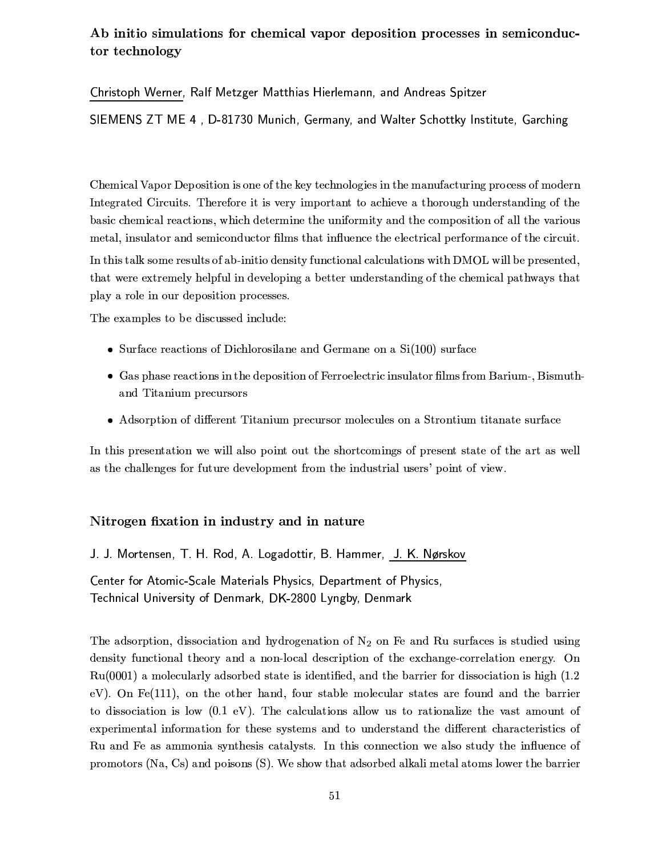### Ab initio simulations for chemical vapor deposition processes in semiconductor technology

Christoph Werner, Ralf Metzger Matthias Hierlemann, and Andreas Spitzer

SIEMENS ZT ME 4, D-81730 Munich, Germany, and Walter Schottky Institute, Garching

Chemical Vapor Deposition is one of the key technologies in the manufacturing process of modern Integrated Circuits. Therefore it is very important to achieve a thorough understanding of the basic chemical reactions, which determine the uniformity and the composition of all the various metal, insulator and semiconductor films that influence the electrical performance of the circuit.

In this talk some results of ab-initio density functional calculations with DMOL will be presented, that were extremely helpful in developing a better understanding of the chemical pathways that play a role in our deposition processes.

The examples to be discussed include:

- Surface reactions of Dichlorosilane and Germane on a  $Si(100)$  surface
- Gas phase reactions in the deposition of Ferroelectric insulator films from Barium-, Bismuthand Titanium precursors
- Adsorption of different Titanium precursor molecules on a Strontium titanate surface

In this presentation we will also point out the shortcomings of present state of the art as well as the challenges for future development from the industrial users' point of view.

#### Nitrogen fixation in industry and in nature

J. J. Mortensen, T. H. Rod, A. Logadottir, B. Hammer, J. K. Nørskov

Center for Atomic-Scale Materials Physics, Department of Physics, Technical University of Denmark, DK-2800 Lyngby, Denmark

The adsorption, dissociation and hydrogenation of  $N_2$  on Fe and Ru surfaces is studied using density functional theory and a non-local description of the exchange-correlation energy. On  $Ru(0001)$  a molecularly adsorbed state is identified, and the barrier for dissociation is high  $(1.2)$ eV). On Fe(111), on the other hand, four stable molecular states are found and the barrier to dissociation is low  $(0.1 \text{ eV})$ . The calculations allow us to rationalize the vast amount of experimental information for these systems and to understand the different characteristics of Ru and Fe as ammonia synthesis catalysts. In this connection we also study the influence of promotors (Na, Cs) and poisons (S). We show that adsorbed alkali metal atoms lower the barrier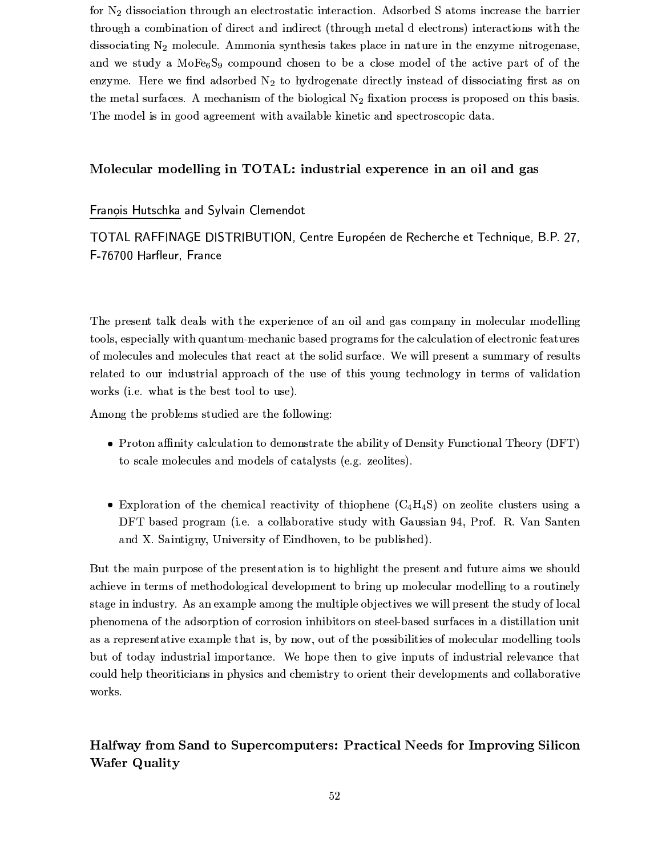for  $N_2$  dissociation through an electrostatic interaction. Adsorbed S atoms increase the barrier through a combination of direct and indirect (through metal d electrons) interactions with the dissociating  $N_2$  molecule. Ammonia synthesis takes place in nature in the enzyme nitrogenese, and we study a MoFe<sub>6</sub>S<sub>9</sub> compound chosen to be a close model of the active part of of the enzyme. Here we find adsorbed  $N_2$  to hydrogenate directly instead of dissociating first as on the metal surfaces. A mechanism of the biological  $N_2$  fixation process is proposed on this basis. The model is in good agreement with available kinetic and spectroscopic data.

### Molecular modelling in TOTAL: industrial experence in an oil and gas

Franois Hutschka and Sylvain Clemendot

TOTAL RAFFINAGE DISTRIBUTION, Centre Européen de Recherche et Technique, B.P. 27, F-76700 Harfleur, France

The present talk deals with the experience of an oil and gas company in molecular modelling tools, especially with quantum-mechanic based programs for the calculation of electronic features of molecules and molecules that react at the solid surface. We will present a summary of results related to our industrial approach of the use of this young technology in terms of validation works (i.e. what is the best tool to use).

Among the problems studied are the following:

- Proton affinity calculation to demonstrate the ability of Density Functional Theory (DFT) to scale molecules and models of catalysts (e.g. zeolites).
- Exploration of the chemical reactivity of thiophene  $(C_4H_4S)$  on zeolite clusters using a DFT based program (i.e. a collaborative study with Gaussian 94, Prof. R. Van Santen and X. Saintigny, University of Eindhoven, to be published).

But the main purpose of the presentation is to highlight the present and future aims we should achieve in terms of methodological development to bring up molecular modelling to a routinely stage in industry. As an example among the multiple objectives we will present the study of local phenomena of the adsorption of corrosion inhibitors on steel-based surfaces in a distillation unit as a representative example that is, by now, out of the possibilities of molecular modelling tools but of today industrial importance. We hope then to give inputs of industrial relevance that could help theoriticians in physics and chemistry to orient their developments and collaborative works.

Halfway from Sand to Supercomputers: Practical Needs for Improving Silicon **Wafer Quality**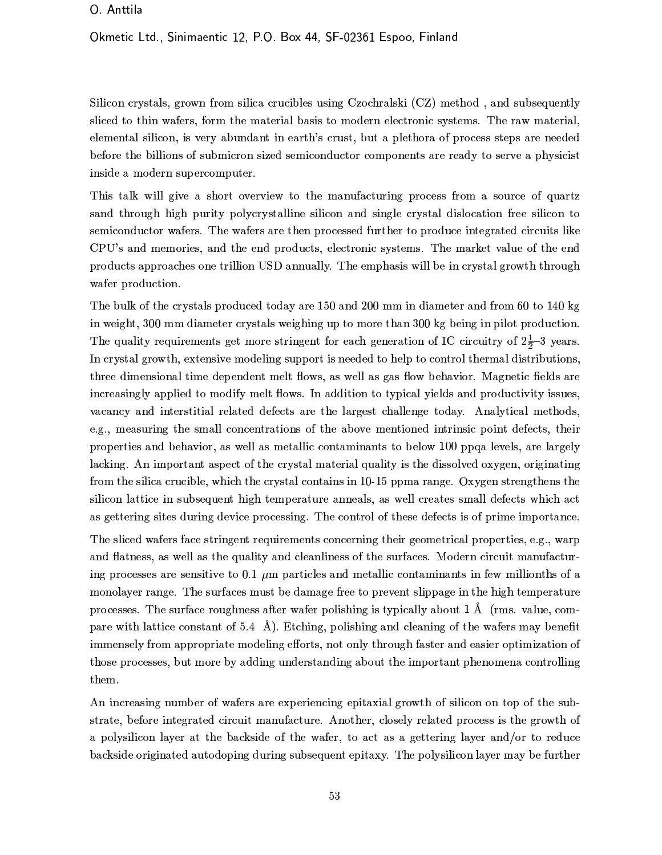#### O. Anttila

#### Okmetic Ltd., Sinimaentic 12, P.O. Box 44, SF-02361 Espoo, Finland

Silicon crystals, grown from silica crucibles using Czochralski (CZ) method, and subsequently sliced to thin wafers, form the material basis to modern electronic systems. The raw material, elemental silicon, is very abundant in earth's crust, but a plethora of process steps are needed before the billions of submicron sized semiconductor components are ready to serve a physicist inside a modern supercomputer.

This talk will give a short overview to the manufacturing process from a source of quartz sand through high purity polycrystalline silicon and single crystal dislocation free silicon to semiconductor wafers. The wafers are then processed further to produce integrated circuits like CPU's and memories, and the end products, electronic systems. The market value of the end products approaches one trillion USD annually. The emphasis will be in crystal growth through wafer production.

The bulk of the crystals produced today are 150 and 200 mm in diameter and from 60 to 140 kg in weight, 300 mm diameter crystals weighing up to more than 300 kg being in pilot production. The quality requirements get more stringent for each generation of IC circuitry of  $2\frac{1}{2}-3$  years. In crystal growth, extensive modeling support is needed to help to control thermal distributions, three dimensional time dependent melt flows, as well as gas flow behavior. Magnetic fields are increasingly applied to modify melt flows. In addition to typical yields and productivity issues, vacancy and interstitial related defects are the largest challenge today. Analytical methods, e.g., measuring the small concentrations of the above mentioned intrinsic point defects, their properties and behavior, as well as metallic contaminants to below 100 ppga levels, are largely lacking. An important aspect of the crystal material quality is the dissolved oxygen, originating from the silica crucible, which the crystal contains in 10-15 ppma range. Oxygen strengthens the silicon lattice in subsequent high temperature anneals, as well creates small defects which act as gettering sites during device processing. The control of these defects is of prime importance.

The sliced wafers face stringent requirements concerning their geometrical properties, e.g., warp and flatness, as well as the quality and cleanliness of the surfaces. Modern circuit manufacturing processes are sensitive to 0.1  $\mu$ m particles and metallic contaminants in few millionths of a monolayer range. The surfaces must be damage free to prevent slippage in the high temperature processes. The surface roughness after wafer polishing is typically about 1  $\AA$  (rms. value, compare with lattice constant of 5.4  $\AA$ ). Etching, polishing and cleaning of the wafers may benefit immensely from appropriate modeling efforts, not only through faster and easier optimization of those processes, but more by adding understanding about the important phenomena controlling them.

An increasing number of wafers are experiencing epitaxial growth of silicon on top of the substrate, before integrated circuit manufacture. Another, closely related process is the growth of a polysilicon layer at the backside of the wafer, to act as a gettering layer and/or to reduce backside originated autodoping during subsequent epitaxy. The polysilicon layer may be further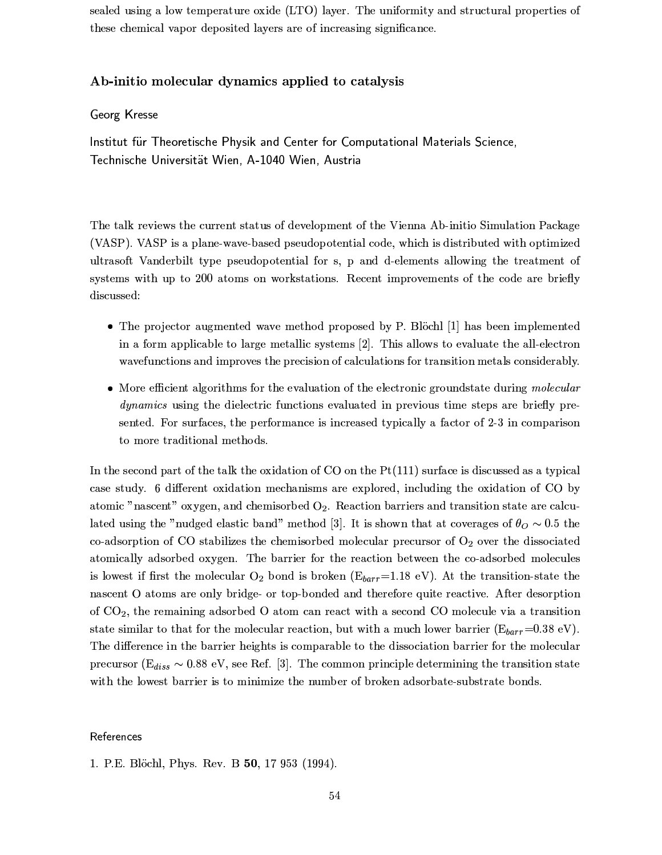sealed using a low temperature oxide (LTO) layer. The uniformity and structural properties of these chemical vapor deposited layers are of increasing significance.

#### Ab-initio molecular dynamics applied to catalysis

#### Georg Kresse

Institut für Theoretische Physik and Center for Computational Materials Science, Technische Universität Wien, A-1040 Wien, Austria

The talk reviews the current status of development of the Vienna Ab-initio Simulation Package (VASP). VASP is a plane-wave-based pseudopotential code, which is distributed with optimized ultrasoft Vanderbilt type pseudopotential for s, p and d-elements allowing the treatment of systems with up to 200 atoms on workstations. Recent improvements of the code are briefly discussed:

- The projector augmented wave method proposed by P. Blöchl [1] has been implemented in a form applicable to large metallic systems [2]. This allows to evaluate the all-electron wavefunctions and improves the precision of calculations for transition metals considerably.
- More efficient algorithms for the evaluation of the electronic groundstate during molecular *dynamics* using the dielectric functions evaluated in previous time steps are briefly presented. For surfaces, the performance is increased typically a factor of 2-3 in comparison to more traditional methods.

In the second part of the talk the oxidation of  $CO$  on the  $Pt(111)$  surface is discussed as a typical case study. 6 different oxidation mechanisms are explored, including the oxidation of CO by atomic "nascent" oxygen, and chemisorbed  $O_2$ . Reaction barriers and transition state are calculated using the "nudged elastic band" method [3]. It is shown that at coverages of  $\theta_{O} \sim 0.5$  the co-adsorption of CO stabilizes the chemisorbed molecular precursor of  $O<sub>2</sub>$  over the dissociated atomically adsorbed oxygen. The barrier for the reaction between the co-adsorbed molecules is lowest if first the molecular  $O_2$  bond is broken ( $E_{bar}$ =1.18 eV). At the transition-state the nascent O atoms are only bridge- or top-bonded and therefore quite reactive. After desorption of  $CO<sub>2</sub>$ , the remaining adsorbed O atom can react with a second CO molecule via a transition state similar to that for the molecular reaction, but with a much lower barrier ( $E_{barr}$ =0.38 eV). The difference in the barrier heights is comparable to the dissociation barrier for the molecular precursor ( $E_{diss} \sim 0.88$  eV, see Ref. [3]. The common principle determining the transition state with the lowest barrier is to minimize the number of broken adsorbate-substrate bonds.

#### References

1. P.E. Blöchl, Phys. Rev. B 50, 17 953 (1994).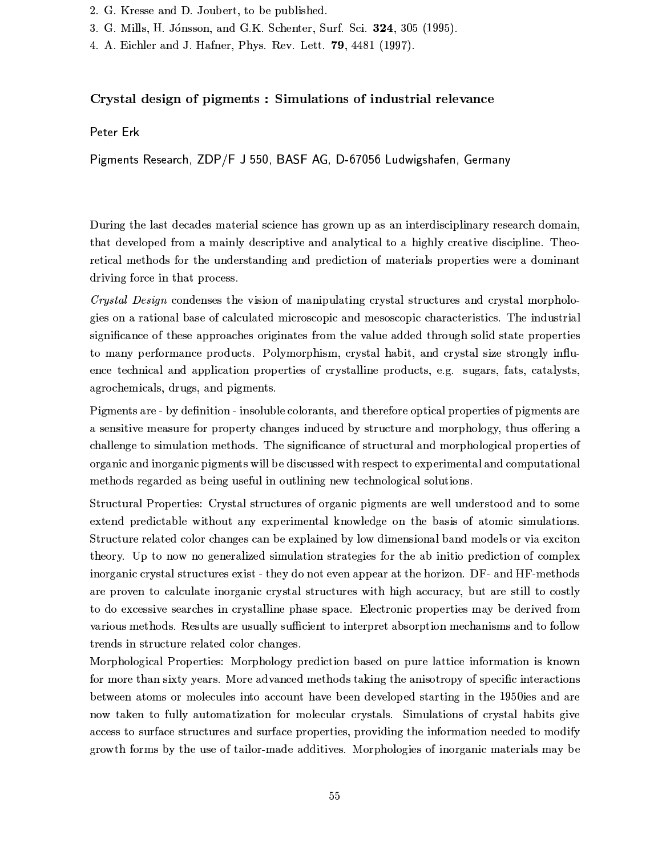- 2. G. Kresse and D. Joubert, to be published.
- 3. G. Mills, H. Jónsson, and G.K. Schenter, Surf. Sci. 324, 305 (1995).
- 4. A. Eichler and J. Hafner, Phys. Rev. Lett. 79, 4481 (1997).

### Crystal design of pigments: Simulations of industrial relevance

#### Peter Erk

Pigments Research, ZDP/F J 550, BASF AG, D-67056 Ludwigshafen, Germany

During the last decades material science has grown up as an interdisciplinary research domain, that developed from a mainly descriptive and analytical to a highly creative discipline. Theoretical methods for the understanding and prediction of materials properties were a dominant driving force in that process.

Crystal Design condenses the vision of manipulating crystal structures and crystal morphologies on a rational base of calculated microscopic and mesoscopic characteristics. The industrial significance of these approaches originates from the value added through solid state properties to many performance products. Polymorphism, crystal habit, and crystal size strongly influence technical and application properties of crystalline products, e.g. sugars, fats, catalysts, agrochemicals, drugs, and pigments.

Pigments are - by definition - insoluble colorants, and therefore optical properties of pigments are a sensitive measure for property changes induced by structure and morphology, thus offering a challenge to simulation methods. The significance of structural and morphological properties of organic and inorganic pigments will be discussed with respect to experimental and computational methods regarded as being useful in outlining new technological solutions.

Structural Properties: Crystal structures of organic pigments are well understood and to some extend predictable without any experimental knowledge on the basis of atomic simulations. Structure related color changes can be explained by low dimensional band models or via exciton theory. Up to now no generalized simulation strategies for the ab initio prediction of complex inorganic crystal structures exist - they do not even appear at the horizon. DF- and HF-methods are proven to calculate inorganic crystal structures with high accuracy, but are still to costly to do excessive searches in crystalline phase space. Electronic properties may be derived from various methods. Results are usually sufficient to interpret absorption mechanisms and to follow trends in structure related color changes.

Morphological Properties: Morphology prediction based on pure lattice information is known for more than sixty years. More advanced methods taking the anisotropy of specific interactions between atoms or molecules into account have been developed starting in the 1950ies and are now taken to fully automatization for molecular crystals. Simulations of crystal habits give access to surface structures and surface properties, providing the information needed to modify growth forms by the use of tailor-made additives. Morphologies of inorganic materials may be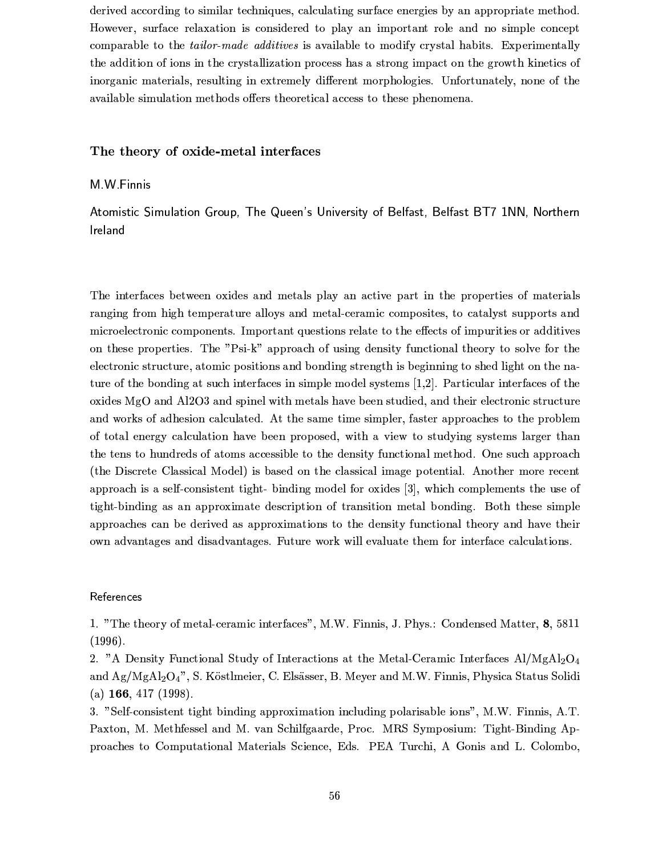derived according to similar techniques, calculating surface energies by an appropriate method. However, surface relaxation is considered to play an important role and no simple concept comparable to the *tailor-made additives* is available to modify crystal habits. Experimentally the addition of ions in the crystallization process has a strong impact on the growth kinetics of inorganic materials, resulting in extremely different morphologies. Unfortunately, none of the available simulation methods offers theoretical access to these phenomena.

#### The theory of oxide-metal interfaces

#### M.W.Finnis

Atomistic Simulation Group, The Queen's University of Belfast, Belfast BT7 1NN, Northern Ireland

The interfaces between oxides and metals play an active part in the properties of materials ranging from high temperature alloys and metal-ceramic composites, to catalyst supports and microelectronic components. Important questions relate to the effects of impurities or additives on these properties. The "Psi-k" approach of using density functional theory to solve for the electronic structure, atomic positions and bonding strength is beginning to shed light on the nature of the bonding at such interfaces in simple model systems  $[1,2]$ . Particular interfaces of the oxides MgO and Al2O3 and spinel with metals have been studied, and their electronic structure and works of adhesion calculated. At the same time simpler, faster approaches to the problem of total energy calculation have been proposed, with a view to studying systems larger than the tens to hundreds of atoms accessible to the density functional method. One such approach (the Discrete Classical Model) is based on the classical image potential. Another more recent approach is a self-consistent tight- binding model for oxides [3], which complements the use of tight-binding as an approximate description of transition metal bonding. Both these simple approaches can be derived as approximations to the density functional theory and have their own advantages and disadvantages. Future work will evaluate them for interface calculations.

#### References

1. "The theory of metal-ceramic interfaces", M.W. Finnis, J. Phys.: Condensed Matter, 8, 5811  $(1996).$ 

2. "A Density Functional Study of Interactions at the Metal-Ceramic Interfaces Al/MgAl<sub>2</sub>O<sub>4</sub> and Ag/MgAl<sub>2</sub>O<sub>4</sub>", S. Köstlmeier, C. Elsässer, B. Meyer and M.W. Finnis, Physica Status Solidi (a)  $166, 417$  (1998).

3. "Self-consistent tight binding approximation including polarisable ions", M.W. Finnis, A.T. Paxton, M. Methfessel and M. van Schilfgaarde, Proc. MRS Symposium: Tight-Binding Approaches to Computational Materials Science, Eds. PEA Turchi, A Gonis and L. Colombo,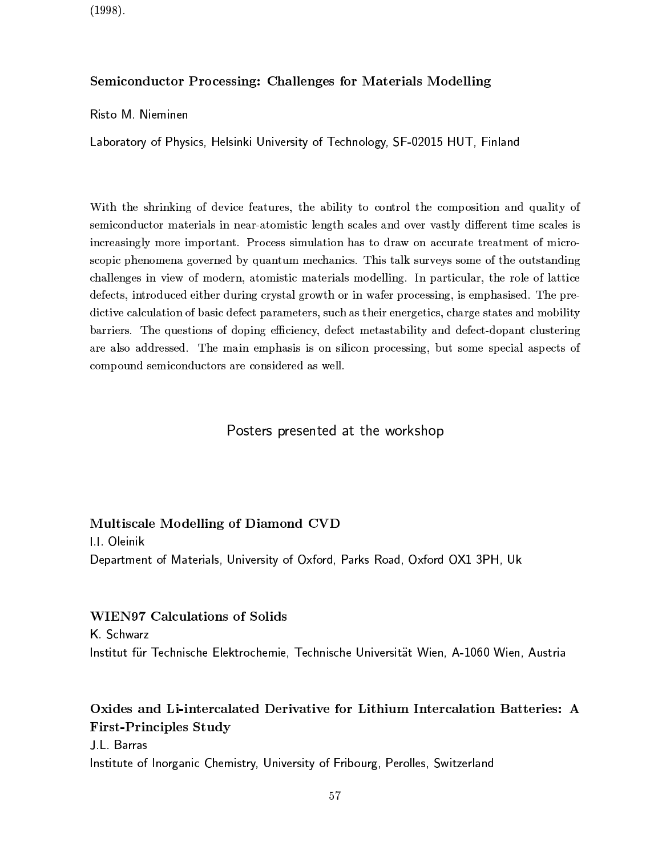$(1998).$ 

#### Semiconductor Processing: Challenges for Materials Modelling

Risto M. Nieminen

Laboratory of Physics, Helsinki University of Technology, SF-02015 HUT, Finland

With the shrinking of device features, the ability to control the composition and quality of semiconductor materials in near-atomistic length scales and over vastly different time scales is increasingly more important. Process simulation has to draw on accurate treatment of microscopic phenomena governed by quantum mechanics. This talk surveys some of the outstanding challenges in view of modern, atomistic materials modelling. In particular, the role of lattice defects, introduced either during crystal growth or in wafer processing, is emphasised. The predictive calculation of basic defect parameters, such as their energetics, charge states and mobility barriers. The questions of doping efficiency, defect metastability and defect-dopant clustering are also addressed. The main emphasis is on silicon processing, but some special aspects of compound semiconductors are considered as well.

### Posters presented at the workshop

#### Multiscale Modelling of Diamond CVD

**1.1.** Oleinik Department of Materials, University of Oxford, Parks Road, Oxford OX1 3PH, Uk

#### **WIEN97 Calculations of Solids**

K. Schwarz Institut für Technische Elektrochemie, Technische Universität Wien, A-1060 Wien, Austria

### Oxides and Li-intercalated Derivative for Lithium Intercalation Batteries: A **First-Principles Study**

J.I. Barras

Institute of Inorganic Chemistry, University of Fribourg, Perolles, Switzerland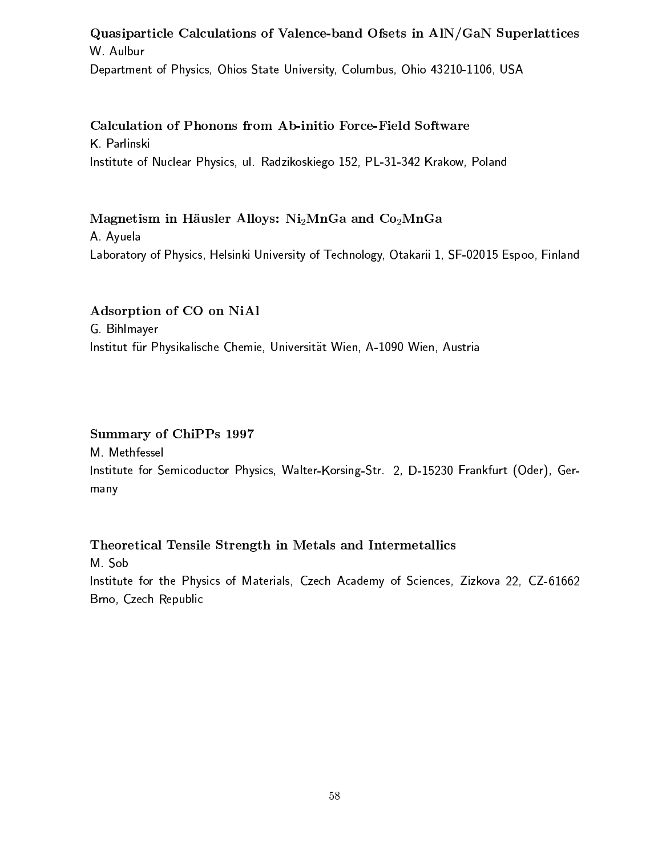### Quasiparticle Calculations of Valence-band Ofsets in AIN/GaN Superlattices W. Aulbur

Department of Physics, Ohios State University, Columbus, Ohio 43210-1106, USA

Calculation of Phonons from Ab-initio Force-Field Software K Parlinski Institute of Nuclear Physics, ul. Radzikoskiego 152, PL-31-342 Krakow, Poland

Magnetism in Häusler Alloys:  $Ni<sub>2</sub>MnGa$  and  $Co<sub>2</sub>MnGa$ A Ayuela Laboratory of Physics, Helsinki University of Technology, Otakarii 1, SF-02015 Espoo, Finland

Adsorption of CO on NiAl G. Bihlmayer Institut für Physikalische Chemie, Universität Wien, A-1090 Wien, Austria

### **Summary of ChiPPs 1997**

M. Methfessel Institute for Semicoductor Physics, Walter-Korsing-Str. 2, D-15230 Frankfurt (Oder), Germany

Theoretical Tensile Strength in Metals and Intermetallics M Sob Institute for the Physics of Materials, Czech Academy of Sciences, Zizkova 22, CZ-61662 Brno, Czech Republic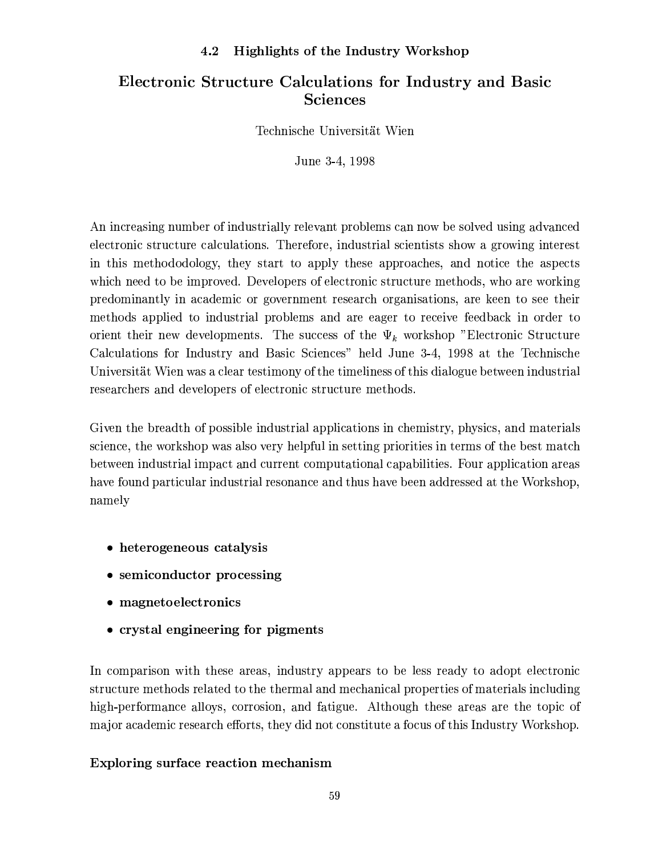#### Highlights of the Industry Workshop 4.2

### Electronic Structure Calculations for Industry and Basic **Sciences**

Technische Universität Wien

June 3-4, 1998

An increasing number of industrially relevant problems can now be solved using advanced electronic structure calculations. Therefore, industrial scientists show a growing interest in this methododology, they start to apply these approaches, and notice the aspects which need to be improved. Developers of electronic structure methods, who are working predominantly in academic or government research organisations, are keen to see their methods applied to industrial problems and are eager to receive feedback in order to orient their new developments. The success of the  $\Psi_k$  workshop "Electronic Structure Calculations for Industry and Basic Sciences" held June 3-4, 1998 at the Technische Universität Wien was a clear testimony of the timeliness of this dialogue between industrial researchers and developers of electronic structure methods.

Given the breadth of possible industrial applications in chemistry, physics, and materials science, the workshop was also very helpful in setting priorities in terms of the best match between industrial impact and current computational capabilities. Four application areas have found particular industrial resonance and thus have been addressed at the Workshop, namely

- heterogeneous catalysis
- semiconductor processing
- magnetoelectronics
- crystal engineering for pigments

In comparison with these areas, industry appears to be less ready to adopt electronic structure methods related to the thermal and mechanical properties of materials including high-performance alloys, corrosion, and fatigue. Although these areas are the topic of major academic research efforts, they did not constitute a focus of this Industry Workshop.

### Exploring surface reaction mechanism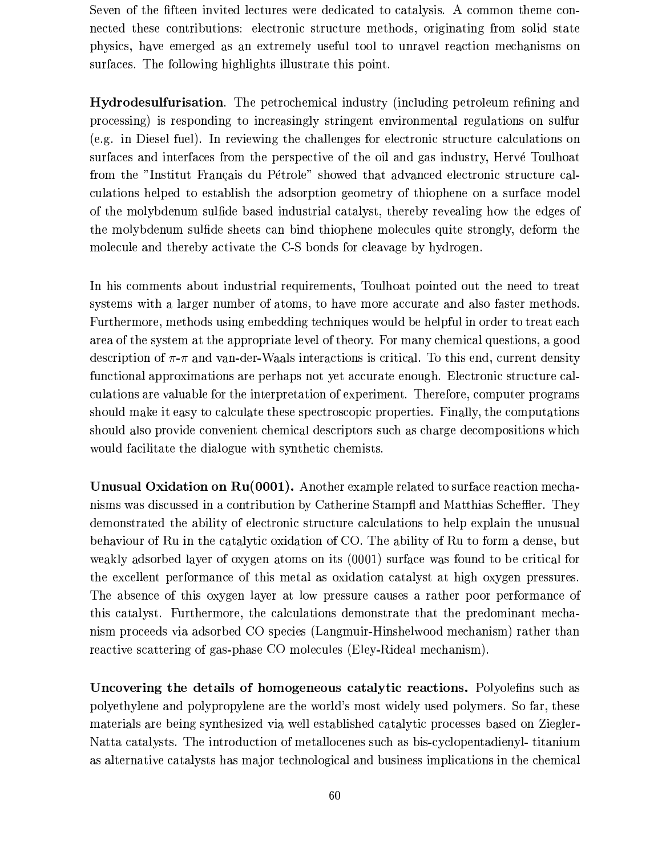Seven of the fifteen invited lectures were dedicated to catalysis. A common theme connected these contributions: electronic structure methods, originating from solid state physics, have emerged as an extremely useful tool to unravel reaction mechanisms on surfaces. The following highlights illustrate this point.

**Hydrodesulfurisation**. The petrochemical industry (including petroleum refining and processing) is responding to increasingly stringent environmental regulations on sulfur (e.g. in Diesel fuel). In reviewing the challenges for electronic structure calculations on surfaces and interfaces from the perspective of the oil and gas industry, Hervé Toulhoat from the "Institut Français du Pétrole" showed that advanced electronic structure calculations helped to establish the adsorption geometry of thiophene on a surface model of the molybdenum sulfide based industrial catalyst, thereby revealing how the edges of the molybdenum sulfide sheets can bind thiophene molecules quite strongly, deform the molecule and thereby activate the C-S bonds for cleavage by hydrogen.

In his comments about industrial requirements, Toulhoat pointed out the need to treat systems with a larger number of atoms, to have more accurate and also faster methods. Furthermore, methods using embedding techniques would be helpful in order to treat each area of the system at the appropriate level of theory. For many chemical questions, a good description of  $\pi$ - $\pi$  and van-der-Waals interactions is critical. To this end, current density functional approximations are perhaps not yet accurate enough. Electronic structure calculations are valuable for the interpretation of experiment. Therefore, computer programs should make it easy to calculate these spectroscopic properties. Finally, the computations should also provide convenient chemical descriptors such as charge decompositions which would facilitate the dialogue with synthetic chemists.

**Unusual Oxidation on Ru(0001).** Another example related to surface reaction mechanisms was discussed in a contribution by Catherine Stampfl and Matthias Scheffler. They demonstrated the ability of electronic structure calculations to help explain the unusual behaviour of Ru in the catalytic oxidation of CO. The ability of Ru to form a dense, but weakly adsorbed layer of oxygen atoms on its (0001) surface was found to be critical for the excellent performance of this metal as oxidation catalyst at high oxygen pressures. The absence of this oxygen layer at low pressure causes a rather poor performance of this catalyst. Furthermore, the calculations demonstrate that the predominant mechanism proceeds via adsorbed CO species (Langmuir-Hinshelwood mechanism) rather than reactive scattering of gas-phase CO molecules (Eley-Rideal mechanism).

Uncovering the details of homogeneous catalytic reactions. Polyolefins such as polyethylene and polypropylene are the world's most widely used polymers. So far, these materials are being synthesized via well established catalytic processes based on Ziegler-Natta catalysts. The introduction of metallocenes such as bis-cyclopentadienyl-titanium as alternative catalysts has major technological and business implications in the chemical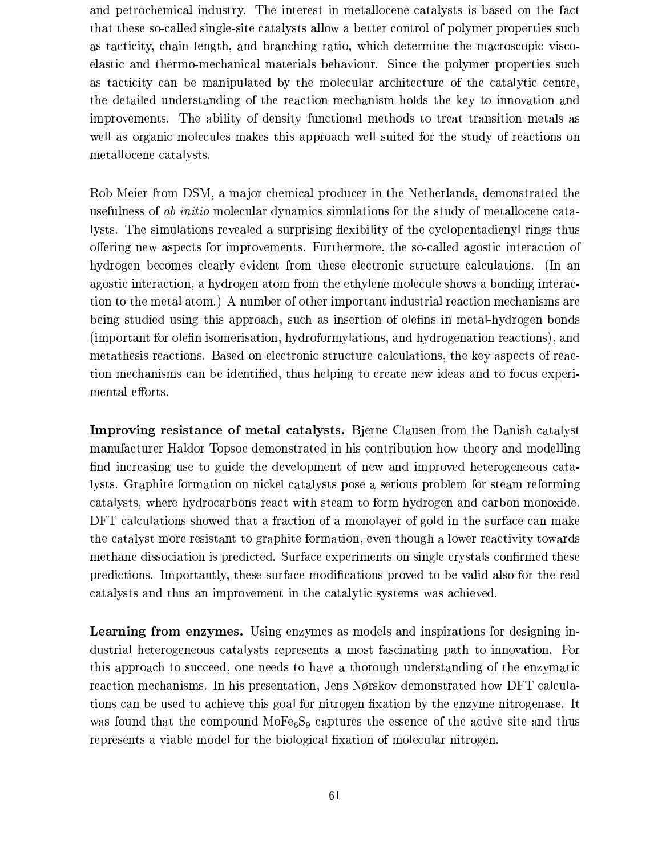and petrochemical industry. The interest in metallocene catalysts is based on the fact that these so-called single-site catalysts allow a better control of polymer properties such as tacticity, chain length, and branching ratio, which determine the macroscopic viscoelastic and thermo-mechanical materials behaviour. Since the polymer properties such as tacticity can be manipulated by the molecular architecture of the catalytic centre, the detailed understanding of the reaction mechanism holds the key to innovation and improvements. The ability of density functional methods to treat transition metals as well as organic molecules makes this approach well suited for the study of reactions on metallocene catalysts.

Rob Meier from DSM, a major chemical producer in the Netherlands, demonstrated the usefulness of *ab initio* molecular dynamics simulations for the study of metallocene catalysts. The simulations revealed a surprising flexibility of the cyclopentadienyl rings thus offering new aspects for improvements. Furthermore, the so-called agostic interaction of hydrogen becomes clearly evident from these electronic structure calculations. (In an agostic interaction, a hydrogen atom from the ethylene molecule shows a bonding interaction to the metal atom.) A number of other important industrial reaction mechanisms are being studied using this approach, such as insertion of olefins in metal-hydrogen bonds (important for olefin isomerisation, hydroformylations, and hydrogenation reactions), and metathesis reactions. Based on electronic structure calculations, the key aspects of reaction mechanisms can be identified, thus helping to create new ideas and to focus experimental efforts.

Improving resistance of metal catalysts. Bjerne Clausen from the Danish catalyst manufacturer Haldor Topsoe demonstrated in his contribution how theory and modelling find increasing use to guide the development of new and improved heterogeneous catalysts. Graphite formation on nickel catalysts pose a serious problem for steam reforming catalysts, where hydrocarbons react with steam to form hydrogen and carbon monoxide. DFT calculations showed that a fraction of a monolayer of gold in the surface can make the catalyst more resistant to graphite formation, even though a lower reactivity towards methane dissociation is predicted. Surface experiments on single crystals confirmed these predictions. Importantly, these surface modifications proved to be valid also for the real catalysts and thus an improvement in the catalytic systems was achieved.

**Learning from enzymes.** Using enzymes as models and inspirations for designing industrial heterogeneous catalysts represents a most fascinating path to innovation. For this approach to succeed, one needs to have a thorough understanding of the enzymatic reaction mechanisms. In his presentation, Jens Nørskov demonstrated how DFT calculations can be used to achieve this goal for nitrogen fixation by the enzyme nitrogenese. It was found that the compound  $\text{MoFe}_6\text{S}_9$  captures the essence of the active site and thus represents a viable model for the biological fixation of molecular nitrogen.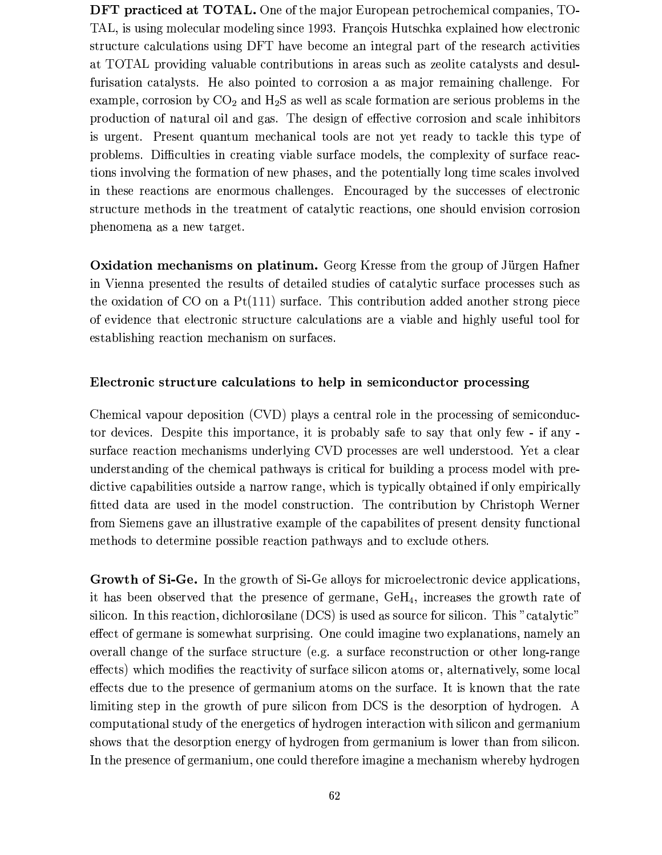DFT practiced at TOTAL. One of the major European petrochemical companies, TO-TAL, is using molecular modeling since 1993. François Hutschka explained how electronic structure calculations using DFT have become an integral part of the research activities at TOTAL providing valuable contributions in areas such as zeolite catalysts and desulfurisation catalysts. He also pointed to corrosion a as major remaining challenge. For example, corrosion by  $CO<sub>2</sub>$  and  $H<sub>2</sub>S$  as well as scale formation are serious problems in the production of natural oil and gas. The design of effective corrosion and scale inhibitors is urgent. Present quantum mechanical tools are not yet ready to tackle this type of problems. Difficulties in creating viable surface models, the complexity of surface reactions involving the formation of new phases, and the potentially long time scales involved in these reactions are enormous challenges. Encouraged by the successes of electronic structure methods in the treatment of catalytic reactions, one should envision corrosion phenomena as a new target.

**Oxidation mechanisms on platinum.** Georg Kresse from the group of Jürgen Hafner in Vienna presented the results of detailed studies of catalytic surface processes such as the oxidation of CO on a  $Pt(111)$  surface. This contribution added another strong piece of evidence that electronic structure calculations are a viable and highly useful tool for establishing reaction mechanism on surfaces.

#### Electronic structure calculations to help in semiconductor processing

Chemical vapour deposition (CVD) plays a central role in the processing of semiconductor devices. Despite this importance, it is probably safe to say that only few - if any surface reaction mechanisms underlying CVD processes are well understood. Yet a clear understanding of the chemical pathways is critical for building a process model with predictive capabilities outside a narrow range, which is typically obtained if only empirically fitted data are used in the model construction. The contribution by Christoph Werner from Siemens gave an illustrative example of the capabilities of present density functional methods to determine possible reaction pathways and to exclude others.

Growth of Si-Ge. In the growth of Si-Ge alloys for microelectronic device applications, it has been observed that the presence of germane,  $\text{GeH}_4$ , increases the growth rate of silicon. In this reaction, dichlorosilane (DCS) is used as source for silicon. This "catalytic" effect of germane is somewhat surprising. One could imagine two explanations, namely an overall change of the surface structure (e.g. a surface reconstruction or other long-range effects) which modifies the reactivity of surface silicon atoms or, alternatively, some local effects due to the presence of germanium atoms on the surface. It is known that the rate limiting step in the growth of pure silicon from DCS is the desorption of hydrogen. A computational study of the energetics of hydrogen interaction with silicon and germanium shows that the desorption energy of hydrogen from germanium is lower than from silicon. In the presence of germanium, one could therefore imagine a mechanism whereby hydrogen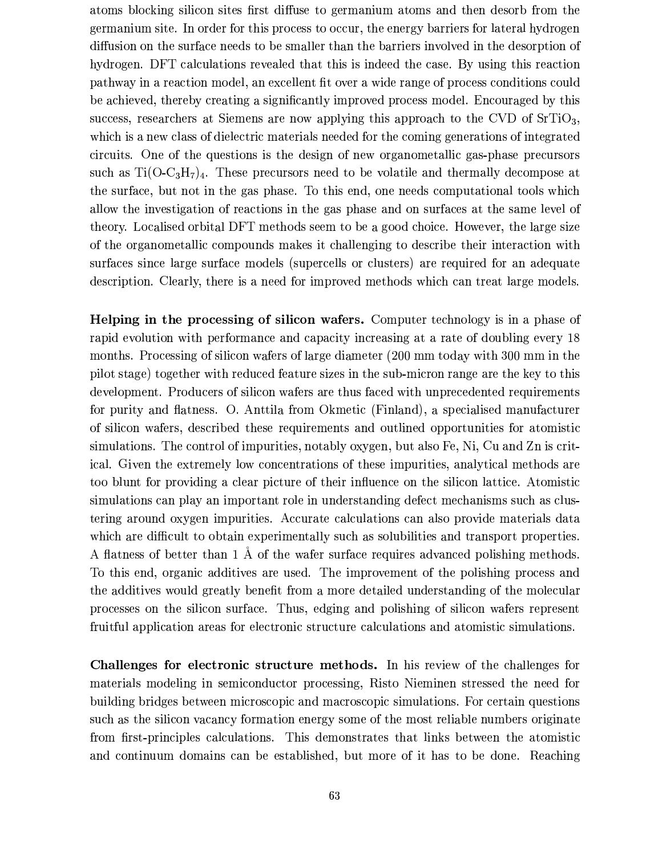atoms blocking silicon sites first diffuse to germanium atoms and then desorb from the germanium site. In order for this process to occur, the energy barriers for lateral hydrogen diffusion on the surface needs to be smaller than the barriers involved in the desorption of hydrogen. DFT calculations revealed that this is indeed the case. By using this reaction pathway in a reaction model, an excellent fit over a wide range of process conditions could be achieved, thereby creating a significantly improved process model. Encouraged by this success, researchers at Siemens are now applying this approach to the CVD of  $SrTiO<sub>3</sub>$ , which is a new class of dielectric materials needed for the coming generations of integrated circuits. One of the questions is the design of new organometallic gas-phase precursors such as  $Ti(O-C_3H_7)_4$ . These precursors need to be volatile and thermally decompose at the surface, but not in the gas phase. To this end, one needs computational tools which allow the investigation of reactions in the gas phase and on surfaces at the same level of theory. Localised orbital DFT methods seem to be a good choice. However, the large size of the organometallic compounds makes it challenging to describe their interaction with surfaces since large surface models (supercells or clusters) are required for an adequate description. Clearly, there is a need for improved methods which can treat large models.

Helping in the processing of silicon wafers. Computer technology is in a phase of rapid evolution with performance and capacity increasing at a rate of doubling every 18 months. Processing of silicon wafers of large diameter (200 mm today with 300 mm in the pilot stage) together with reduced feature sizes in the sub-micron range are the key to this development. Producers of silicon wafers are thus faced with unprecedented requirements for purity and flatness. O. Anttila from Okmetic (Finland), a specialised manufacturer of silicon wafers, described these requirements and outlined opportunities for atomistic simulations. The control of impurities, notably oxygen, but also Fe, Ni, Cu and Zn is critical. Given the extremely low concentrations of these impurities, analytical methods are too blunt for providing a clear picture of their influence on the silicon lattice. Atomistic simulations can play an important role in understanding defect mechanisms such as clustering around oxygen impurities. Accurate calculations can also provide materials data which are difficult to obtain experimentally such as solubilities and transport properties. A flatness of better than 1 Å of the wafer surface requires advanced polishing methods. To this end, organic additives are used. The improvement of the polishing process and the additives would greatly benefit from a more detailed understanding of the molecular processes on the silicon surface. Thus, edging and polishing of silicon wafers represent fruitful application areas for electronic structure calculations and atomistic simulations.

Challenges for electronic structure methods. In his review of the challenges for materials modeling in semiconductor processing, Risto Nieminen stressed the need for building bridges between microscopic and macroscopic simulations. For certain questions such as the silicon vacancy formation energy some of the most reliable numbers originate from first-principles calculations. This demonstrates that links between the atomistic and continuum domains can be established, but more of it has to be done. Reaching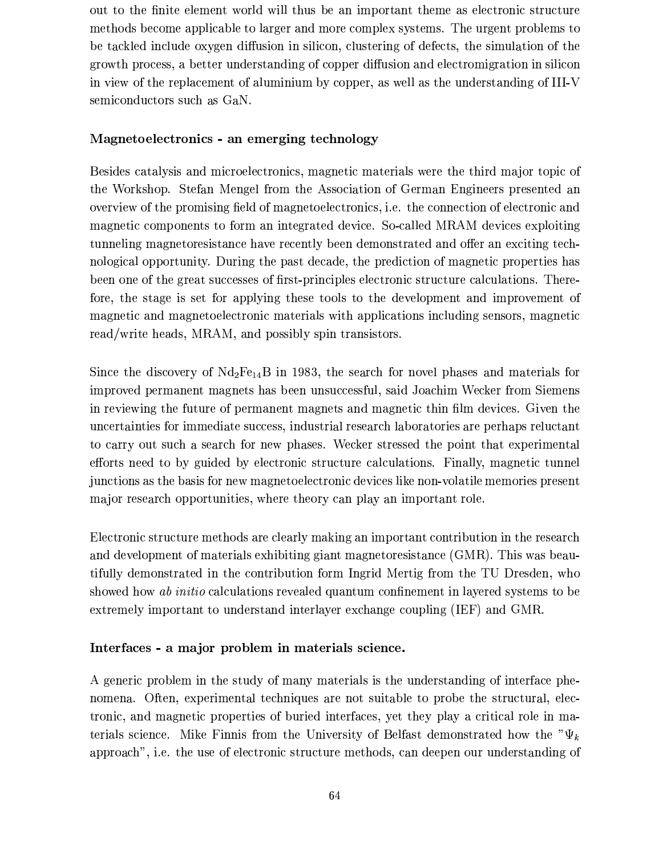out to the finite element world will thus be an important theme as electronic structure methods become applicable to larger and more complex systems. The urgent problems to be tackled include oxygen diffusion in silicon, clustering of defects, the simulation of the growth process, a better understanding of copper diffusion and electromigration in silicon in view of the replacement of aluminium by copper, as well as the understanding of III-V semiconductors such as GaN.

#### Magnetoelectronics - an emerging technology

Besides catalysis and microelectronics, magnetic materials were the third major topic of the Workshop. Stefan Mengel from the Association of German Engineers presented an overview of the promising field of magnetoelectronics, i.e. the connection of electronic and magnetic components to form an integrated device. So-called MRAM devices exploiting tunneling magnetoresistance have recently been demonstrated and offer an exciting technological opportunity. During the past decade, the prediction of magnetic properties has been one of the great successes of first-principles electronic structure calculations. Therefore, the stage is set for applying these tools to the development and improvement of magnetic and magnetoelectronic materials with applications including sensors, magnetic read/write heads, MRAM, and possibly spin transistors.

Since the discovery of  $Nd_2Fe_{14}B$  in 1983, the search for novel phases and materials for improved permanent magnets has been unsuccessful, said Joachim Wecker from Siemens in reviewing the future of permanent magnets and magnetic thin film devices. Given the uncertainties for immediate success, industrial research laboratories are perhaps reluctant to carry out such a search for new phases. Wecker stressed the point that experimental efforts need to by guided by electronic structure calculations. Finally, magnetic tunnel junctions as the basis for new magnetoelectronic devices like non-volatile memories present major research opportunities, where theory can play an important role.

Electronic structure methods are clearly making an important contribution in the research and development of materials exhibiting giant magnetoresistance (GMR). This was beautifully demonstrated in the contribution form Ingrid Mertig from the TU Dresden, who showed how ab initio calculations revealed quantum confinement in layered systems to be extremely important to understand interlayer exchange coupling (IEF) and GMR.

#### Interfaces - a major problem in materials science.

A generic problem in the study of many materials is the understanding of interface phenomena. Often, experimental techniques are not suitable to probe the structural, electronic, and magnetic properties of buried interfaces, yet they play a critical role in materials science. Mike Finnis from the University of Belfast demonstrated how the " $\Psi_k$ approach", i.e. the use of electronic structure methods, can deepen our understanding of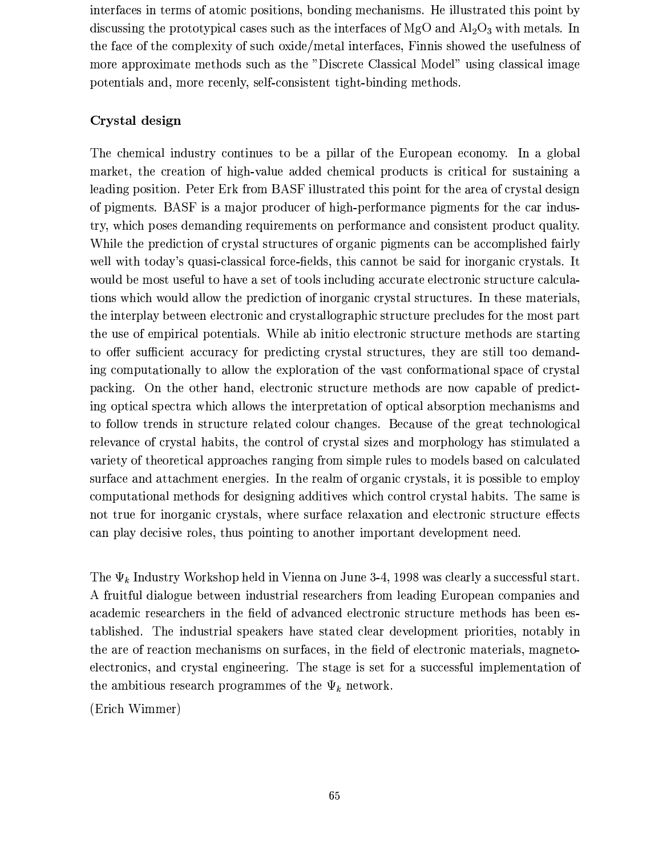interfaces in terms of atomic positions, bonding mechanisms. He illustrated this point by discussing the prototypical cases such as the interfaces of MgO and  $\text{Al}_2\text{O}_3$  with metals. In the face of the complexity of such oxide/metal interfaces, Finnis showed the usefulness of more approximate methods such as the "Discrete Classical Model" using classical image potentials and, more recently, self-consistent tight-binding methods.

#### Crystal design

The chemical industry continues to be a pillar of the European economy. In a global market, the creation of high-value added chemical products is critical for sustaining a leading position. Peter Erk from BASF illustrated this point for the area of crystal design of pigments. BASF is a major producer of high-performance pigments for the car industry, which poses demanding requirements on performance and consistent product quality. While the prediction of crystal structures of organic pigments can be accomplished fairly well with today's quasi-classical force-fields, this cannot be said for inorganic crystals. It would be most useful to have a set of tools including accurate electronic structure calculations which would allow the prediction of inorganic crystal structures. In these materials, the interplay between electronic and crystallographic structure precludes for the most part the use of empirical potentials. While ab initio electronic structure methods are starting to offer sufficient accuracy for predicting crystal structures, they are still too demanding computationally to allow the exploration of the vast conformational space of crystal packing. On the other hand, electronic structure methods are now capable of predicting optical spectra which allows the interpretation of optical absorption mechanisms and to follow trends in structure related colour changes. Because of the great technological relevance of crystal habits, the control of crystal sizes and morphology has stimulated a variety of theoretical approaches ranging from simple rules to models based on calculated surface and attachment energies. In the realm of organic crystals, it is possible to employ computational methods for designing additives which control crystal habits. The same is not true for inorganic crystals, where surface relaxation and electronic structure effects can play decisive roles, thus pointing to another important development need.

The  $\Psi_k$  Industry Workshop held in Vienna on June 3-4, 1998 was clearly a successful start. A fruitful dialogue between industrial researchers from leading European companies and academic researchers in the field of advanced electronic structure methods has been established. The industrial speakers have stated clear development priorities, notably in the are of reaction mechanisms on surfaces, in the field of electronic materials, magnetoelectronics, and crystal engineering. The stage is set for a successful implementation of the ambitious research programmes of the  $\Psi_k$  network.

(Erich Wimmer)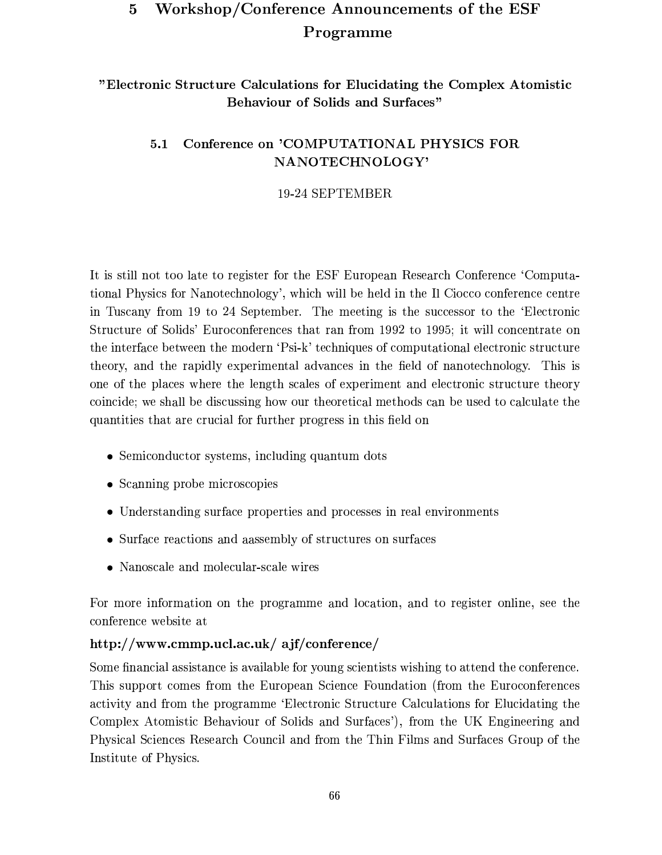#### Workshop/Conference Announcements of the ESF  $\overline{5}$ Programme

"Electronic Structure Calculations for Elucidating the Complex Atomistic **Behaviour of Solids and Surfaces"** 

#### Conference on 'COMPUTATIONAL PHYSICS FOR  $5.1$ NANOTECHNOLOGY'

### 19-24 SEPTEMBER

It is still not too late to register for the ESF European Research Conference 'Computational Physics for Nanotechnology', which will be held in the Il Ciocco conference centre in Tuscany from 19 to 24 September. The meeting is the successor to the 'Electronic Structure of Solids' Euroconferences that ran from 1992 to 1995; it will concentrate on the interface between the modern 'Psi-k' techniques of computational electronic structure theory, and the rapidly experimental advances in the field of nanotechnology. This is one of the places where the length scales of experiment and electronic structure theory coincide; we shall be discussing how our theoretical methods can be used to calculate the quantities that are crucial for further progress in this field on

- Semiconductor systems, including quantum dots
- Scanning probe microscopies
- Understanding surface properties and processes in real environments
- Surface reactions and aassembly of structures on surfaces
- Nanoscale and molecular-scale wires

For more information on the programme and location, and to register online, see the conference website at

### http://www.cmmp.ucl.ac.uk/ ajf/conference/

Some financial assistance is available for young scientists wishing to attend the conference. This support comes from the European Science Foundation (from the Euroconferences activity and from the programme 'Electronic Structure Calculations for Elucidating the Complex Atomistic Behaviour of Solids and Surfaces'), from the UK Engineering and Physical Sciences Research Council and from the Thin Films and Surfaces Group of the Institute of Physics.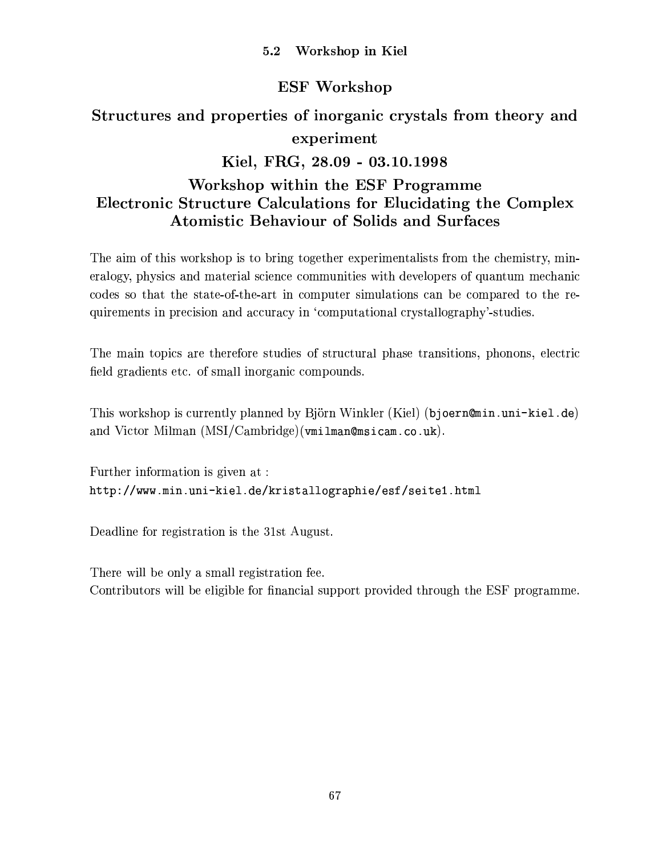## **ESF Workshop**

# Structures and properties of inorganic crystals from theory and experiment Kiel, FRG, 28.09 - 03.10.1998 Workshop within the ESF Programme Electronic Structure Calculations for Elucidating the Complex **Atomistic Behaviour of Solids and Surfaces**

The aim of this workshop is to bring together experimentalists from the chemistry, mineralogy, physics and material science communities with developers of quantum mechanic codes so that the state-of-the-art in computer simulations can be compared to the requirements in precision and accuracy in 'computational crystallography'-studies.

The main topics are therefore studies of structural phase transitions, phonons, electric field gradients etc. of small inorganic compounds.

This workshop is currently planned by Björn Winkler (Kiel) (bjoern@min.uni-kiel.de) and Victor Milman (MSI/Cambridge) (vmilman@msicam.co.uk).

Further information is given at: http://www.min.uni-kiel.de/kristallographie/esf/seite1.html

Deadline for registration is the 31st August.

There will be only a small registration fee. Contributors will be eligible for financial support provided through the ESF programme.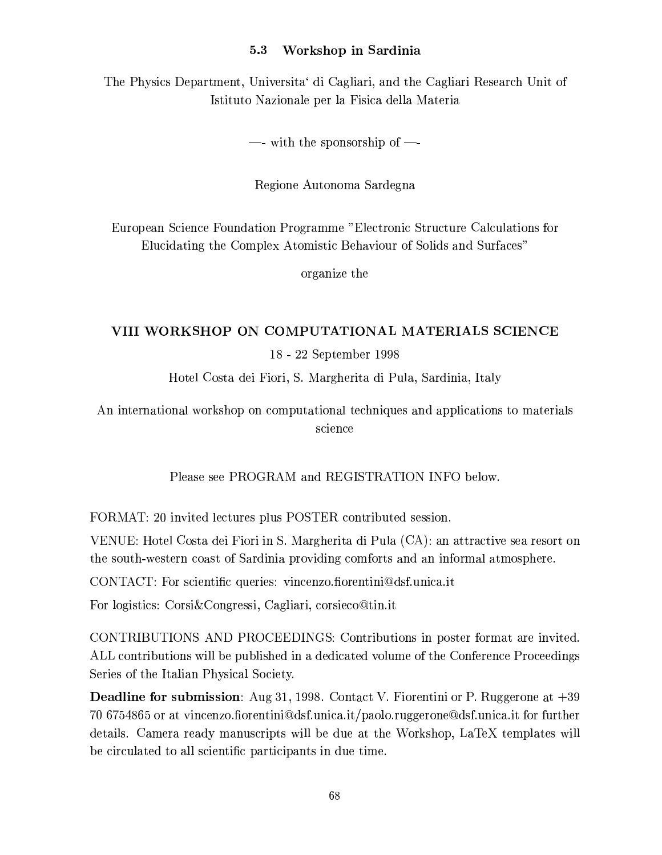#### Workshop in Sardinia  $5.3$

The Physics Department, Universita di Cagliari, and the Cagliari Research Unit of Istituto Nazionale per la Fisica della Materia

—- with the sponsorship of —-

Regione Autonoma Sardegna

European Science Foundation Programme "Electronic Structure Calculations for Elucidating the Complex Atomistic Behaviour of Solids and Surfaces"

organize the

#### VIII WORKSHOP ON COMPUTATIONAL MATERIALS SCIENCE

18 - 22 September 1998

Hotel Costa dei Fiori, S. Margherita di Pula, Sardinia, Italy

An international workshop on computational techniques and applications to materials science

Please see PROGRAM and REGISTRATION INFO below.

FORMAT: 20 invited lectures plus POSTER contributed session.

VENUE: Hotel Costa dei Fiori in S. Margherita di Pula (CA): an attractive sea resort on the south-western coast of Sardinia providing comforts and an informal atmosphere.

CONTACT: For scientific queries: vincenzo.fiorentini@dsf.unica.it

For logistics: Corsi & Congressi, Cagliari, corsieco@tin.it

CONTRIBUTIONS AND PROCEEDINGS: Contributions in poster format are invited. ALL contributions will be published in a dedicated volume of the Conference Proceedings Series of the Italian Physical Society.

**Deadline for submission**: Aug 31, 1998. Contact V. Fiorentini or P. Ruggerone at  $+39$ 70 6754865 or at vincenzo.fiorentini@dsf.unica.it/paolo.ruggerone@dsf.unica.it for further details. Camera ready manuscripts will be due at the Workshop, LaTeX templates will be circulated to all scientific participants in due time.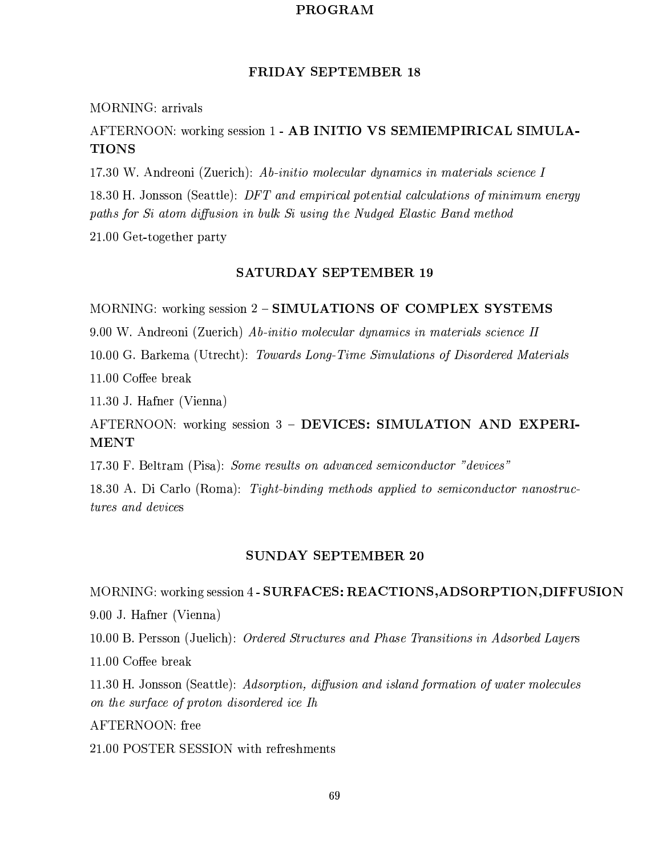#### PROGRAM

#### **FRIDAY SEPTEMBER 18**

#### MORNING: arrivals

### AFTERNOON: working session 1 - AB INITIO VS SEMIEMPIRICAL SIMULA-**TIONS**

17.30 W. Andreoni (Zuerich): Ab-initio molecular dynamics in materials science I

18.30 H. Jonsson (Seattle): DFT and empirical potential calculations of minimum energy paths for Si atom diffusion in bulk Si using the Nudged Elastic Band method

21.00 Get-together party

#### **SATURDAY SEPTEMBER 19**

MORNING: working session 2 - SIMULATIONS OF COMPLEX SYSTEMS

9.00 W. Andreoni (Zuerich) Ab-initio molecular dynamics in materials science II

10.00 G. Barkema (Utrecht): Towards Long-Time Simulations of Disordered Materials 11.00 Coffee break

11.30 J. Hafner (Vienna)

AFTERNOON: working session 3 - DEVICES: SIMULATION AND EXPERI-**MENT** 

17.30 F. Beltram (Pisa): Some results on advanced semiconductor "devices"

18.30 A. Di Carlo (Roma): Tight-binding methods applied to semiconductor nanostructures and devices

#### **SUNDAY SEPTEMBER 20**

MORNING: working session 4 - SURFACES: REACTIONS, ADSORPTION, DIFFUSION

9.00 J. Hafner (Vienna)

10.00 B. Persson (Juelich): Ordered Structures and Phase Transitions in Adsorbed Layers

11.00 Coffee break

11.30 H. Jonsson (Seattle): Adsorption, diffusion and island formation of water molecules on the surface of proton disordered ice Ih

AFTERNOON: free

21.00 POSTER SESSION with refreshments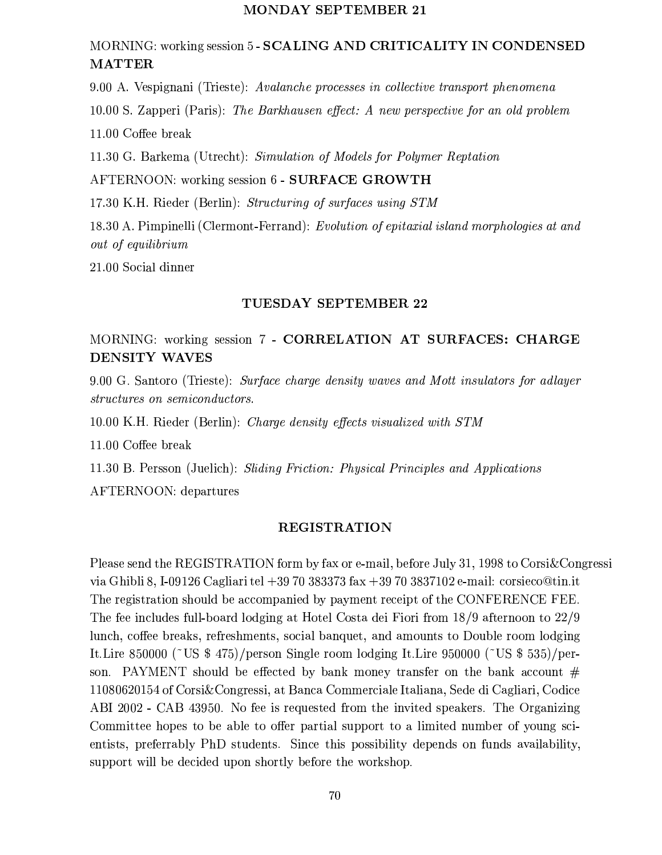#### MONDAY SEPTEMBER 21

### MORNING: working session 5 - SCALING AND CRITICALITY IN CONDENSED **MATTER**

9.00 A. Vespignani (Trieste): Avalanche processes in collective transport phenomena

10.00 S. Zapperi (Paris): The Barkhausen effect: A new perspective for an old problem

11.00 Coffee break

11.30 G. Barkema (Utrecht): Simulation of Models for Polymer Reptation

AFTERNOON: working session 6 - SURFACE GROWTH

17.30 K.H. Rieder (Berlin): Structuring of surfaces using STM

18.30 A. Pimpinelli (Clermont-Ferrand): Evolution of epitaxial island morphologies at and out of equilibrium

21.00 Social dinner

#### TUESDAY SEPTEMBER 22

### MORNING: working session 7 - CORRELATION AT SURFACES: CHARGE DENSITY WAVES

9.00 G. Santoro (Trieste): Surface charge density waves and Mott insulators for adlayer structures on semiconductors.

10.00 K.H. Rieder (Berlin): Charge density effects visualized with STM

11.00 Coffee break

11.30 B. Persson (Juelich): Sliding Friction: Physical Principles and Applications

AFTERNOON: departures

#### **REGISTRATION**

Please send the REGISTRATION form by fax or e-mail, before July 31, 1998 to Corsi & Congressi via Ghibli 8, I-09126 Cagliari tel +39 70 383373 fax +39 70 3837102 e-mail: corsieco@tin.it The registration should be accompanied by payment receipt of the CONFERENCE FEE. The fee includes full-board lodging at Hotel Costa dei Fiori from 18/9 afternoon to 22/9 lunch, coffee breaks, refreshments, social banquet, and amounts to Double room lodging It.Lire 850000 (~US \$ 475)/person Single room lodging It.Lire 950000 (~US \$ 535)/person. PAYMENT should be effected by bank money transfer on the bank account  $#$ 11080620154 of Corsi & Congressi, at Banca Commerciale Italiana. Sede di Cagliari, Codice ABI 2002 - CAB 43950. No fee is requested from the invited speakers. The Organizing Committee hopes to be able to offer partial support to a limited number of young scientists, preferrably PhD students. Since this possibility depends on funds availability, support will be decided upon shortly before the workshop.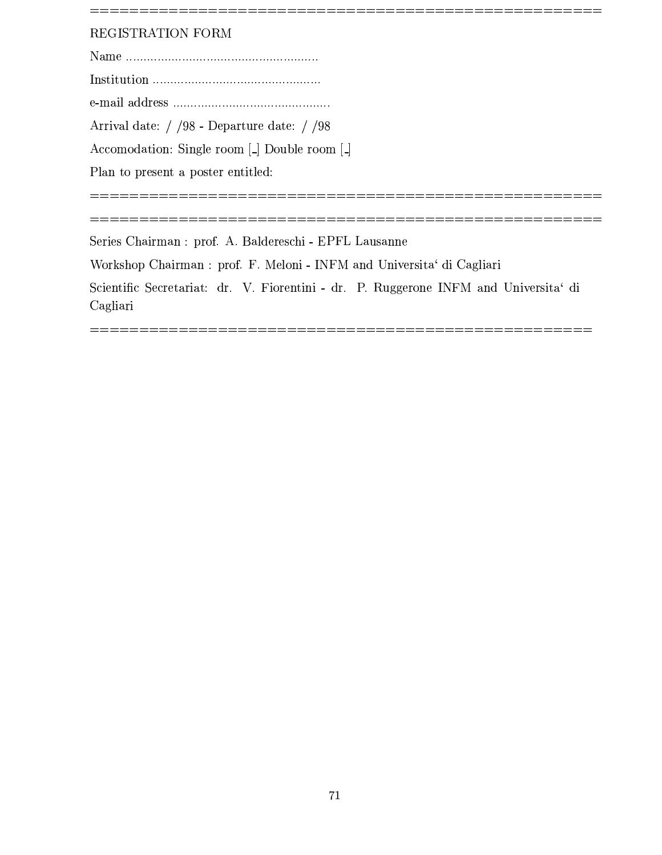### REGISTRATION FORM

Arrival date: / /98 - Departure date: / /98

Accomodation: Single room [.] Double room [.]

Plan to present a poster entitled:

Series Chairman : prof. A. Baldereschi - EPFL Lausanne

Workshop Chairman : prof. F. Meloni - INFM and Universita' di Cagliari

Scientific Secretariat: dr. V. Fiorentini - dr. P. Ruggerone INFM and Universita' di Cagliari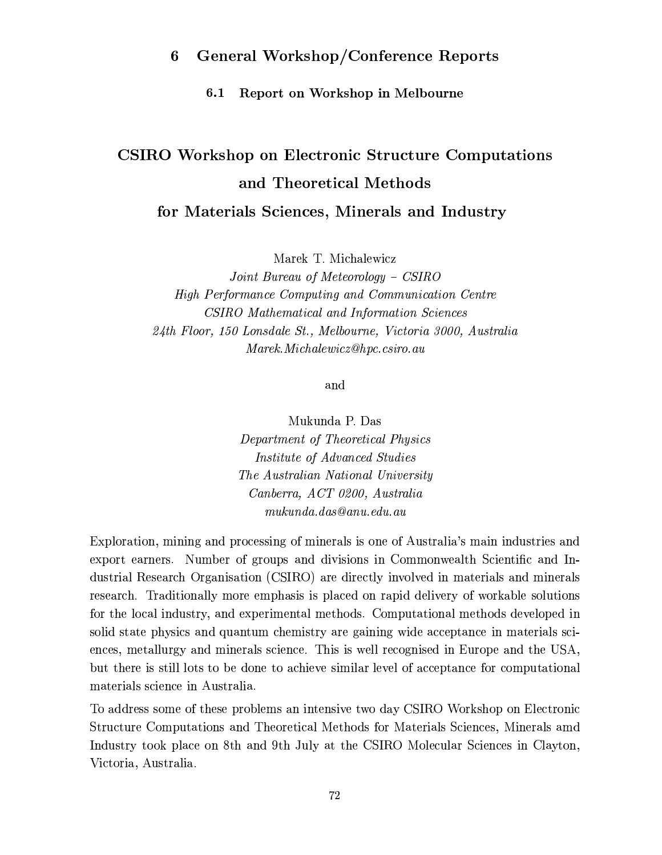#### **General Workshop/Conference Reports** 6

Report on Workshop in Melbourne  $6.1$ 

# **CSIRO Workshop on Electronic Structure Computations** and Theoretical Methods for Materials Sciences, Minerals and Industry

Marek T. Michalewicz

Joint Bureau of Meteorology – CSIRO High Performance Computing and Communication Centre CSIRO Mathematical and Information Sciences 24th Floor, 150 Lonsdale St., Melbourne, Victoria 3000, Australia Marek. Michalewicz@hpc.csiro.au

and

Mukunda P. Das Department of Theoretical Physics Institute of Advanced Studies The Australian National University Canberra, ACT 0200, Australia  $mukunda. das @ anu.edu. au$ 

Exploration, mining and processing of minerals is one of Australia's main industries and export earners. Number of groups and divisions in Commonwealth Scientific and Industrial Research Organisation (CSIRO) are directly involved in materials and minerals research. Traditionally more emphasis is placed on rapid delivery of workable solutions for the local industry, and experimental methods. Computational methods developed in solid state physics and quantum chemistry are gaining wide acceptance in materials sciences, metallurgy and minerals science. This is well recognised in Europe and the USA, but there is still lots to be done to achieve similar level of acceptance for computational materials science in Australia.

To address some of these problems an intensive two day CSIRO Workshop on Electronic Structure Computations and Theoretical Methods for Materials Sciences, Minerals amd Industry took place on 8th and 9th July at the CSIRO Molecular Sciences in Clayton, Victoria, Australia.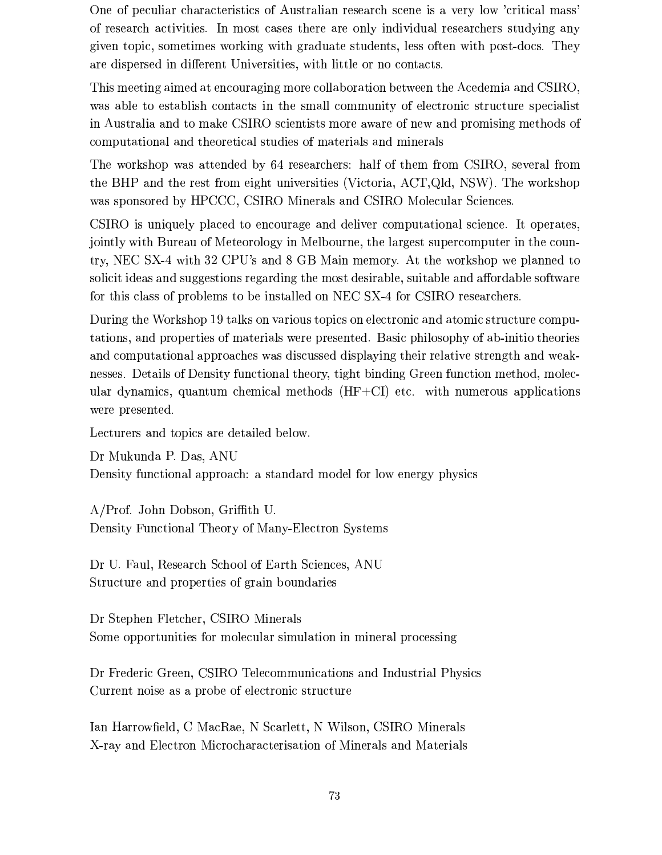One of peculiar characteristics of Australian research scene is a very low 'critical mass' of research activities. In most cases there are only individual researchers studying any given topic, sometimes working with graduate students, less often with post-docs. They are dispersed in different Universities, with little or no contacts.

This meeting aimed at encouraging more collaboration between the Acedemia and CSIRO, was able to establish contacts in the small community of electronic structure specialist in Australia and to make CSIRO scientists more aware of new and promising methods of computational and theoretical studies of materials and minerals

The workshop was attended by 64 researchers: half of them from CSIRO, several from the BHP and the rest from eight universities (Victoria, ACT, Qld, NSW). The workshop was sponsored by HPCCC, CSIRO Minerals and CSIRO Molecular Sciences.

CSIRO is uniquely placed to encourage and deliver computational science. It operates, jointly with Bureau of Meteorology in Melbourne, the largest supercomputer in the country, NEC SX-4 with 32 CPU's and 8 GB Main memory. At the workshop we planned to solicit ideas and suggestions regarding the most desirable, suitable and affordable software for this class of problems to be installed on NEC SX-4 for CSIRO researchers.

During the Workshop 19 talks on various topics on electronic and atomic structure computations, and properties of materials were presented. Basic philosophy of ab-initio theories and computational approaches was discussed displaying their relative strength and weaknesses. Details of Density functional theory, tight binding Green function method, molecular dynamics, quantum chemical methods  $(HF+CI)$  etc. with numerous applications were presented.

Lecturers and topics are detailed below.

Dr Mukunda P. Das, ANU Density functional approach: a standard model for low energy physics

A/Prof. John Dobson, Griffith U. Density Functional Theory of Many-Electron Systems

Dr U. Faul, Research School of Earth Sciences, ANU Structure and properties of grain boundaries

Dr Stephen Fletcher, CSIRO Minerals Some opportunities for molecular simulation in mineral processing

Dr Frederic Green, CSIRO Telecommunications and Industrial Physics Current noise as a probe of electronic structure

Ian Harrowfield, C MacRae, N Scarlett, N Wilson, CSIRO Minerals X-ray and Electron Microcharacterisation of Minerals and Materials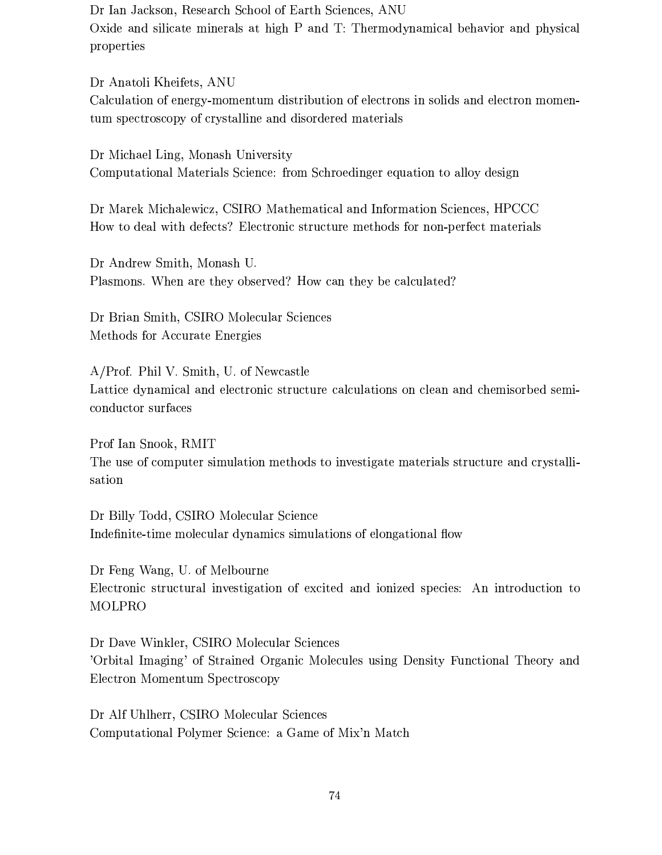Dr Ian Jackson, Research School of Earth Sciences, ANU Oxide and silicate minerals at high P and T: Thermodynamical behavior and physical properties

Dr Anatoli Kheifets, ANU Calculation of energy-momentum distribution of electrons in solids and electron momentum spectroscopy of crystalline and disordered materials

Dr Michael Ling, Monash University Computational Materials Science: from Schroedinger equation to alloy design

Dr Marek Michalewicz, CSIRO Mathematical and Information Sciences, HPCCC How to deal with defects? Electronic structure methods for non-perfect materials

Dr Andrew Smith, Monash U. Plasmons. When are they observed? How can they be calculated?

Dr Brian Smith, CSIRO Molecular Sciences Methods for Accurate Energies

A/Prof. Phil V. Smith, U. of Newcastle Lattice dynamical and electronic structure calculations on clean and chemisorbed semiconductor surfaces

Prof Ian Snook, RMIT The use of computer simulation methods to investigate materials structure and crystallisation

Dr Billy Todd, CSIRO Molecular Science Indefinite-time molecular dynamics simulations of elongational flow

Dr Feng Wang, U. of Melbourne Electronic structural investigation of excited and ionized species: An introduction to MOLPRO

Dr Dave Winkler, CSIRO Molecular Sciences 'Orbital Imaging' of Strained Organic Molecules using Density Functional Theory and Electron Momentum Spectroscopy

Dr Alf Uhlherr, CSIRO Molecular Sciences Computational Polymer Science: a Game of Mix'n Match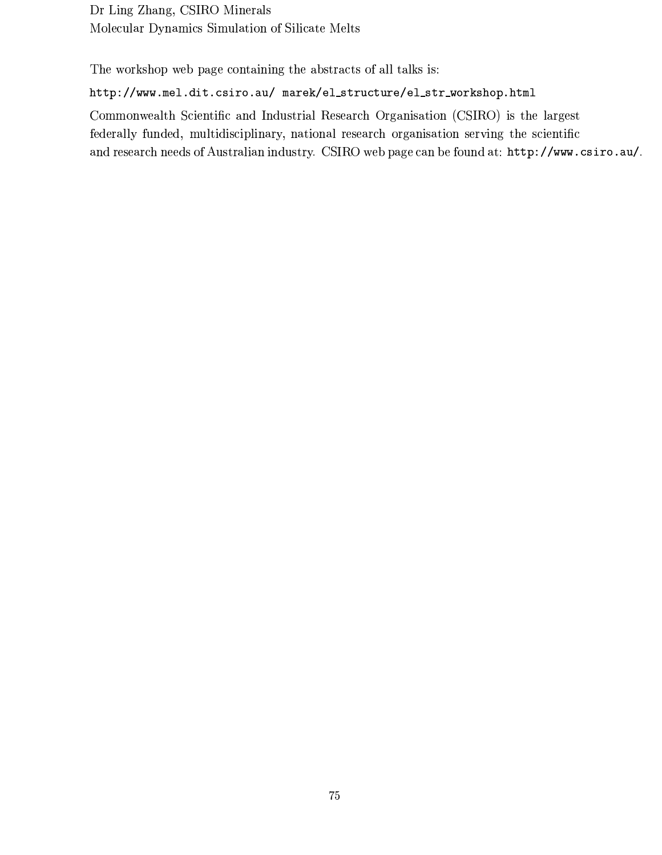Dr Ling Zhang, CSIRO Minerals Molecular Dynamics Simulation of Silicate Melts

The workshop web page containing the abstracts of all talks is:

### http://www.mel.dit.csiro.au/ marek/el\_structure/el\_str\_workshop.html

Commonwealth Scientific and Industrial Research Organisation (CSIRO) is the largest federally funded, multidisciplinary, national research organisation serving the scientific and research needs of Australian industry. CSIRO web page can be found at: http://www.csiro.au/.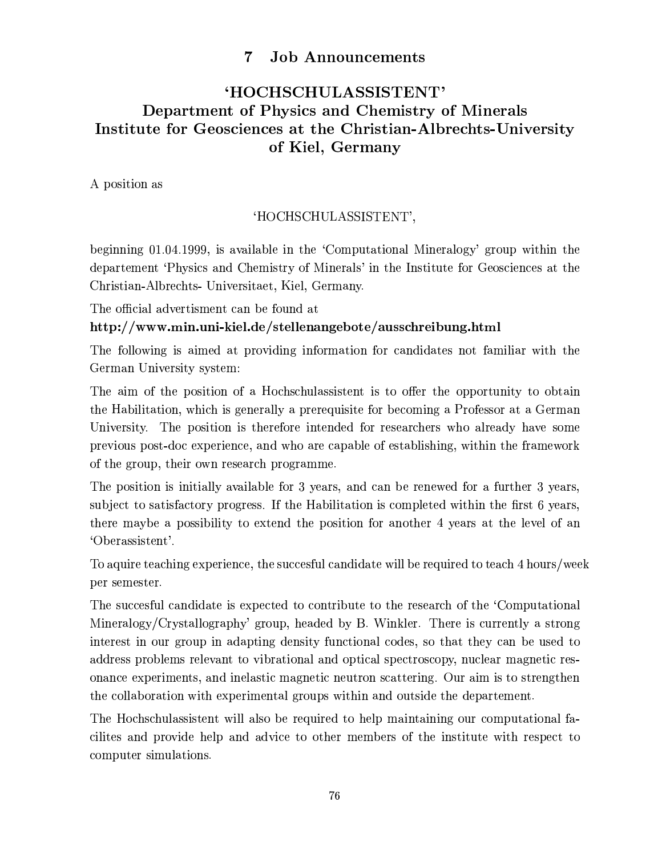#### $\overline{7}$ **Job Announcements**

## 'HOCHSCHULASSISTENT' Department of Physics and Chemistry of Minerals Institute for Geosciences at the Christian-Albrechts-University of Kiel, Germany

A position as

### 'HOCHSCHULASSISTENT',

beginning 01.04.1999, is available in the 'Computational Mineralogy' group within the departement 'Physics and Chemistry of Minerals' in the Institute for Geosciences at the Christian-Albrechts- Universitaet, Kiel, Germany.

The official advertisment can be found at

### http://www.min.uni-kiel.de/stellenangebote/ausschreibung.html

The following is aimed at providing information for candidates not familiar with the German University system:

The aim of the position of a Hochschulassistent is to offer the opportunity to obtain the Habilitation, which is generally a prerequisite for becoming a Professor at a German University. The position is therefore intended for researchers who already have some previous post-doc experience, and who are capable of establishing, within the framework of the group, their own research programme.

The position is initially available for 3 years, and can be renewed for a further 3 years, subject to satisfactory progress. If the Habilitation is completed within the first 6 years, there maybe a possibility to extend the position for another 4 years at the level of an 'Oberassistent'.

To aquire teaching experience, the succesful candidate will be required to teach 4 hours/week per semester.

The succesful candidate is expected to contribute to the research of the 'Computational Mineralogy/Crystallography' group, headed by B. Winkler. There is currently a strong interest in our group in adapting density functional codes, so that they can be used to address problems relevant to vibrational and optical spectroscopy, nuclear magnetic resonance experiments, and inelastic magnetic neutron scattering. Our aim is to strengthen the collaboration with experimental groups within and outside the departement.

The Hochschulassistent will also be required to help maintaining our computational facilities and provide help and advice to other members of the institute with respect to computer simulations.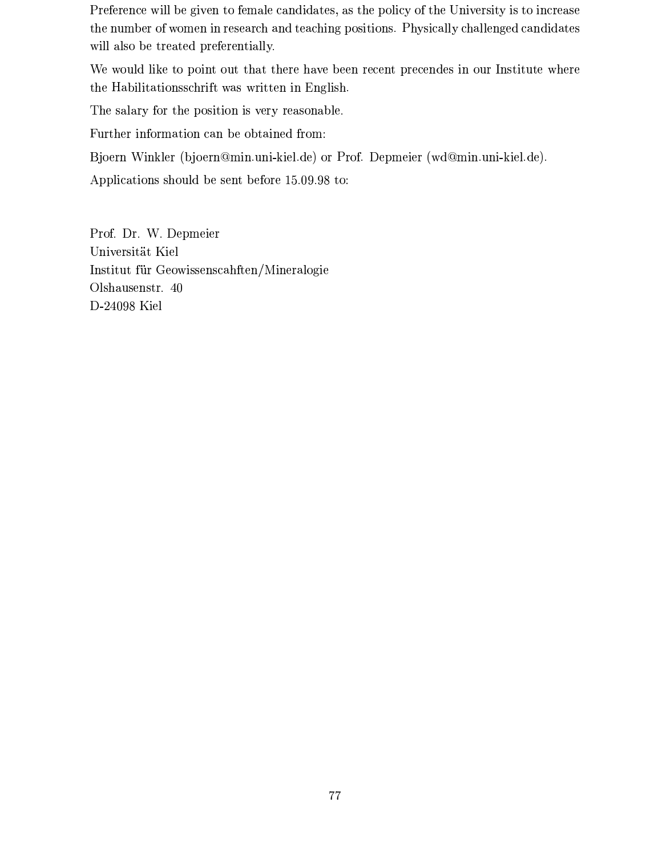Preference will be given to female candidates, as the policy of the University is to increase the number of women in research and teaching positions. Physically challenged candidates will also be treated preferentially.

We would like to point out that there have been recent precendes in our Institute where the Habilitationsschrift was written in English.

The salary for the position is very reasonable.

Further information can be obtained from:

Bjoern Winkler (bjoern@min.uni-kiel.de) or Prof. Depmeier (wd@min.uni-kiel.de).

Applications should be sent before 15.09.98 to:

Prof. Dr. W. Depmeier Universität Kiel Institut für Geowissenscahften/Mineralogie Olshausenstr. 40 D-24098 Kiel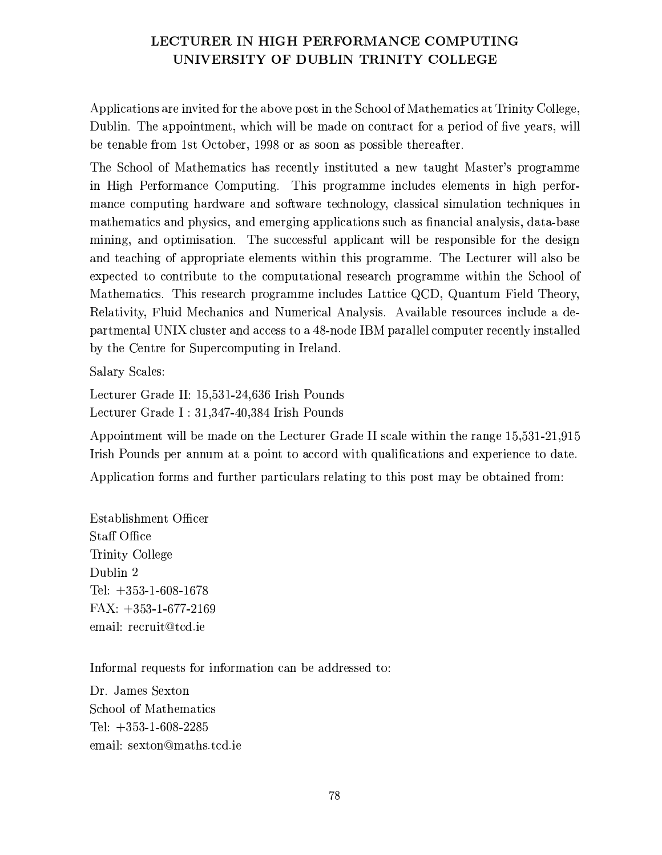### LECTURER IN HIGH PERFORMANCE COMPUTING UNIVERSITY OF DUBLIN TRINITY COLLEGE

Applications are invited for the above post in the School of Mathematics at Trinity College, Dublin. The appointment, which will be made on contract for a period of five years, will be tenable from 1st October, 1998 or as soon as possible thereafter.

The School of Mathematics has recently instituted a new taught Master's programme in High Performance Computing. This programme includes elements in high performance computing hardware and software technology, classical simulation techniques in mathematics and physics, and emerging applications such as financial analysis, data-base mining, and optimisation. The successful applicant will be responsible for the design and teaching of appropriate elements within this programme. The Lecturer will also be expected to contribute to the computational research programme within the School of Mathematics. This research programme includes Lattice QCD, Quantum Field Theory, Relativity, Fluid Mechanics and Numerical Analysis. Available resources include a departmental UNIX cluster and access to a 48-node IBM parallel computer recently installed by the Centre for Supercomputing in Ireland.

**Salary Scales:** 

Lecturer Grade II: 15,531-24,636 Irish Pounds Lecturer Grade I: 31,347-40,384 Irish Pounds

Appointment will be made on the Lecturer Grade II scale within the range 15,531-21,915 Irish Pounds per annum at a point to accord with qualifications and experience to date. Application forms and further particulars relating to this post may be obtained from:

Establishment Officer Staff Office Trinity College Dublin 2 Tel:  $+353-1-608-1678$  $FAX: +353-1-677-2169$ email: recruit@tcd.ie

Informal requests for information can be addressed to:

Dr. James Sexton School of Mathematics Tel:  $+353-1-608-2285$ email: sexton@maths.tcd.ie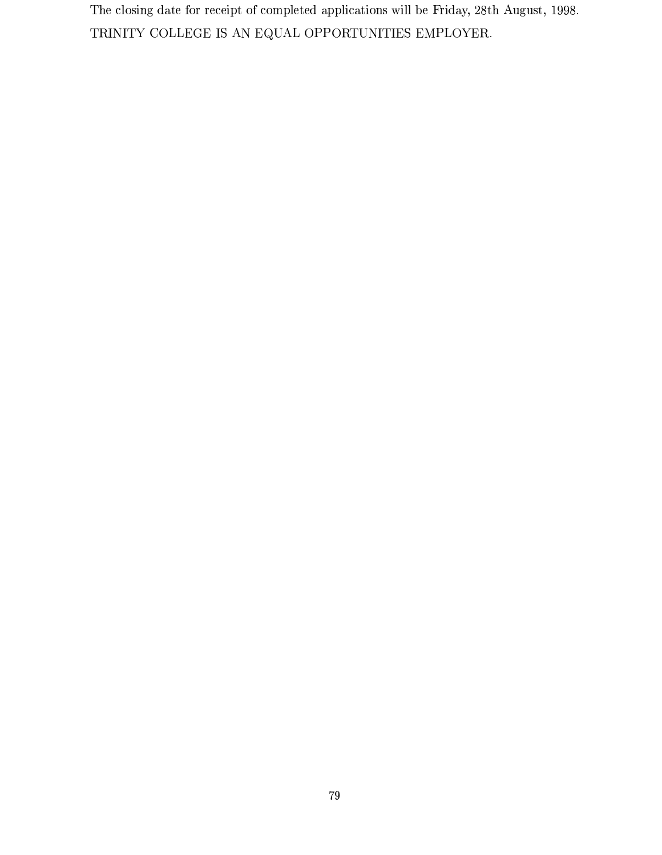The closing date for receipt of completed applications will be Friday, 28th August, 1998. TRINITY COLLEGE IS AN EQUAL OPPORTUNITIES EMPLOYER.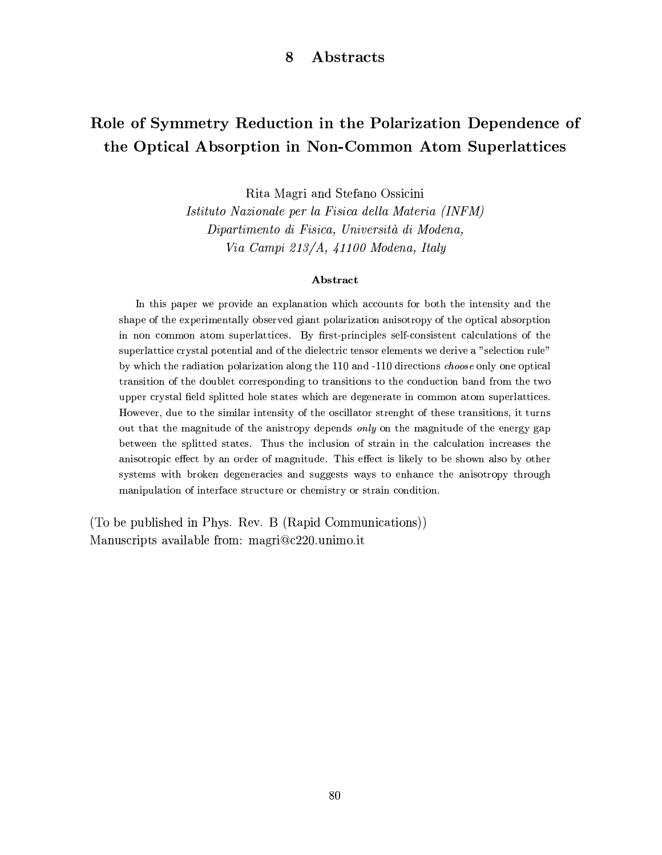#### 8 Abstracts

## Role of Symmetry Reduction in the Polarization Dependence of the Optical Absorption in Non-Common Atom Superlattices

Rita Magri and Stefano Ossicini

Istituto Nazionale per la Fisica della Materia (INFM) Dipartimento di Fisica, Università di Modena, Via Campi 213/A, 41100 Modena, Italy

### Abstract

In this paper we provide an explanation which accounts for both the intensity and the shape of the experimentally observed giant polarization anisotropy of the optical absorption in non common atom superlattices. By first-principles self-consistent calculations of the superlattice crystal potential and of the dielectric tensor elements we derive a "selection rule" by which the radiation polarization along the 110 and -110 directions *choose* only one optical transition of the doublet corresponding to transitions to the conduction band from the two upper crystal field splitted hole states which are degenerate in common atom superlattices. However, due to the similar intensity of the oscillator strenght of these transitions, it turns out that the magnitude of the anistropy depends only on the magnitude of the energy gap between the splitted states. Thus the inclusion of strain in the calculation increases the anisotropic effect by an order of magnitude. This effect is likely to be shown also by other systems with broken degeneracies and suggests ways to enhance the anisotropy through manipulation of interface structure or chemistry or strain condition.

(To be published in Phys. Rev. B (Rapid Communications)) Manuscripts available from: magri@c220.unimo.it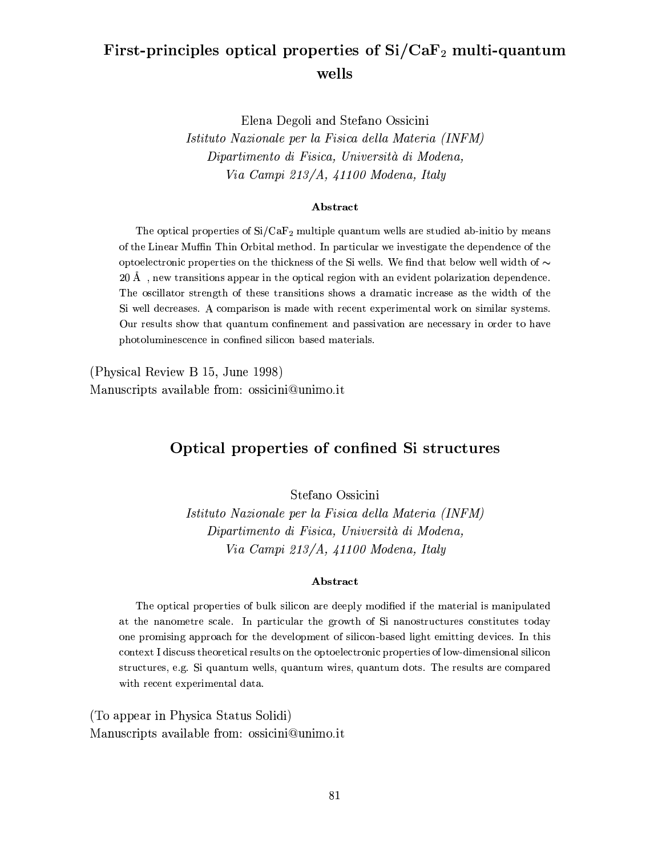## First-principles optical properties of Si/CaF<sub>2</sub> multi-quantum wells

Elena Degoli and Stefano Ossicini Istituto Nazionale per la Fisica della Materia (INFM) Dipartimento di Fisica, Università di Modena,

Via Campi 213/A, 41100 Modena, Italy

#### Abstract

The optical properties of  $Si/CaF_2$  multiple quantum wells are studied ab-initio by means of the Linear Muffin Thin Orbital method. In particular we investigate the dependence of the optoelectronic properties on the thickness of the Si wells. We find that below well width of  $\sim$ 20 Å, new transitions appear in the optical region with an evident polarization dependence. The oscillator strength of these transitions shows a dramatic increase as the width of the Si well decreases. A comparison is made with recent experimental work on similar systems. Our results show that quantum confinement and passivation are necessary in order to have photoluminescence in confined silicon based materials.

(Physical Review B 15, June 1998) Manuscripts available from: ossicini@unimo.it

### Optical properties of confined Si structures

Stefano Ossicini

Istituto Nazionale per la Fisica della Materia (INFM) Dipartimento di Fisica, Università di Modena, Via Campi 213/A, 41100 Modena, Italy

#### Abstract

The optical properties of bulk silicon are deeply modified if the material is manipulated at the nanometre scale. In particular the growth of Si nanostructures constitutes today one promising approach for the development of silicon-based light emitting devices. In this context I discuss theoretical results on the optoelectronic properties of low-dimensional silicon structures, e.g. Si quantum wells, quantum wires, quantum dots. The results are compared with recent experimental data.

(To appear in Physica Status Solidi) Manuscripts available from: ossicini@unimo.it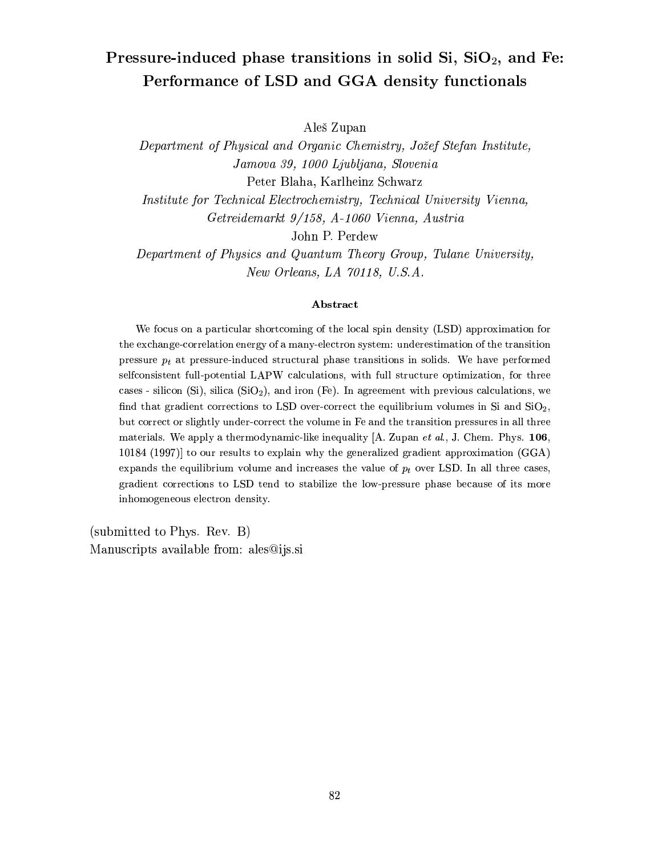# Pressure-induced phase transitions in solid Si, SiO<sub>2</sub>, and Fe: Performance of LSD and GGA density functionals

Aleš Zupan

Department of Physical and Organic Chemistry, Jožef Stefan Institute, Jamova 39, 1000 Ljubljana, Slovenia Peter Blaha, Karlheinz Schwarz

Institute for Technical Electrochemistry, Technical University Vienna, Getreidemarkt 9/158, A-1060 Vienna, Austria

John P. Perdew

Department of Physics and Quantum Theory Group, Tulane University, New Orleans, LA 70118, U.S.A.

#### Abstract

We focus on a particular shortcoming of the local spin density (LSD) approximation for the exchange-correlation energy of a many-electron system: underestimation of the transition pressure  $p_t$  at pressure-induced structural phase transitions in solids. We have performed selfconsistent full-potential LAPW calculations, with full structure optimization, for three cases - silicon (Si), silica (SiO<sub>2</sub>), and iron (Fe). In agreement with previous calculations, we find that gradient corrections to LSD over-correct the equilibrium volumes in Si and  $SiO<sub>2</sub>$ , but correct or slightly under-correct the volume in Fe and the transition pressures in all three materials. We apply a thermodynamic-like inequality  $[A.$  Zupan *et al.*, J. Chem. Phys. 106, 10184 (1997) to our results to explain why the generalized gradient approximation  $(GGA)$ expands the equilibrium volume and increases the value of  $p_t$  over LSD. In all three cases, gradient corrections to LSD tend to stabilize the low-pressure phase because of its more inhomogeneous electron density.

(submitted to Phys. Rev. B) Manuscripts available from: ales@ijs.si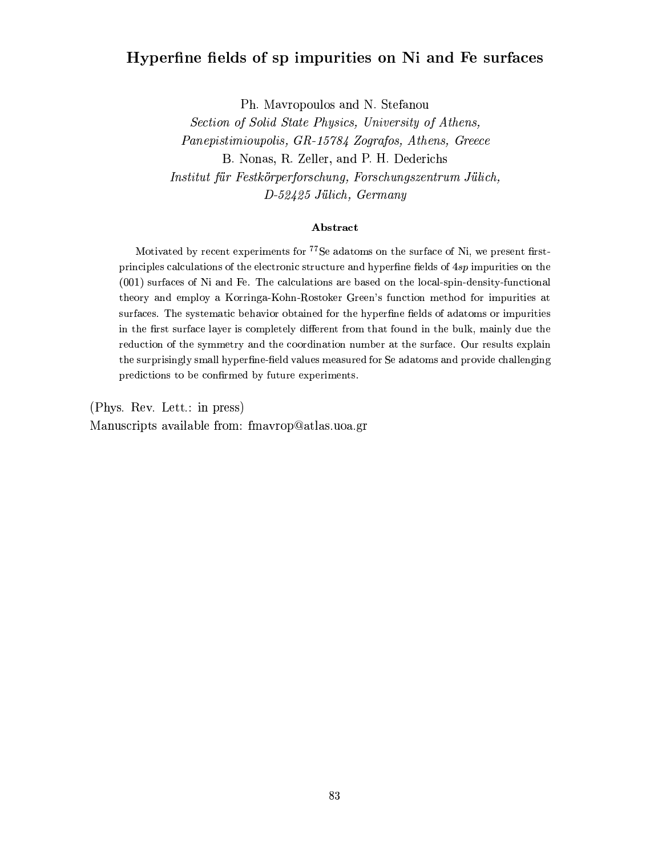## Hyperfine fields of sp impurities on Ni and Fe surfaces

Ph. Mavropoulos and N. Stefanou

Section of Solid State Physics, University of Athens, Panepistimioupolis, GR-15784 Zografos, Athens, Greece B. Nonas, R. Zeller, and P. H. Dederichs Institut für Festkörperforschung, Forschungszentrum Jülich, D-52425 Jülich, Germany

### Abstract

Motivated by recent experiments for <sup>77</sup>Se adatoms on the surface of Ni, we present firstprinciples calculations of the electronic structure and hyperfine fields of 4sp impurities on the  $(001)$  surfaces of Ni and Fe. The calculations are based on the local-spin-density-functional theory and employ a Korringa-Kohn-Rostoker Green's function method for impurities at surfaces. The systematic behavior obtained for the hyperfine fields of adatoms or impurities in the first surface layer is completely different from that found in the bulk, mainly due the reduction of the symmetry and the coordination number at the surface. Our results explain the surprisingly small hyperfine-field values measured for Se adatoms and provide challenging predictions to be confirmed by future experiments.

(Phys. Rev. Lett.: in press) Manuscripts available from: fmavrop@atlas.uoa.gr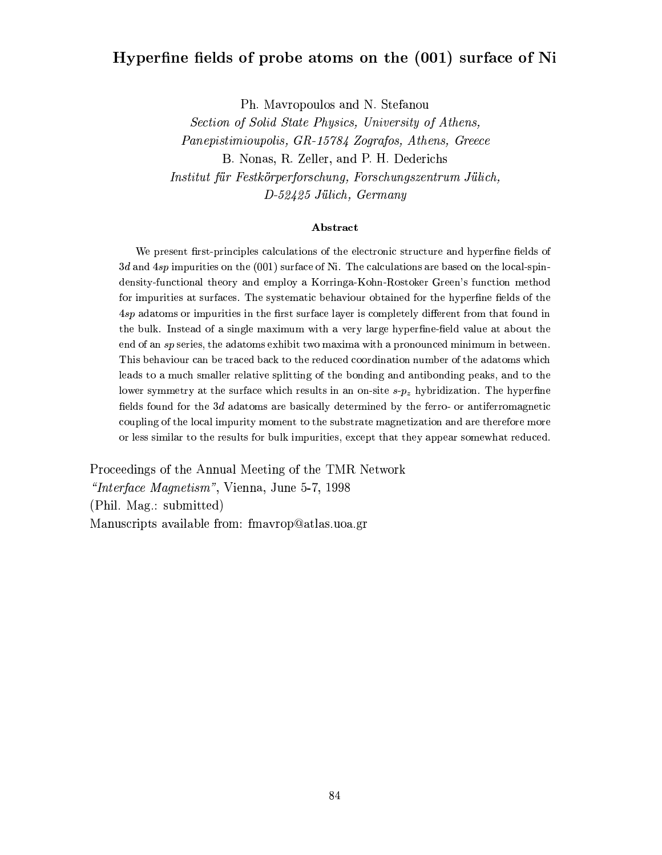## Hyperfine fields of probe atoms on the (001) surface of Ni

Ph. Mayropoulos and N. Stefanou

Section of Solid State Physics, University of Athens, Panepistimioupolis, GR-15784 Zografos, Athens, Greece B. Nonas, R. Zeller, and P. H. Dederichs Institut für Festkörperforschung, Forschungszentrum Jülich, D-52425 Jülich, Germany

#### Abstract

We present first-principles calculations of the electronic structure and hyperfine fields of  $3d$  and  $4sp$  impurities on the (001) surface of Ni. The calculations are based on the local-spindensity-functional theory and employ a Korringa-Kohn-Rostoker Green's function method for impurities at surfaces. The systematic behaviour obtained for the hyperfine fields of the 4sp adatoms or impurities in the first surface layer is completely different from that found in the bulk. Instead of a single maximum with a very large hyperfine-field value at about the end of an sp series, the adatoms exhibit two maxima with a pronounced minimum in between. This behaviour can be traced back to the reduced coordination number of the adatoms which leads to a much smaller relative splitting of the bonding and antibonding peaks, and to the lower symmetry at the surface which results in an on-site  $s-p_z$  hybridization. The hyperfine fields found for the 3d adatoms are basically determined by the ferro- or antiferromagnetic coupling of the local impurity moment to the substrate magnetization and are therefore more or less similar to the results for bulk impurities, except that they appear somewhat reduced.

Proceedings of the Annual Meeting of the TMR Network "Interface Magnetism", Vienna, June 5-7, 1998 (Phil. Mag.: submitted) Manuscripts available from: fmavrop@atlas.uoa.gr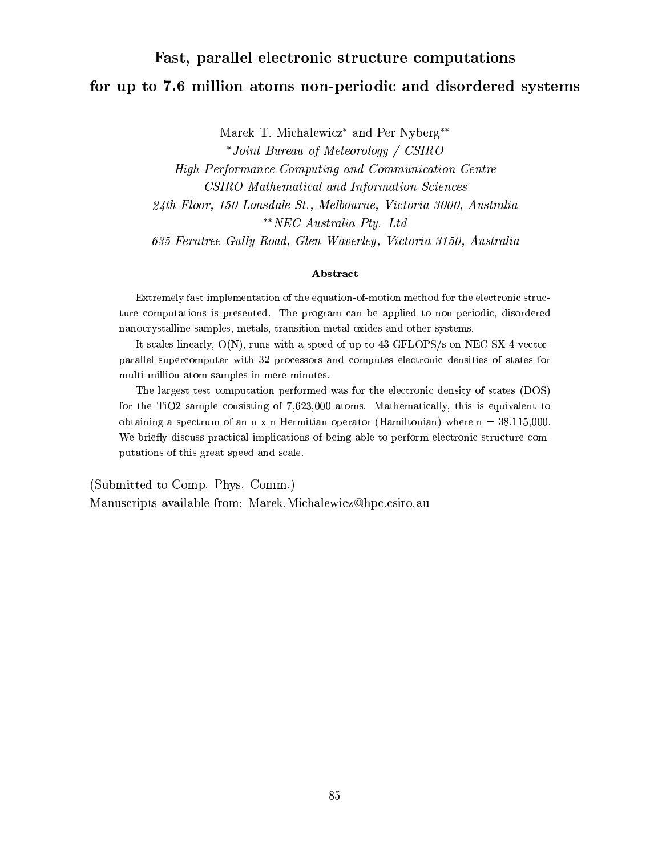# Fast, parallel electronic structure computations for up to 7.6 million atoms non-periodic and disordered systems

Marek T. Michalewicz<sup>\*</sup> and Per Nyberg<sup>\*\*</sup>

\*Joint Bureau of Meteorology / CSIRO High Performance Computing and Communication Centre CSIRO Mathematical and Information Sciences 24th Floor, 150 Lonsdale St., Melbourne, Victoria 3000, Australia \*\* NEC Australia Pty. Ltd 635 Ferntree Gully Road, Glen Waverley, Victoria 3150, Australia

#### Abstract

Extremely fast implementation of the equation-of-motion method for the electronic structure computations is presented. The program can be applied to non-periodic, disordered nanocrystalline samples, metals, transition metal oxides and other systems.

It scales linearly,  $O(N)$ , runs with a speed of up to 43 GFLOPS/s on NEC SX-4 vectorparallel supercomputer with 32 processors and computes electronic densities of states for multi-million atom samples in mere minutes.

The largest test computation performed was for the electronic density of states (DOS) for the TiO2 sample consisting of 7,623,000 atoms. Mathematically, this is equivalent to obtaining a spectrum of an  $n \times n$  Hermitian operator (Hamiltonian) where  $n = 38,115,000$ . We briefly discuss practical implications of being able to perform electronic structure computations of this great speed and scale.

(Submitted to Comp. Phys. Comm.) Manuscripts available from: Marek.Michalewicz@hpc.csiro.au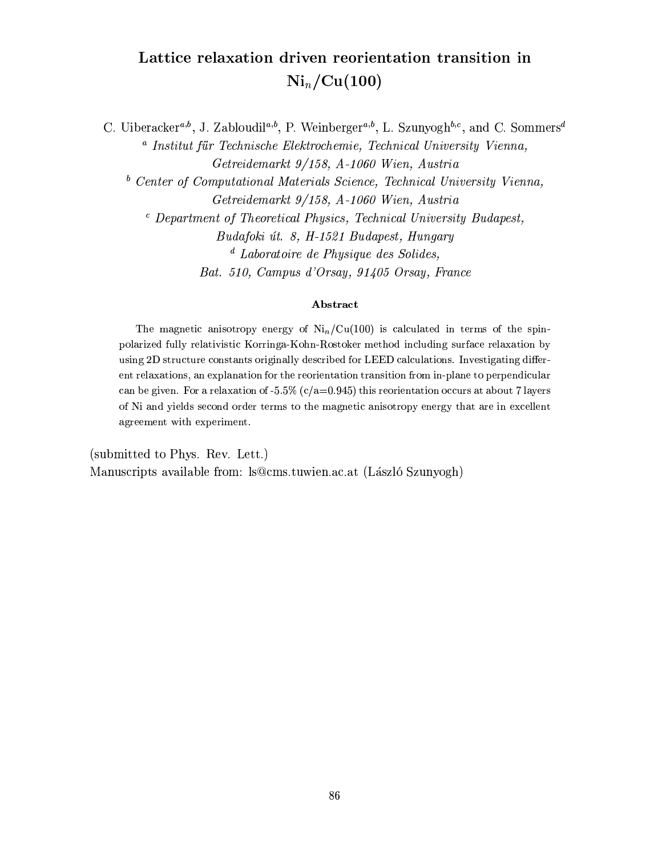## Lattice relaxation driven reorientation transition in  $\mathrm{Ni}_n/\mathrm{Cu}(100)$

C. Uiberacker<sup>*a*,*b*</sup>, J. Zabloudil<sup>*a*,*b*</sup>, P. Weinberger<sup>*a*,*b*</sup>, L. Szunyogh<sup>*b*,*c*</sup>, and C. Sommers<sup>*d*</sup> <sup>a</sup> Institut für Technische Elektrochemie, Technical University Vienna, Getreidemarkt 9/158, A-1060 Wien, Austria <sup>b</sup> Center of Computational Materials Science, Technical University Vienna, Getreidemarkt 9/158, A-1060 Wien, Austria <sup>c</sup> Department of Theoretical Physics, Technical University Budapest, Budafoki út. 8, H-1521 Budapest, Hungary  $d$  Laboratoire de Physique des Solides, Bat. 510, Campus d'Orsay, 91405 Orsay, France

#### Abstract

The magnetic anisotropy energy of  $\mathrm{Ni}_n/\mathrm{Cu}(100)$  is calculated in terms of the spinpolarized fully relativistic Korringa-Kohn-Rostoker method including surface relaxation by using 2D structure constants originally described for LEED calculations. Investigating different relaxations, an explanation for the reorientation transition from in-plane to perpendicular can be given. For a relaxation of -5.5% ( $c/a$ =0.945) this reorientation occurs at about 7 layers of Ni and yields second order terms to the magnetic anisotropy energy that are in excellent agreement with experiment.

(submitted to Phys. Rev. Lett.) Manuscripts available from: ls@cms.tuwien.ac.at (László Szunyogh)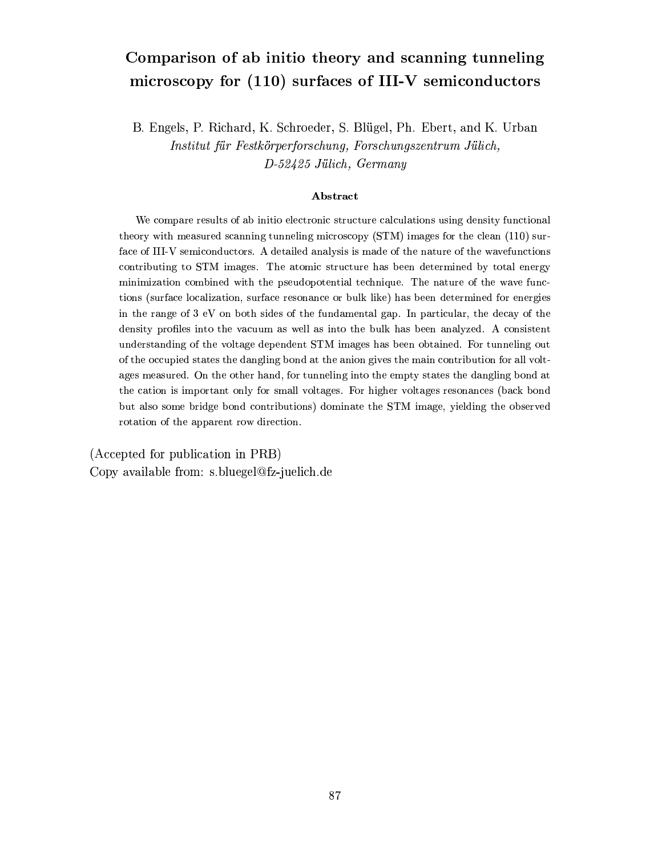## Comparison of ab initio theory and scanning tunneling microscopy for (110) surfaces of III-V semiconductors

B. Engels, P. Richard, K. Schroeder, S. Blügel, Ph. Ebert, and K. Urban Institut für Festkörperforschung, Forschungszentrum Jülich, D-52425 Jülich, Germany

#### Abstract

We compare results of ab initio electronic structure calculations using density functional theory with measured scanning tunneling microscopy (STM) images for the clean (110) surface of III-V semiconductors. A detailed analysis is made of the nature of the wavefunctions contributing to STM images. The atomic structure has been determined by total energy minimization combined with the pseudopotential technique. The nature of the wave functions (surface localization, surface resonance or bulk like) has been determined for energies in the range of 3 eV on both sides of the fundamental gap. In particular, the decay of the density profiles into the vacuum as well as into the bulk has been analyzed. A consistent understanding of the voltage dependent STM images has been obtained. For tunneling out of the occupied states the dangling bond at the anion gives the main contribution for all voltages measured. On the other hand, for tunneling into the empty states the dangling bond at the cation is important only for small voltages. For higher voltages resonances (back bond but also some bridge bond contributions) dominate the STM image, yielding the observed rotation of the apparent row direction.

(Accepted for publication in PRB) Copy available from: s.bluegel@fz-juelich.de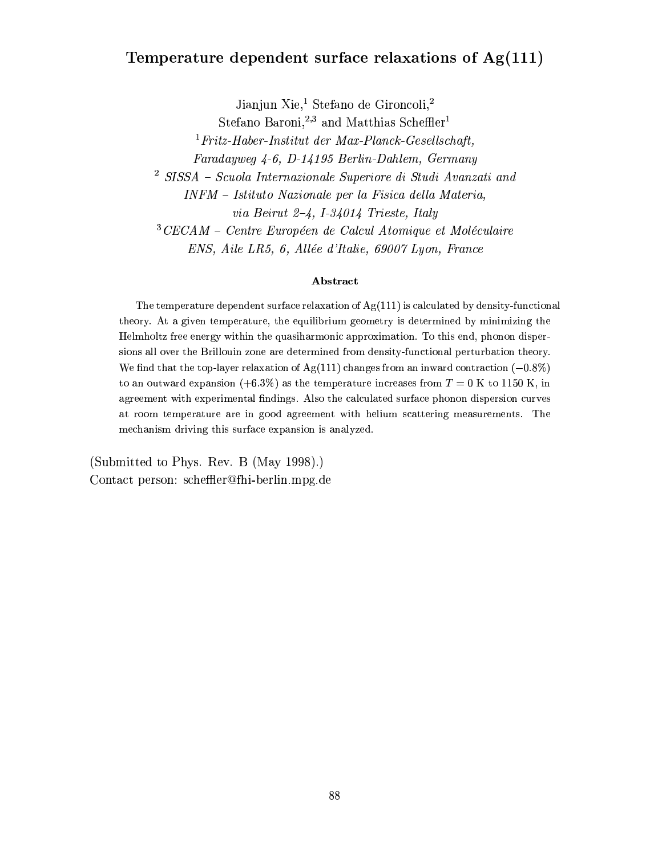## Temperature dependent surface relaxations of  $Ag(111)$

Jianjun Xie,<sup>1</sup> Stefano de Gironcoli,<sup>2</sup>

Stefano Baroni.<sup>2,3</sup> and Matthias Scheffler<sup>1</sup>

 ${}^{1}Fritz-Haber-Institut$  der Max-Planck-Gesellschaft,

Faradayweg 4-6, D-14195 Berlin-Dahlem, Germany

 $2$  SISSA - Scuola Internazionale Superiore di Studi Avanzati and

INFM - Istituto Nazionale per la Fisica della Materia,

via Beirut 2-4, I-34014 Trieste, Italy

 $3$ CECAM – Centre Européen de Calcul Atomique et Moléculaire

ENS, Aile LR5, 6, Allée d'Italie, 69007 Lyon, France

#### Abstract

The temperature dependent surface relaxation of  $Ag(111)$  is calculated by density-functional theory. At a given temperature, the equilibrium geometry is determined by minimizing the Helmholtz free energy within the quasiharmonic approximation. To this end, phonon dispersions all over the Brillouin zone are determined from density-functional perturbation theory. We find that the top-layer relaxation of  $Ag(111)$  changes from an inward contraction (-0.8%) to an outward expansion (+6.3%) as the temperature increases from  $T = 0$  K to 1150 K, in agreement with experimental findings. Also the calculated surface phonon dispersion curves at room temperature are in good agreement with helium scattering measurements. The mechanism driving this surface expansion is analyzed.

(Submitted to Phys. Rev. B (May 1998).) Contact person: scheffler@fhi-berlin.mpg.de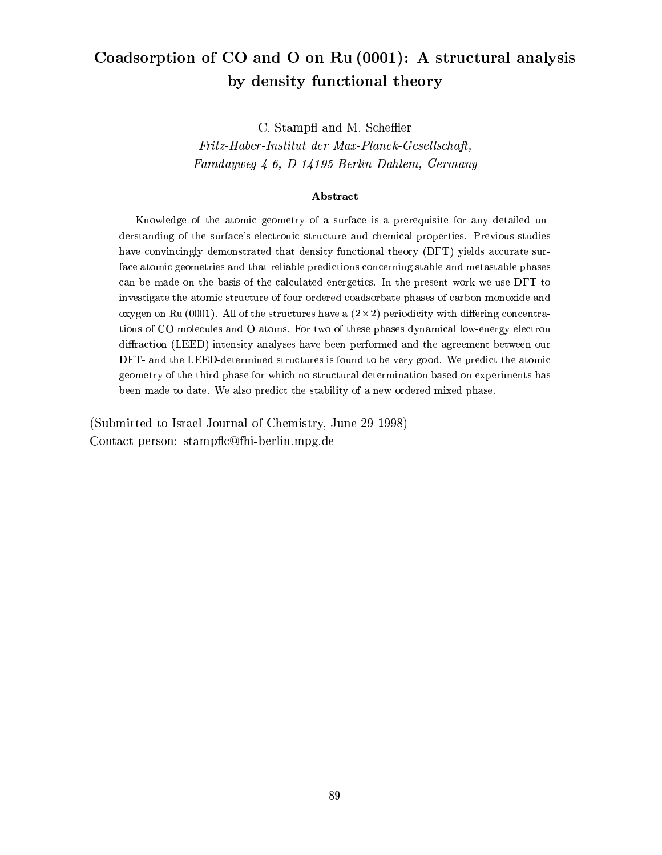## Coadsorption of CO and O on Ru (0001): A structural analysis by density functional theory

C. Stampfl and M. Scheffler

Fritz-Haber-Institut der Max-Planck-Gesellschaft. Faradayweg 4-6, D-14195 Berlin-Dahlem, Germany

#### Abstract

Knowledge of the atomic geometry of a surface is a prerequisite for any detailed understanding of the surface's electronic structure and chemical properties. Previous studies have convincingly demonstrated that density functional theory (DFT) yields accurate surface atomic geometries and that reliable predictions concerning stable and metastable phases can be made on the basis of the calculated energetics. In the present work we use DFT to investigate the atomic structure of four ordered coadsorbate phases of carbon monoxide and oxygen on Ru (0001). All of the structures have a  $(2 \times 2)$  periodicity with differing concentrations of CO molecules and O atoms. For two of these phases dynamical low-energy electron diffraction (LEED) intensity analyses have been performed and the agreement between our DFT- and the LEED-determined structures is found to be very good. We predict the atomic geometry of the third phase for which no structural determination based on experiments has been made to date. We also predict the stability of a new ordered mixed phase.

(Submitted to Israel Journal of Chemistry, June 29 1998) Contact person: stampfic@fhi-berlin.mpg.de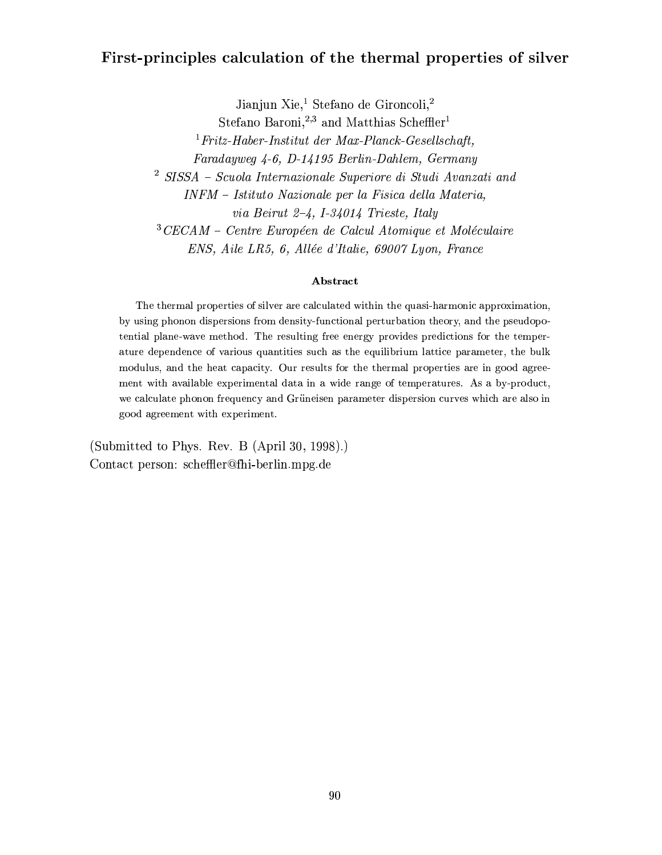## First-principles calculation of the thermal properties of silver

Jianjun Xie,<sup>1</sup> Stefano de Gironcoli,<sup>2</sup>

Stefano Baroni.<sup>2,3</sup> and Matthias Scheffler<sup>1</sup>

 ${}^{1}Fritz-Haber-Institut$  der Max-Planck-Gesellschaft,

Faradayweg 4-6, D-14195 Berlin-Dahlem, Germany

 $2$  SISSA - Scuola Internazionale Superiore di Studi Avanzati and

INFM - Istituto Nazionale per la Fisica della Materia,

via Beirut 2-4, I-34014 Trieste, Italy

 $3$ CECAM – Centre Européen de Calcul Atomique et Moléculaire

ENS, Aile LR5, 6, Allée d'Italie, 69007 Lyon, France

#### Abstract

The thermal properties of silver are calculated within the quasi-harmonic approximation, by using phonon dispersions from density-functional perturbation theory, and the pseudopotential plane-wave method. The resulting free energy provides predictions for the temperature dependence of various quantities such as the equilibrium lattice parameter, the bulk modulus, and the heat capacity. Our results for the thermal properties are in good agreement with available experimental data in a wide range of temperatures. As a by-product, we calculate phonon frequency and Grüneisen parameter dispersion curves which are also in good agreement with experiment.

(Submitted to Phys. Rev. B (April 30, 1998).) Contact person: scheffler@fhi-berlin.mpg.de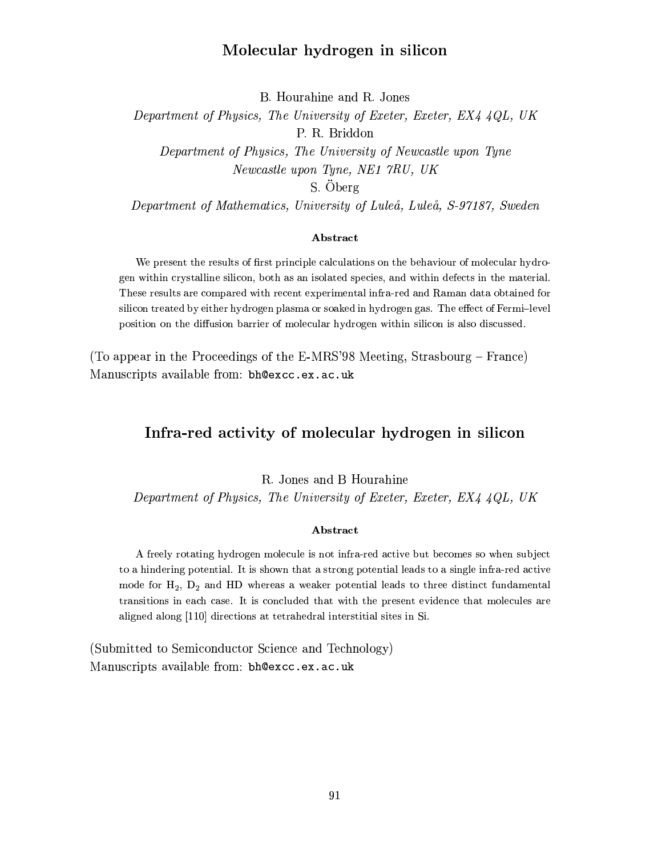### Molecular hydrogen in silicon

B. Hourahine and R. Jones

Department of Physics, The University of Exeter, Exeter, EX4 4QL, UK P. R. Briddon Department of Physics, The University of Newcastle upon Tyne Newcastle upon Tyne, NE1 7RU, UK S. Öberg

Department of Mathematics, University of Luleå, Luleå, S-97187, Sweden

#### Abstract

We present the results of first principle calculations on the behaviour of molecular hydrogen within crystalline silicon, both as an isolated species, and within defects in the material. These results are compared with recent experimental infra-red and Raman data obtained for silicon treated by either hydrogen plasma or soaked in hydrogen gas. The effect of Fermi-level position on the diffusion barrier of molecular hydrogen within silicon is also discussed.

(To appear in the Proceedings of the E-MRS'98 Meeting, Strasbourg – France) Manuscripts available from: bh@excc.ex.ac.uk

### Infra-red activity of molecular hydrogen in silicon

R. Jones and B Hourahine

Department of Physics, The University of Exeter, Exeter, EX4 4QL, UK

#### Abstract

A freely rotating hydrogen molecule is not infra-red active but becomes so when subject to a hindering potential. It is shown that a strong potential leads to a single infra-red active mode for  $H_2$ ,  $D_2$  and HD whereas a weaker potential leads to three distinct fundamental transitions in each case. It is concluded that with the present evidence that molecules are aligned along [110] directions at tetrahedral interstitial sites in Si.

(Submitted to Semiconductor Science and Technology) Manuscripts available from: bh@excc.ex.ac.uk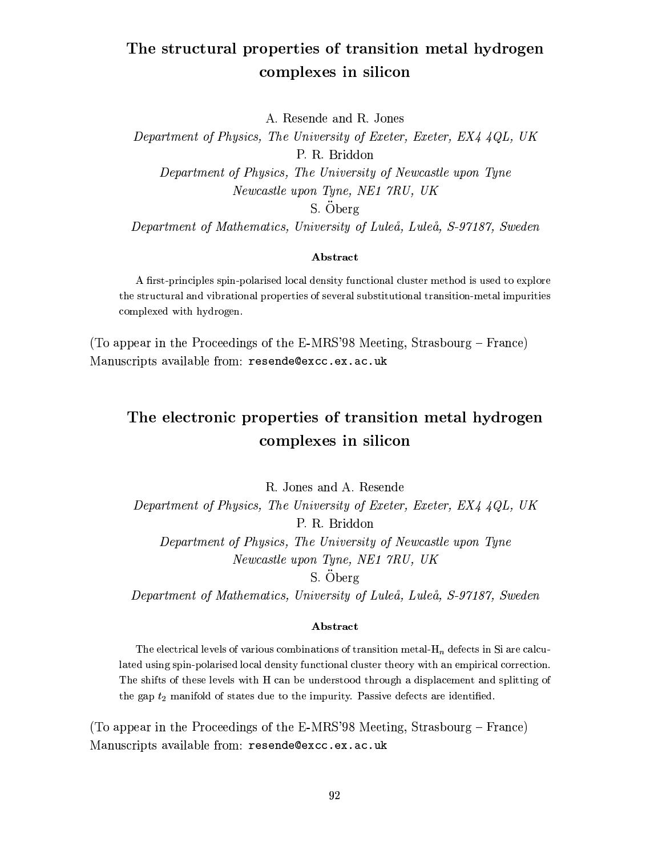## The structural properties of transition metal hydrogen complexes in silicon

A. Resende and R. Jones

Department of Physics, The University of Exeter, Exeter, EX4 4QL, UK P. R. Briddon Department of Physics, The University of Newcastle upon Tyne Newcastle upon Tyne, NE1 7RU, UK S. Öberg

Department of Mathematics, University of Luleå, Luleå, S-97187, Sweden

#### Abstract

A first-principles spin-polarised local density functional cluster method is used to explore the structural and vibrational properties of several substitutional transition-metal impurities complexed with hydrogen.

(To appear in the Proceedings of the E-MRS'98 Meeting, Strasbourg – France) Manuscripts available from: resende@excc.ex.ac.uk

## The electronic properties of transition metal hydrogen complexes in silicon

R. Jones and A. Resende Department of Physics, The University of Exeter, Exeter, EX4 4QL, UK P. R. Briddon Department of Physics, The University of Newcastle upon Tyne Newcastle upon Tyne, NE1 7RU, UK

S. Öberg

Department of Mathematics, University of Luleå, Luleå, S-97187, Sweden

#### Abstract

The electrical levels of various combinations of transition metal- $H_n$  defects in Si are calculated using spin-polarised local density functional cluster theory with an empirical correction. The shifts of these levels with H can be understood through a displacement and splitting of the gap  $t_2$  manifold of states due to the impurity. Passive defects are identified.

(To appear in the Proceedings of the E-MRS'98 Meeting, Strasbourg – France) Manuscripts available from: resende@excc.ex.ac.uk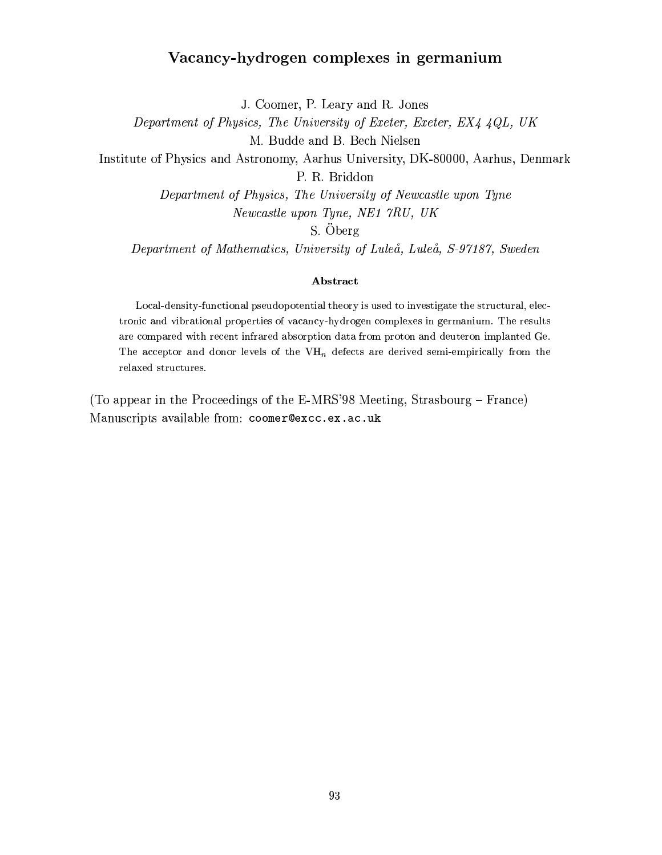## Vacancy-hydrogen complexes in germanium

J. Coomer, P. Leary and R. Jones

Department of Physics, The University of Exeter, Exeter, EX4 4QL, UK

M. Budde and B. Bech Nielsen

Institute of Physics and Astronomy, Aarhus University, DK-80000, Aarhus, Denmark

P. R. Briddon

Department of Physics, The University of Newcastle upon Tyne Newcastle upon Tyne, NE1 7RU, UK

S. Öberg

Department of Mathematics, University of Luleå, Luleå, S-97187, Sweden

#### Abstract

Local-density-functional pseudopotential theory is used to investigate the structural, electronic and vibrational properties of vacancy-hydrogen complexes in germanium. The results are compared with recent infrared absorption data from proton and deuteron implanted Ge. The acceptor and donor levels of the VH<sub>n</sub> defects are derived semi-empirically from the relaxed structures.

(To appear in the Proceedings of the E-MRS'98 Meeting, Strasbourg – France) Manuscripts available from: coomer@excc.ex.ac.uk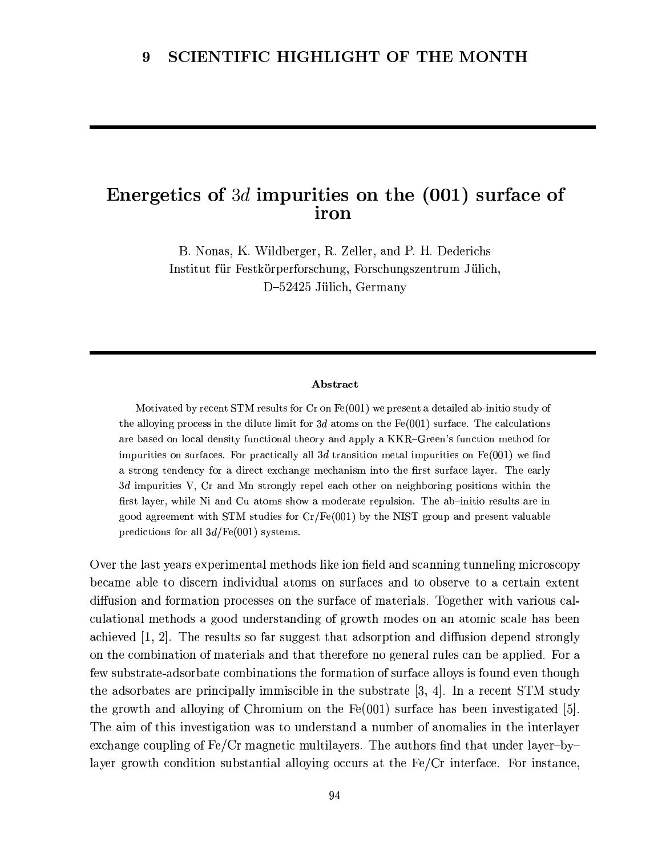## Energetics of 3d impurities on the  $(001)$  surface of iron

B. Nonas, K. Wildberger, R. Zeller, and P. H. Dederichs Institut für Festkörperforschung, Forschungszentrum Jülich, D-52425 Jülich, Germany

#### Abstract

Motivated by recent STM results for  $Cr$  on  $Fe(001)$  we present a detailed ab-initio study of the alloying process in the dilute limit for 3d atoms on the  $Fe(001)$  surface. The calculations are based on local density functional theory and apply a KKR-Green's function method for impurities on surfaces. For practically all 3d transition metal impurities on  $Fe(001)$  we find a strong tendency for a direct exchange mechanism into the first surface layer. The early  $3d$  impurities V, Cr and Mn strongly repel each other on neighboring positions within the first layer, while Ni and Cu atoms show a moderate repulsion. The ab-initio results are in good agreement with STM studies for  $Cr/Fe(001)$  by the NIST group and present valuable predictions for all  $3d/Fe(001)$  systems.

Over the last years experimental methods like ion field and scanning tunneling microscopy became able to discern individual atoms on surfaces and to observe to a certain extent diffusion and formation processes on the surface of materials. Together with various calculational methods a good understanding of growth modes on an atomic scale has been achieved  $[1, 2]$ . The results so far suggest that adsorption and diffusion depend strongly on the combination of materials and that therefore no general rules can be applied. For a few substrate-adsorbate combinations the formation of surface alloys is found even though the adsorbates are principally immiscible in the substrate  $[3, 4]$ . In a recent STM study the growth and alloying of Chromium on the  $Fe(001)$  surface has been investigated [5]. The aim of this investigation was to understand a number of anomalies in the interlayer exchange coupling of  $Fe/Cr$  magnetic multilayers. The authors find that under layer-bylayer growth condition substantial alloying occurs at the Fe/Cr interface. For instance,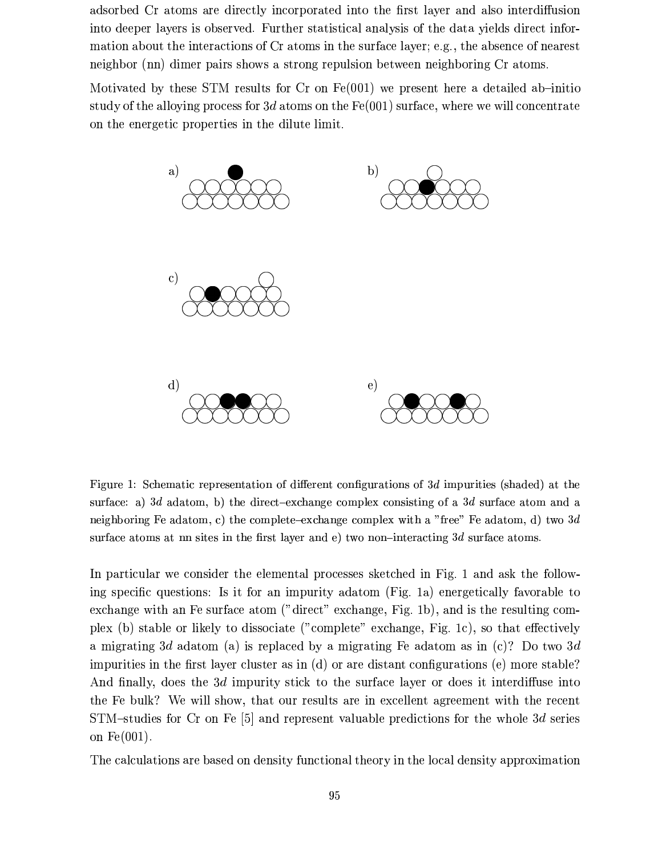adsorbed Cr atoms are directly incorporated into the first layer and also interdiffusion into deeper layers is observed. Further statistical analysis of the data yields direct information about the interactions of Cr atoms in the surface layer; e.g., the absence of nearest neighbor (nn) dimer pairs shows a strong repulsion between neighboring Cr atoms.

Motivated by these STM results for  $Cr$  on  $Fe(001)$  we present here a detailed ab-initio study of the alloying process for 3d atoms on the  $Fe(001)$  surface, where we will concentrate on the energetic properties in the dilute limit.



Figure 1: Schematic representation of different configurations of 3d impurities (shaded) at the surface: a) 3d adatom, b) the direct-exchange complex consisting of a 3d surface atom and a neighboring Fe adatom, c) the complete-exchange complex with a "free" Fe adatom, d) two  $3d$ surface atoms at nn sites in the first layer and e) two non-interacting  $3d$  surface atoms.

In particular we consider the elemental processes sketched in Fig. 1 and ask the following specific questions: Is it for an impurity adatom (Fig. 1a) energetically favorable to exchange with an Fe surface atom ("direct" exchange, Fig. 1b), and is the resulting complex (b) stable or likely to dissociate ("complete" exchange, Fig. 1c), so that effectively a migrating 3d adatom (a) is replaced by a migrating Fe adatom as in (c)? Do two 3d impurities in the first layer cluster as in (d) or are distant configurations (e) more stable? And finally, does the 3d impurity stick to the surface layer or does it interdiffuse into the Fe bulk? We will show, that our results are in excellent agreement with the recent STM-studies for Cr on Fe [5] and represent valuable predictions for the whole 3d series on  $Fe(001)$ .

The calculations are based on density functional theory in the local density approximation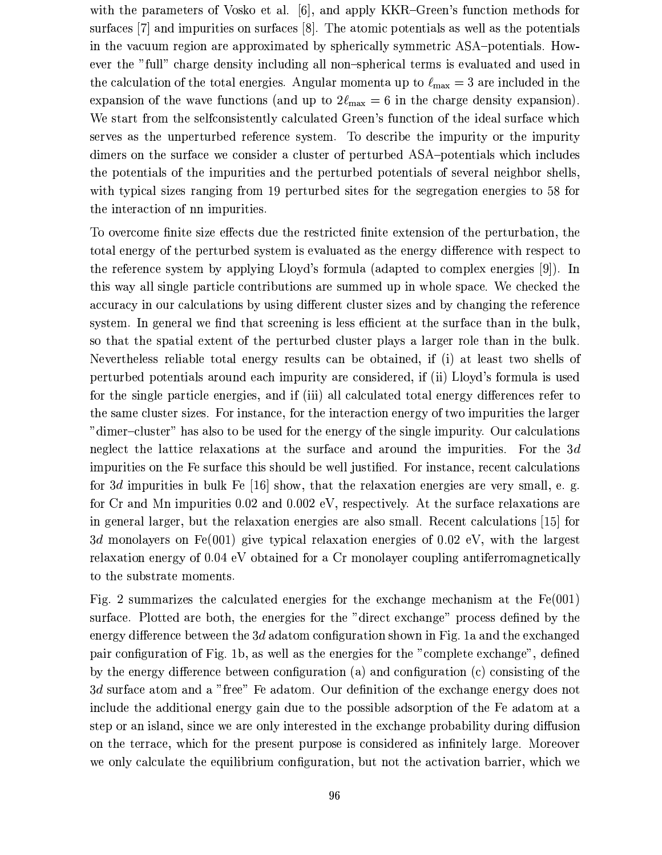with the parameters of Vosko et al. [6], and apply KKR–Green's function methods for surfaces [7] and impurities on surfaces [8]. The atomic potentials as well as the potentials in the vacuum region are approximated by spherically symmetric ASA-potentials. However the "full" charge density including all non-spherical terms is evaluated and used in the calculation of the total energies. Angular momenta up to  $\ell_{\text{max}} = 3$  are included in the expansion of the wave functions (and up to  $2\ell_{\text{max}} = 6$  in the charge density expansion). We start from the selfconsistently calculated Green's function of the ideal surface which serves as the unperturbed reference system. To describe the impurity or the impurity dimers on the surface we consider a cluster of perturbed ASA-potentials which includes the potentials of the impurities and the perturbed potentials of several neighbor shells, with typical sizes ranging from 19 perturbed sites for the segregation energies to 58 for the interaction of nn impurities.

To overcome finite size effects due the restricted finite extension of the perturbation, the total energy of the perturbed system is evaluated as the energy difference with respect to the reference system by applying Lloyd's formula (adapted to complex energies [9]). In this way all single particle contributions are summed up in whole space. We checked the accuracy in our calculations by using different cluster sizes and by changing the reference system. In general we find that screening is less efficient at the surface than in the bulk, so that the spatial extent of the perturbed cluster plays a larger role than in the bulk. Nevertheless reliable total energy results can be obtained, if (i) at least two shells of perturbed potentials around each impurity are considered, if (ii) Lloyd's formula is used for the single particle energies, and if (iii) all calculated total energy differences refer to the same cluster sizes. For instance, for the interaction energy of two impurities the larger "dimer-cluster" has also to be used for the energy of the single impurity. Our calculations neglect the lattice relaxations at the surface and around the impurities. For the  $3d$ impurities on the Fe surface this should be well justified. For instance, recent calculations for 3d impurities in bulk Fe  $\vert 16 \vert$  show, that the relaxation energies are very small, e. g. for Cr and Mn impurities 0.02 and 0.002 eV, respectively. At the surface relaxations are in general larger, but the relaxation energies are also small. Recent calculations [15] for 3d monolayers on Fe(001) give typical relaxation energies of 0.02 eV, with the largest relaxation energy of 0.04 eV obtained for a Cr monolayer coupling antiferromagnetically to the substrate moments.

Fig. 2 summarizes the calculated energies for the exchange mechanism at the  $Fe(001)$ surface. Plotted are both, the energies for the "direct exchange" process defined by the energy difference between the  $3d$  adatom configuration shown in Fig. 1a and the exchanged pair configuration of Fig. 1b, as well as the energies for the "complete exchange", defined by the energy difference between configuration (a) and configuration (c) consisting of the 3d surface atom and a "free" Fe adatom. Our definition of the exchange energy does not include the additional energy gain due to the possible adsorption of the Fe adatom at a step or an island, since we are only interested in the exchange probability during diffusion on the terrace, which for the present purpose is considered as infinitely large. Moreover we only calculate the equilibrium configuration, but not the activation barrier, which we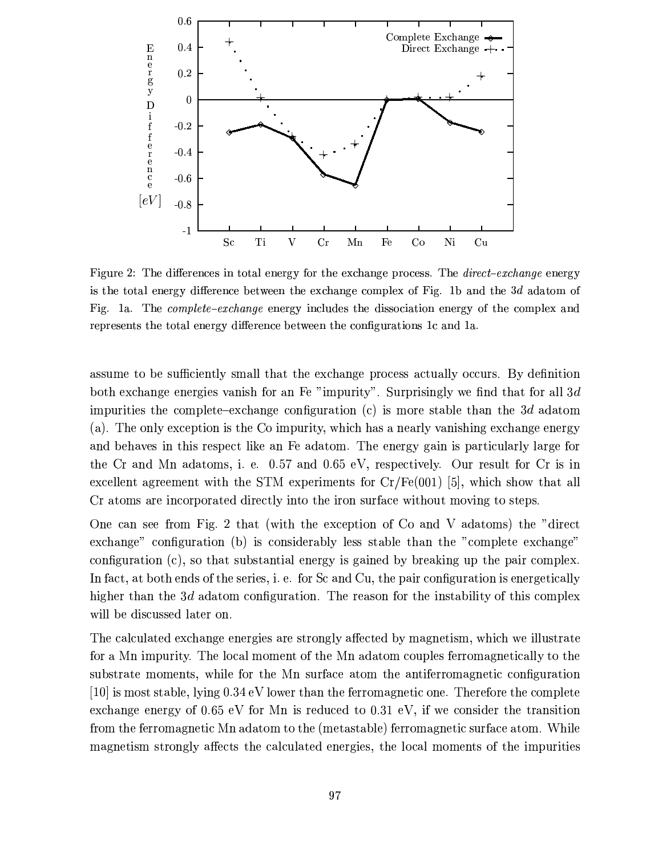

Figure 2: The differences in total energy for the exchange process. The *direct-exchange* energy is the total energy difference between the exchange complex of Fig. 1b and the  $3d$  adatom of Fig. 1a. The *complete-exchange* energy includes the dissociation energy of the complex and represents the total energy difference between the configurations 1c and 1a.

assume to be sufficiently small that the exchange process actually occurs. By definition both exchange energies vanish for an Fe "impurity". Surprisingly we find that for all 3d impurities the complete-exchange configuration (c) is more stable than the 3d adatom (a). The only exception is the Co impurity, which has a nearly vanishing exchange energy and behaves in this respect like an Fe adatom. The energy gain is particularly large for the Cr and Mn adatoms, i. e. 0.57 and 0.65 eV, respectively. Our result for Cr is in excellent agreement with the STM experiments for  $Cr/Fe(001)$  [5], which show that all Cr atoms are incorporated directly into the iron surface without moving to steps.

One can see from Fig. 2 that (with the exception of Co and V adatoms) the "direct exchange" configuration (b) is considerably less stable than the "complete exchange" configuration  $(c)$ , so that substantial energy is gained by breaking up the pair complex. In fact, at both ends of the series, i. e. for Sc and Cu, the pair configuration is energetically higher than the 3d adatom configuration. The reason for the instability of this complex will be discussed later on.

The calculated exchange energies are strongly affected by magnetism, which we illustrate for a Mn impurity. The local moment of the Mn adatom couples ferromagnetically to the substrate moments, while for the Mn surface atom the antiferromagnetic configuration [10] is most stable, lying  $0.34$  eV lower than the ferromagnetic one. Therefore the complete exchange energy of 0.65 eV for Mn is reduced to 0.31 eV, if we consider the transition from the ferromagnetic Mn adatom to the (metastable) ferromagnetic surface atom. While magnetism strongly affects the calculated energies, the local moments of the impurities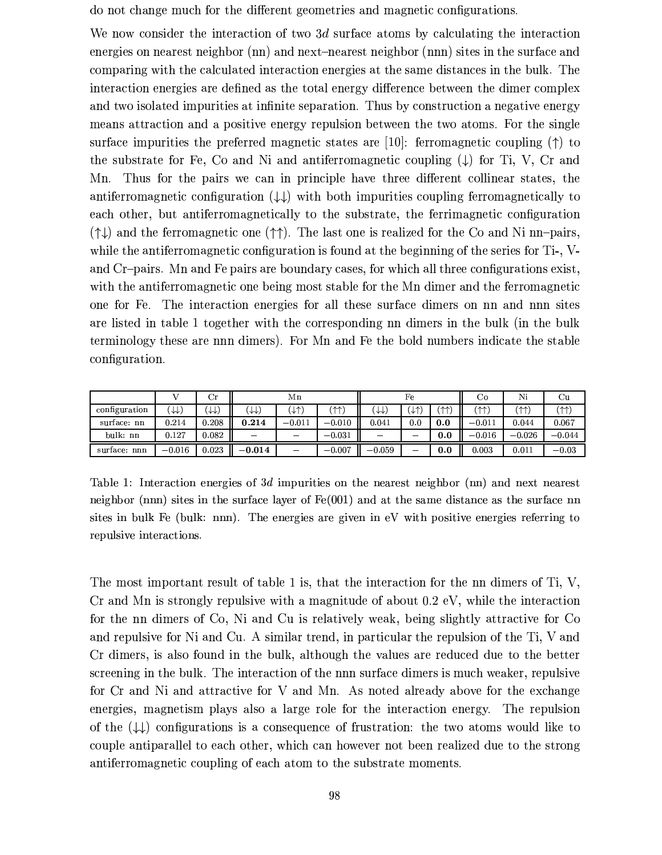do not change much for the different geometries and magnetic configurations.

We now consider the interaction of two 3d surface atoms by calculating the interaction energies on nearest neighbor (nn) and next-nearest neighbor (nnn) sites in the surface and comparing with the calculated interaction energies at the same distances in the bulk. The interaction energies are defined as the total energy difference between the dimer complex and two isolated impurities at infinite separation. Thus by construction a negative energy means attraction and a positive energy repulsion between the two atoms. For the single surface impurities the preferred magnetic states are [10]: ferromagnetic coupling  $(\uparrow)$  to the substrate for Fe, Co and Ni and antiferromagnetic coupling  $(\downarrow)$  for Ti, V, Cr and Mn. Thus for the pairs we can in principle have three different collinear states, the antiferromagnetic configuration  $(\downarrow \downarrow)$  with both impurities coupling ferromagnetically to each other, but antiferromagnetically to the substrate, the ferrimagnetic configuration  $(\uparrow \downarrow)$  and the ferromagnetic one  $(\uparrow \uparrow)$ . The last one is realized for the Co and Ni nn-pairs, while the antiferromagnetic configuration is found at the beginning of the series for Ti-, Vand Cr-pairs. Mn and Fe pairs are boundary cases, for which all three configurations exist, with the antiferromagnetic one being most stable for the Mn dimer and the ferromagnetic one for Fe. The interaction energies for all these surface dimers on nn and nnn sites are listed in table 1 together with the corresponding nn dimers in the bulk (in the bulk terminology these are nnn dimers). For Mn and Fe the bold numbers indicate the stable configuration.

|               |          | $_{\rm Cr}$ | Мn                             |                          |          | Fe       |           |      | Co       | Ni       | Cu       |
|---------------|----------|-------------|--------------------------------|--------------------------|----------|----------|-----------|------|----------|----------|----------|
| configuration | ₩₩       | ₩₩.         | .↓↓)                           | $\downarrow\uparrow)$    | ՛ተተ`     | ₩        | 木)<br>ำ⊁า | (木木) | (木木)     | (11)     | (11)     |
| surface: nn   | 0.214    | 0.208       | 0.214                          | $-0.011$                 | $-0.010$ | 0.041    | 0.0       | 0.0  | $-0.011$ | 0.044    | 0.067    |
| bulk: nn      | 0.127    | 0.082       | $\qquad \qquad \longleftarrow$ |                          | $-0.031$ |          | —         | 0.0  | $-0.016$ | $-0.026$ | $-0.044$ |
| surface: nnn  | $-0.016$ | 0.023       | $-0.014$                       | $\overline{\phantom{a}}$ | $-0.007$ | $-0.059$ | --        | 0.0  | 0.003    | 0.011    | $-0.03$  |

Table 1: Interaction energies of 3d impurities on the nearest neighbor  $(\text{nn})$  and next nearest neighbor (nnn) sites in the surface layer of  $Fe(001)$  and at the same distance as the surface nn sites in bulk Fe (bulk: nnn). The energies are given in eV with positive energies referring to repulsive interactions.

The most important result of table 1 is, that the interaction for the nn dimers of Ti, V, Cr and Mn is strongly repulsive with a magnitude of about  $0.2 \text{ eV}$ , while the interaction for the nn dimers of Co. Ni and Cu is relatively weak, being slightly attractive for Co. and repulsive for Ni and Cu. A similar trend, in particular the repulsion of the Ti, V and Cr dimers, is also found in the bulk, although the values are reduced due to the better screening in the bulk. The interaction of the nnn surface dimers is much weaker, repulsive for Cr and Ni and attractive for V and Mn. As noted already above for the exchange energies, magnetism plays also a large role for the interaction energy. The repulsion of the  $(\downarrow \downarrow)$  configurations is a consequence of frustration: the two atoms would like to couple antiparallel to each other, which can however not been realized due to the strong antiferromagnetic coupling of each atom to the substrate moments.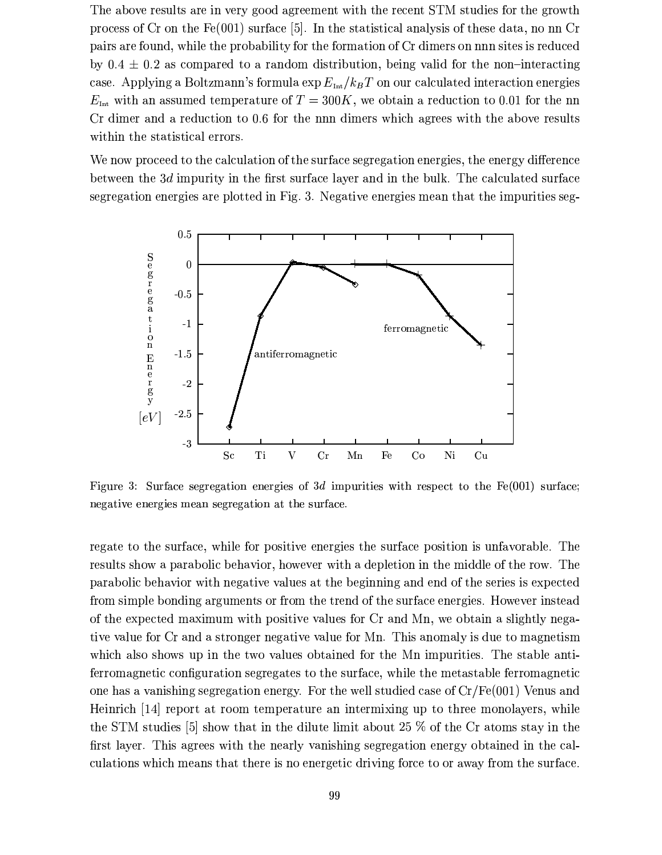The above results are in very good agreement with the recent STM studies for the growth process of Cr on the  $Fe(001)$  surface [5]. In the statistical analysis of these data, no nn Cr pairs are found, while the probability for the formation of Cr dimers on nnn sites is reduced by  $0.4 \pm 0.2$  as compared to a random distribution, being valid for the non-interacting case. Applying a Boltzmann's formula  $\exp E_{\text{int}}/k_B T$  on our calculated interaction energies  $E_{\text{int}}$  with an assumed temperature of  $T = 300K$ , we obtain a reduction to 0.01 for the nn Cr dimer and a reduction to 0.6 for the nnn dimers which agrees with the above results within the statistical errors.

We now proceed to the calculation of the surface segregation energies, the energy difference between the 3d impurity in the first surface layer and in the bulk. The calculated surface segregation energies are plotted in Fig. 3. Negative energies mean that the impurities seg-



Figure 3: Surface segregation energies of 3d impurities with respect to the  $Fe(001)$  surface; negative energies mean segregation at the surface.

regate to the surface, while for positive energies the surface position is unfavorable. The results show a parabolic behavior, however with a depletion in the middle of the row. The parabolic behavior with negative values at the beginning and end of the series is expected from simple bonding arguments or from the trend of the surface energies. However instead of the expected maximum with positive values for Cr and Mn, we obtain a slightly negative value for Cr and a stronger negative value for Mn. This anomaly is due to magnetism which also shows up in the two values obtained for the Mn impurities. The stable antiferromagnetic configuration segregates to the surface, while the metastable ferromagnetic one has a vanishing segregation energy. For the well studied case of  $Cr/Fe(001)$  Venus and Heinrich [14] report at room temperature an intermixing up to three monolayers, while the STM studies [5] show that in the dilute limit about 25  $\%$  of the Cr atoms stay in the first layer. This agrees with the nearly vanishing segregation energy obtained in the calculations which means that there is no energetic driving force to or away from the surface.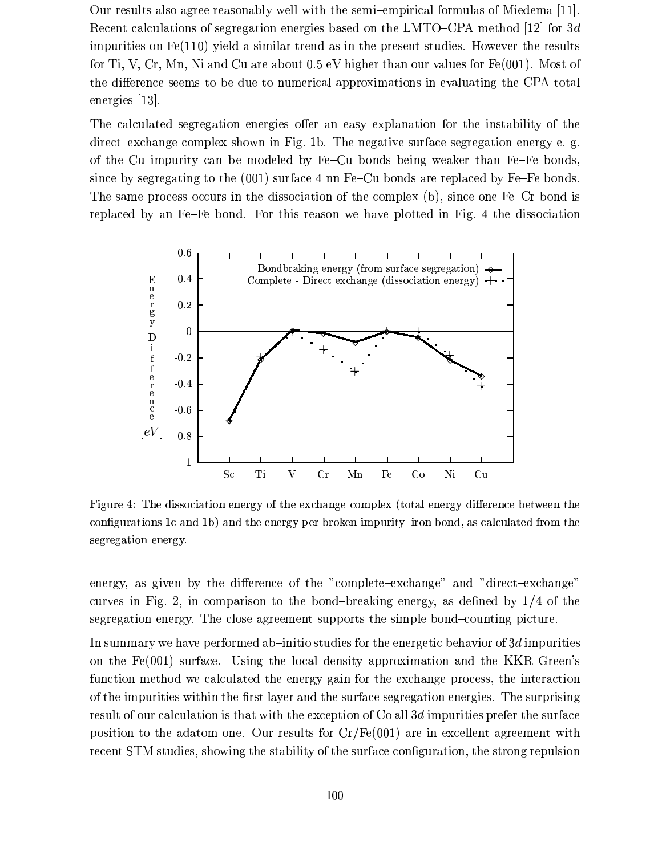Our results also agree reasonably well with the semi-empirical formulas of Miedema [11]. Recent calculations of segregation energies based on the LMTO–CPA method [12] for 3d impurities on  $Fe(110)$  yield a similar trend as in the present studies. However the results for Ti, V, Cr, Mn, Ni and Cu are about  $0.5$  eV higher than our values for  $Fe(001)$ . Most of the difference seems to be due to numerical approximations in evaluating the CPA total energies  $[13]$ .

The calculated segregation energies offer an easy explanation for the instability of the direct-exchange complex shown in Fig. 1b. The negative surface segregation energy e.g. of the Cu impurity can be modeled by Fe-Cu bonds being weaker than Fe-Fe bonds, since by segregating to the (001) surface 4 nn Fe-Cu bonds are replaced by Fe-Fe bonds. The same process occurs in the dissociation of the complex (b), since one Fe-Cr bond is replaced by an Fe-Fe bond. For this reason we have plotted in Fig. 4 the dissociation



Figure 4: The dissociation energy of the exchange complex (total energy difference between the configurations 1c and 1b) and the energy per broken impurity-iron bond, as calculated from the segregation energy.

energy, as given by the difference of the "complete-exchange" and "direct-exchange" curves in Fig. 2, in comparison to the bond-breaking energy, as defined by  $1/4$  of the segregation energy. The close agreement supports the simple bond-counting picture.

In summary we have performed ab-initio studies for the energetic behavior of 3d impurities on the  $Fe(001)$  surface. Using the local density approximation and the KKR Green's function method we calculated the energy gain for the exchange process, the interaction of the impurities within the first layer and the surface segregation energies. The surprising result of our calculation is that with the exception of Co all 3d impurities prefer the surface position to the adatom one. Our results for  $Cr/Fe(001)$  are in excellent agreement with recent STM studies, showing the stability of the surface configuration, the strong repulsion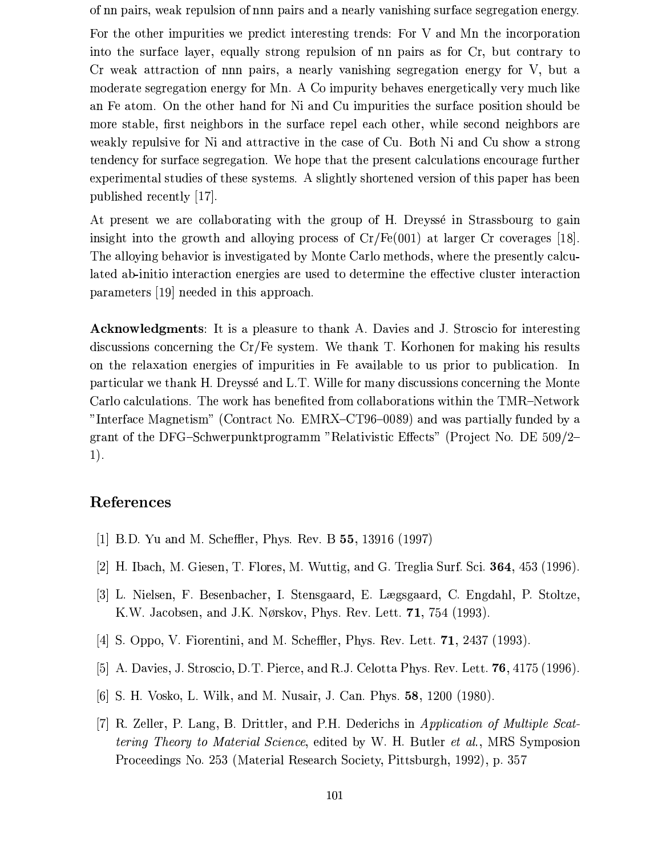of nn pairs, weak repulsion of nnn pairs and a nearly vanishing surface segregation energy.

For the other impurities we predict interesting trends: For V and Mn the incorporation into the surface layer, equally strong repulsion of nn pairs as for Cr, but contrary to Cr weak attraction of nnn pairs, a nearly vanishing segregation energy for V, but a moderate segregation energy for Mn. A Co impurity behaves energetically very much like an Fe atom. On the other hand for Ni and Cu impurities the surface position should be more stable, first neighbors in the surface repel each other, while second neighbors are weakly repulsive for Ni and attractive in the case of Cu. Both Ni and Cu show a strong tendency for surface segregation. We hope that the present calculations encourage further experimental studies of these systems. A slightly shortened version of this paper has been published recently [17].

At present we are collaborating with the group of H. Dreysse in Strassbourg to gain insight into the growth and alloying process of  $Cr/Fe(001)$  at larger Cr coverages [18]. The alloying behavior is investigated by Monte Carlo methods, where the presently calculated ab-initio interaction energies are used to determine the effective cluster interaction parameters [19] needed in this approach.

**Acknowledgments:** It is a pleasure to thank A. Davies and J. Stroscio for interesting discussions concerning the  $Cr/Fe$  system. We thank T. Korhonen for making his results on the relaxation energies of impurities in Fe available to us prior to publication. In particular we thank H. Dreysse and L.T. Wille for many discussions concerning the Monte Carlo calculations. The work has benefited from collaborations within the TMR-Network "Interface Magnetism" (Contract No. EMRX-CT96-0089) and was partially funded by a grant of the DFG-Schwerpunktprogramm "Relativistic Effects" (Project No. DE  $509/2 1).$ 

### References

- [1] B.D. Yu and M. Scheffler, Phys. Rev. B 55, 13916 (1997)
- [2] H. Ibach, M. Giesen, T. Flores, M. Wuttig, and G. Treglia Surf. Sci.  $364$ ,  $453$  (1996).
- [3] L. Nielsen, F. Besenbacher, I. Stensgaard, E. Lægsgaard, C. Engdahl, P. Stoltze, K.W. Jacobsen, and J.K. Nørskov, Phys. Rev. Lett. 71, 754 (1993).
- [4] S. Oppo, V. Fiorentini, and M. Scheffler, Phys. Rev. Lett.  $71$ , 2437 (1993).
- [5] A. Davies, J. Stroscio, D.T. Pierce, and R.J. Celotta Phys. Rev. Lett. 76, 4175 (1996).
- [6] S. H. Vosko, L. Wilk, and M. Nusair, J. Can. Phys. 58, 1200 (1980).
- [7] R. Zeller, P. Lang, B. Drittler, and P.H. Dederichs in Application of Multiple Scattering Theory to Material Science, edited by W. H. Butler et al., MRS Symposion Proceedings No. 253 (Material Research Society, Pittsburgh, 1992), p. 357